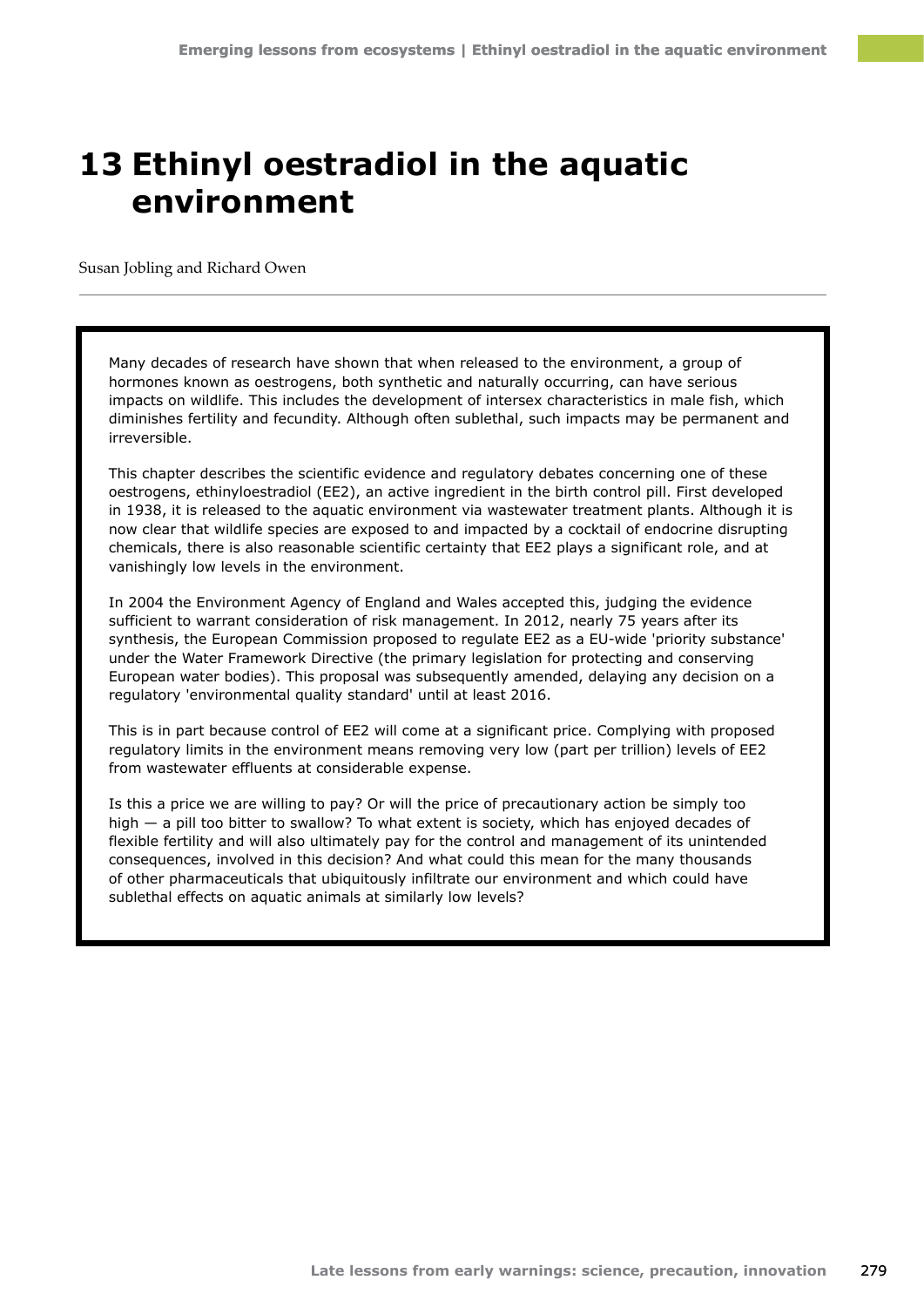# **13 Ethinyl oestradiol in the aquatic environment**

Susan Jobling and Richard Owen

Many decades of research have shown that when released to the environment, a group of hormones known as oestrogens, both synthetic and naturally occurring, can have serious impacts on wildlife. This includes the development of intersex characteristics in male fish, which diminishes fertility and fecundity. Although often sublethal, such impacts may be permanent and irreversible.

This chapter describes the scientific evidence and regulatory debates concerning one of these oestrogens, ethinyloestradiol (EE2), an active ingredient in the birth control pill. First developed in 1938, it is released to the aquatic environment via wastewater treatment plants. Although it is now clear that wildlife species are exposed to and impacted by a cocktail of endocrine disrupting chemicals, there is also reasonable scientific certainty that EE2 plays a significant role, and at vanishingly low levels in the environment.

In 2004 the Environment Agency of England and Wales accepted this, judging the evidence sufficient to warrant consideration of risk management. In 2012, nearly 75 years after its synthesis, the European Commission proposed to regulate EE2 as a EU-wide 'priority substance' under the Water Framework Directive (the primary legislation for protecting and conserving European water bodies). This proposal was subsequently amended, delaying any decision on a regulatory 'environmental quality standard' until at least 2016.

This is in part because control of EE2 will come at a significant price. Complying with proposed regulatory limits in the environment means removing very low (part per trillion) levels of EE2 from wastewater effluents at considerable expense.

Is this a price we are willing to pay? Or will the price of precautionary action be simply too high — a pill too bitter to swallow? To what extent is society, which has enjoyed decades of flexible fertility and will also ultimately pay for the control and management of its unintended consequences, involved in this decision? And what could this mean for the many thousands of other pharmaceuticals that ubiquitously infiltrate our environment and which could have sublethal effects on aquatic animals at similarly low levels?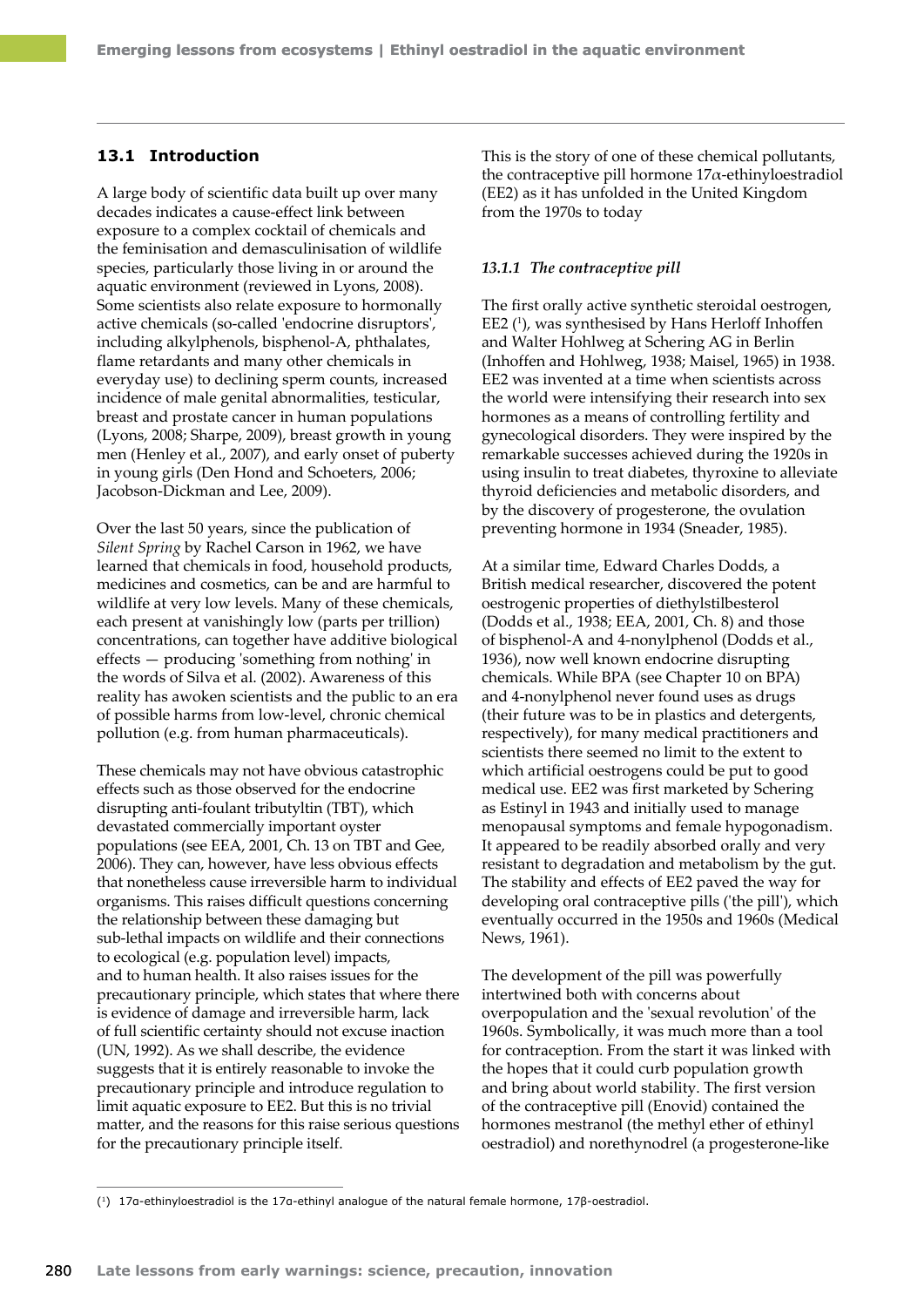## **13.1 Introduction**

A large body of scientific data built up over many decades indicates a cause-effect link between exposure to a complex cocktail of chemicals and the feminisation and demasculinisation of wildlife species, particularly those living in or around the aquatic environment (reviewed in Lyons, 2008). Some scientists also relate exposure to hormonally active chemicals (so-called 'endocrine disruptors', including alkylphenols, bisphenol-A, phthalates, flame retardants and many other chemicals in everyday use) to declining sperm counts, increased incidence of male genital abnormalities, testicular, breast and prostate cancer in human populations (Lyons, 2008; Sharpe, 2009), breast growth in young men (Henley et al., 2007), and early onset of puberty in young girls (Den Hond and Schoeters, 2006; Jacobson-Dickman and Lee, 2009).

Over the last 50 years, since the publication of *Silent Spring* by Rachel Carson in 1962, we have learned that chemicals in food, household products, medicines and cosmetics, can be and are harmful to wildlife at very low levels. Many of these chemicals, each present at vanishingly low (parts per trillion) concentrations, can together have additive biological effects — producing 'something from nothing' in the words of Silva et al. (2002). Awareness of this reality has awoken scientists and the public to an era of possible harms from low-level, chronic chemical pollution (e.g. from human pharmaceuticals).

These chemicals may not have obvious catastrophic effects such as those observed for the endocrine disrupting anti-foulant tributyltin (TBT), which devastated commercially important oyster populations (see EEA, 2001, Ch. 13 on TBT and Gee, 2006). They can, however, have less obvious effects that nonetheless cause irreversible harm to individual organisms. This raises difficult questions concerning the relationship between these damaging but sub-lethal impacts on wildlife and their connections to ecological (e.g. population level) impacts, and to human health. It also raises issues for the precautionary principle, which states that where there is evidence of damage and irreversible harm, lack of full scientific certainty should not excuse inaction (UN, 1992). As we shall describe, the evidence suggests that it is entirely reasonable to invoke the precautionary principle and introduce regulation to limit aquatic exposure to EE2. But this is no trivial matter, and the reasons for this raise serious questions for the precautionary principle itself.

This is the story of one of these chemical pollutants, the contraceptive pill hormone  $17\alpha$ -ethinyloestradiol (EE2) as it has unfolded in the United Kingdom from the 1970s to today

#### *13.1.1 The contraceptive pill*

The first orally active synthetic steroidal oestrogen, EE2<sup>(1</sup>), was synthesised by Hans Herloff Inhoffen and Walter Hohlweg at [Schering AG](http://en.wikipedia.org/wiki/Schering) in Berlin (Inhoffen and Hohlweg, 1938; Maisel, 1965) in 1938. EE2 was invented at a time when scientists across the world were intensifying their research into sex hormones as a means of controlling fertility and gynecological disorders. They were inspired by the remarkable successes achieved during the 1920s in using insulin to treat diabetes, thyroxine to alleviate thyroid deficiencies and metabolic disorders, and by the discovery of progesterone, the ovulation preventing hormone in 1934 (Sneader, 1985).

At a similar time, Edward Charles Dodds, a British medical researcher, discovered the potent oestrogenic properties of diethylstilbesterol (Dodds et al., 1938; EEA, 2001, Ch. 8) and those of bisphenol-A and 4-nonylphenol (Dodds et al., 1936), now well known endocrine disrupting chemicals. While BPA (see Chapter 10 on BPA) and 4-nonylphenol never found uses as drugs (their future was to be in plastics and detergents, respectively), for many medical practitioners and scientists there seemed no limit to the extent to which artificial oestrogens could be put to good medical use. EE2 was first marketed by Schering as Estinyl in 1943 and initially used to manage menopausal symptoms and female hypogonadism. It appeared to be readily absorbed orally and very resistant to degradation and metabolism by the gut. The stability and effects of EE2 paved the way for developing oral contraceptive pills ('the pill'), which eventually occurred in the 1950s and 1960s (Medical News, 1961).

The development of the pill was powerfully intertwined both with concerns about overpopulation and the 'sexual revolution' of the 1960s. Symbolically, it was much more than a tool for contraception. From the start it was linked with the hopes that it could curb population growth and bring about world stability. The first version of the contraceptive pill (Enovid) contained the hormones mestranol (the methyl ether of ethinyl oestradiol) and norethynodrel (a progesterone-like

<sup>(1</sup>) 17α-ethinyloestradiol is the 17α-ethinyl analogue of the natural female hormone, 17β-oestradiol.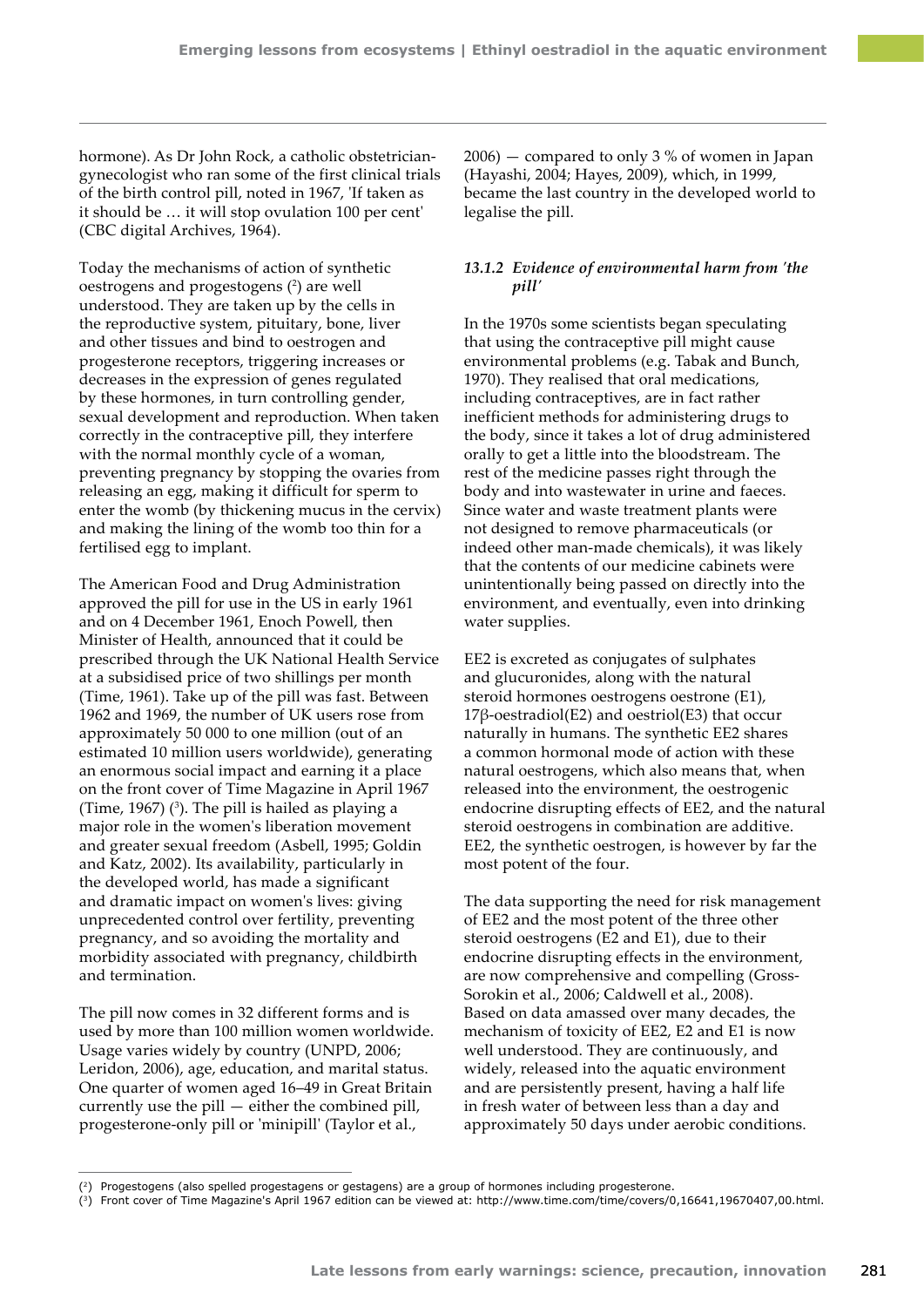hormone). As Dr John Rock, a catholic obstetriciangynecologist who ran some of the first clinical trials of the birth control pill, noted in 1967, 'If taken as it should be … it will stop ovulation 100 per cent' (CBC digital Archives, 1964).

Today the mechanisms of action of synthetic oestrogens and progestogens (2 ) are well understood. They are taken up by the cells in the reproductive system, pituitary, bone, liver and other tissues and bind to oestrogen and progesterone receptors, triggering increases or decreases in the expression of genes regulated by these hormones, in turn controlling gender, sexual development and reproduction. When taken correctly in the contraceptive pill, they interfere with the normal monthly cycle of a woman, preventing pregnancy by stopping the ovaries from releasing an egg, making it difficult for sperm to enter the womb (by thickening mucus in the cervix) and making the lining of the womb too thin for a fertilised egg to implant.

The American Food and Drug Administration approved the pill for use in the US in early 1961 and on 4 December 1961, Enoch Powell, then Minister of Health, announced that it could be prescribed through the UK National Health Service at a subsidised price of two shillings per month (Time, 1961). Take up of the pill was fast. Between 1962 and 1969, the number of UK users rose from approximately 50 000 to one million (out of an estimated 10 million users worldwide), generating an enormous social impact and earning it a place on the front cover of Time Magazine in April 1967 (Time, 1967)  $(3)$ . The pill is hailed as playing a major role in the women's liberation movement and greater sexual freedom (Asbell, 1995; Goldin and Katz, 2002). Its availability, particularly in the developed world, has made a significant and dramatic impact on women's lives: giving unprecedented control over fertility, preventing pregnancy, and so avoiding the mortality and morbidity associated with pregnancy, childbirth and termination.

The pill now comes in 32 different forms and is used by more than 100 million women worldwide. Usage varies widely by country (UNPD, 2006; Leridon, 2006), age, education, and marital status. One quarter of women aged 16–49 in [Great Britain](http://en.wikipedia.org/wiki/Great_Britain)  currently use the pill — either the combined pill, [progesterone-only pill](http://en.wikipedia.org/wiki/Progestogen_only_pill) or 'minipill' (Taylor et al.,

2006) — compared to only 3 % of women in Japan (Hayashi, 2004; Hayes, 2009), which, in 1999, became the last country in the developed world to legalise the pill.

# *13.1.2 Evidence of environmental harm from 'the pill'*

In the 1970s some scientists began speculating that using the contraceptive pill might cause environmental problems (e.g. Tabak and Bunch, 1970). They realised that oral medications, including contraceptives, are in fact rather inefficient methods for administering drugs to the body, since it takes a lot of drug administered orally to get a little into the bloodstream. The rest of the medicine passes right through the body and into wastewater in urine and faeces. Since water and waste treatment plants were not designed to remove pharmaceuticals (or indeed other man‑made chemicals), it was likely that the contents of our medicine cabinets were unintentionally being passed on directly into the environment, and eventually, even into drinking water supplies.

EE2 is excreted as conjugates of sulphates and glucuronides, along with the natural steroid hormones oestrogens oestrone (E1), 17β-oestradiol(E2) and oestriol(E3) that occur naturally in humans. The synthetic EE2 shares a common hormonal mode of action with these natural oestrogens, which also means that, when released into the environment, the oestrogenic endocrine disrupting effects of EE2, and the natural steroid oestrogens in combination are additive. EE2, the synthetic oestrogen, is however by far the most potent of the four.

The data supporting the need for risk management of EE2 and the most potent of the three other steroid oestrogens (E2 and E1), due to their endocrine disrupting effects in the environment, are now comprehensive and compelling (Gross-Sorokin et al., 2006; Caldwell et al., 2008). Based on data amassed over many decades, the mechanism of toxicity of EE2, E2 and E1 is now well understood. They are continuously, and widely, released into the aquatic environment and are persistently present, having a half life in fresh water of between less than a day and approximately 50 days under aerobic conditions.

<sup>(2)</sup> Progestogens (also spelled progestagens or gestagens) are a group of hormones including progesterone.

<sup>(3)</sup> Front cover of Time Magazine's April 1967 edition can be viewed at: [http://www.time.com/time/covers/0,16641,19670407,00.html.](http://www.time.com/time/covers/0,16641,19670407,00.html)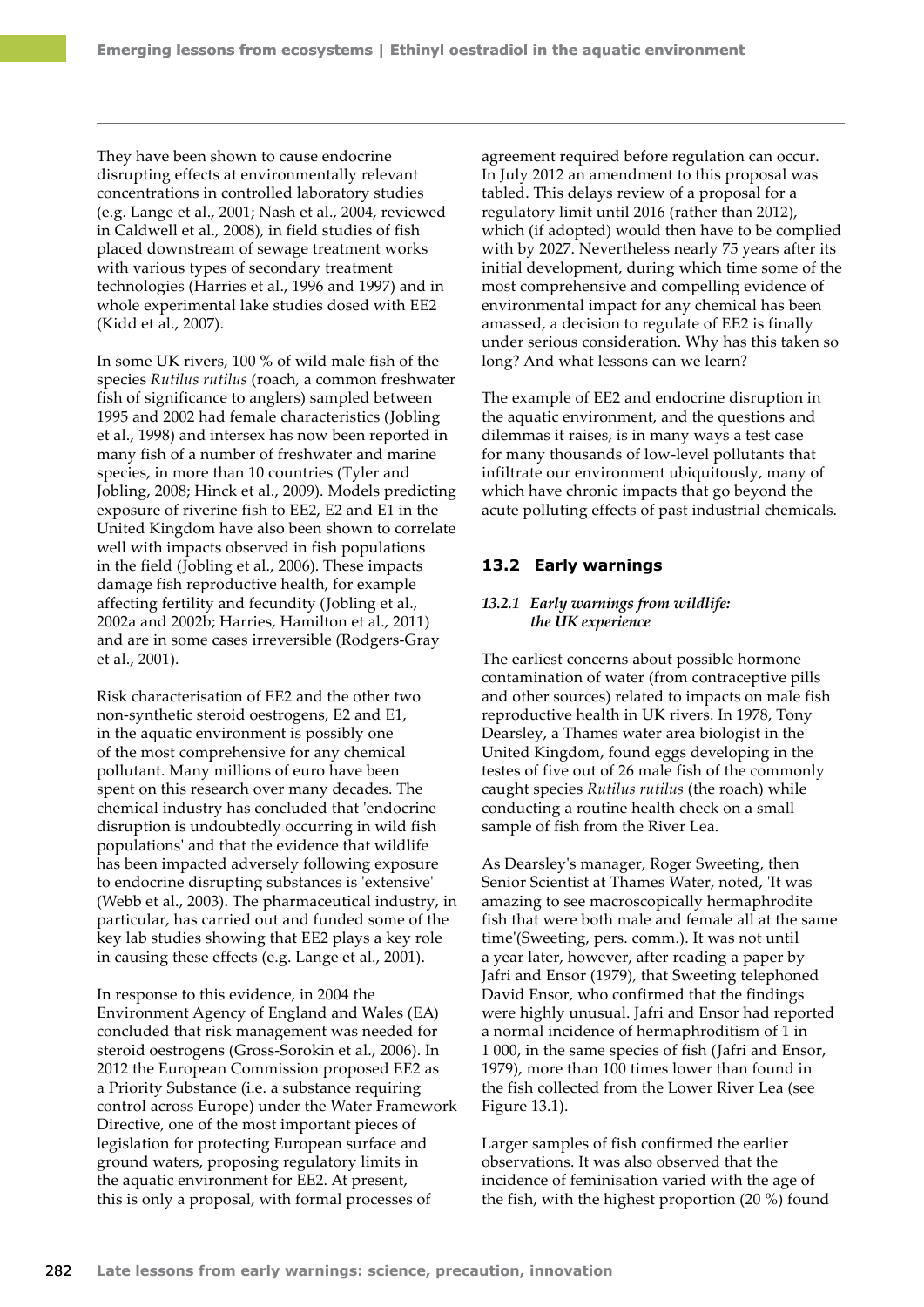They have been shown to cause endocrine disrupting effects at environmentally relevant concentrations in controlled laboratory studies (e.g. Lange et al., 2001; Nash et al., 2004, reviewed in Caldwell et al., 2008), in field studies of fish placed downstream of sewage treatment works with various types of secondary treatment technologies (Harries et al., 1996 and 1997) and in whole experimental lake studies dosed with EE2 (Kidd et al., 2007).

In some UK rivers, 100 % of wild male fish of the species *Rutilus rutilus* (roach, a common freshwater fish of significance to anglers) sampled between 1995 and 2002 had female characteristics (Jobling et al., 1998) and intersex has now been reported in many fish of a number of freshwater and marine species, in more than 10 countries (Tyler and Jobling, 2008; Hinck et al., 2009). Models predicting exposure of riverine fish to EE2, E2 and E1 in the United Kingdom have also been shown to correlate well with impacts observed in fish populations in the field (Jobling et al., 2006). These impacts damage fish reproductive health, for example affecting fertility and fecundity (Jobling et al., 2002a and 2002b; Harries, Hamilton et al., 2011) and are in some cases irreversible (Rodgers-Gray et al., 2001).

Risk characterisation of EE2 and the other two non-synthetic steroid oestrogens, E2 and E1, in the aquatic environment is possibly one of the most comprehensive for any chemical pollutant. Many millions of euro have been spent on this research over many decades. The chemical industry has concluded that 'endocrine disruption is undoubtedly occurring in wild fish populations' and that the evidence that wildlife has been impacted adversely following exposure to endocrine disrupting substances is 'extensive' (Webb et al., 2003). The pharmaceutical industry, in particular, has carried out and funded some of the key lab studies showing that EE2 plays a key role in causing these effects (e.g. Lange et al., 2001).

In response to this evidence, in 2004 the Environment Agency of England and Wales (EA) concluded that risk management was needed for steroid oestrogens (Gross-Sorokin et al., 2006). In 2012 the European Commission proposed EE2 as a Priority Substance (i.e. a substance requiring control across Europe) under the Water Framework Directive, one of the most important pieces of legislation for protecting European surface and ground waters, proposing regulatory limits in the aquatic environment for EE2. At present, this is only a proposal, with formal processes of

agreement required before regulation can occur. In July 2012 an amendment to this proposal was tabled. This delays review of a proposal for a regulatory limit until 2016 (rather than 2012), which (if adopted) would then have to be complied with by 2027. Nevertheless nearly 75 years after its initial development, during which time some of the most comprehensive and compelling evidence of environmental impact for any chemical has been amassed, a decision to regulate of EE2 is finally under serious consideration. Why has this taken so long? And what lessons can we learn?

The example of EE2 and endocrine disruption in the aquatic environment, and the questions and dilemmas it raises, is in many ways a test case for many thousands of low-level pollutants that infiltrate our environment ubiquitously, many of which have chronic impacts that go beyond the acute polluting effects of past industrial chemicals.

## **13.2 Early warnings**

### *13.2.1 Early warnings from wildlife: the UK experience*

The earliest concerns about possible hormone contamination of water (from contraceptive pills and other sources) related to impacts on male fish reproductive health in UK rivers. In 1978, Tony Dearsley, a Thames water area biologist in the United Kingdom, found eggs developing in the testes of five out of 26 male fish of the commonly caught species *Rutilus rutilus* (the roach) while conducting a routine health check on a small sample of fish from the River Lea.

As Dearsley's manager, Roger Sweeting, then Senior Scientist at Thames Water, noted, 'It was amazing to see macroscopically hermaphrodite fish that were both male and female all at the same time'(Sweeting, pers. comm.). It was not until a year later, however, after reading a paper by Jafri and Ensor (1979), that Sweeting telephoned David Ensor, who confirmed that the findings were highly unusual. Jafri and Ensor had reported a normal incidence of hermaphroditism of 1 in 1 000, in the same species of fish (Jafri and Ensor, 1979), more than 100 times lower than found in the fish collected from the Lower River Lea (see Figure 13.1).

Larger samples of fish confirmed the earlier observations. It was also observed that the incidence of feminisation varied with the age of the fish, with the highest proportion (20 %) found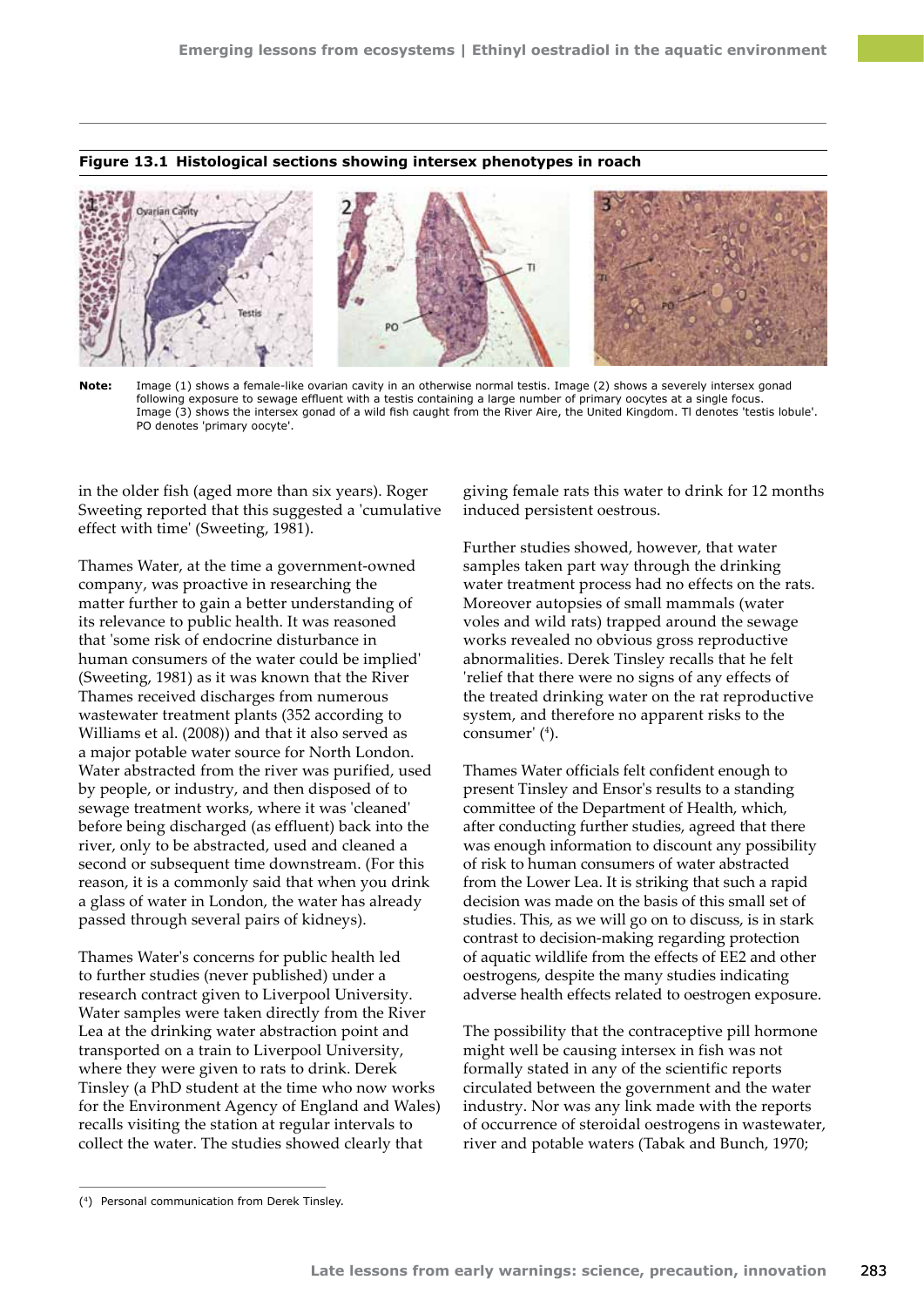#### **Figure 13.1 Histological sections showing intersex phenotypes in roach**



**Note:** Image (1) shows a female-like ovarian cavity in an otherwise normal testis. Image (2) shows a severely intersex gonad following exposure to sewage effluent with a testis containing a large number of primary oocytes at a single focus. Image (3) shows the intersex gonad of a wild fish caught from the River Aire, the United Kingdom. Tl denotes 'testis lobule'. PO denotes 'primary oocyte'.

in the older fish (aged more than six years). Roger Sweeting reported that this suggested a 'cumulative effect with time' (Sweeting, 1981).

Thames Water, at the time a government-owned company, was proactive in researching the matter further to gain a better understanding of its relevance to public health. It was reasoned that 'some risk of endocrine disturbance in human consumers of the water could be implied' (Sweeting, 1981) as it was known that the River Thames received discharges from numerous wastewater treatment plants (352 according to Williams et al. (2008)) and that it also served as a major potable water source for North London. Water abstracted from the river was purified, used by people, or industry, and then disposed of to sewage treatment works, where it was 'cleaned' before being discharged (as effluent) back into the river, only to be abstracted, used and cleaned a second or subsequent time downstream. (For this reason, it is a commonly said that when you drink a glass of water in London, the water has already passed through several pairs of kidneys).

Thames Water's concerns for public health led to further studies (never published) under a research contract given to Liverpool University. Water samples were taken directly from the River Lea at the drinking water abstraction point and transported on a train to Liverpool University, where they were given to rats to drink. Derek Tinsley (a PhD student at the time who now works for the Environment Agency of England and Wales) recalls visiting the station at regular intervals to collect the water. The studies showed clearly that

giving female rats this water to drink for 12 months induced persistent oestrous.

Further studies showed, however, that water samples taken part way through the drinking water treatment process had no effects on the rats. Moreover autopsies of small mammals (water voles and wild rats) trapped around the sewage works revealed no obvious gross reproductive abnormalities. Derek Tinsley recalls that he felt 'relief that there were no signs of any effects of the treated drinking water on the rat reproductive system, and therefore no apparent risks to the consumer' (4 ).

Thames Water officials felt confident enough to present Tinsley and Ensor's results to a standing committee of the Department of Health, which, after conducting further studies, agreed that there was enough information to discount any possibility of risk to human consumers of water abstracted from the Lower Lea. It is striking that such a rapid decision was made on the basis of this small set of studies. This, as we will go on to discuss, is in stark contrast to decision-making regarding protection of aquatic wildlife from the effects of EE2 and other oestrogens, despite the many studies indicating adverse health effects related to oestrogen exposure.

The possibility that the contraceptive pill hormone might well be causing intersex in fish was not formally stated in any of the scientific reports circulated between the government and the water industry. Nor was any link made with the reports of occurrence of steroidal oestrogens in wastewater, river and potable waters (Tabak and Bunch, 1970;

<sup>(4)</sup> Personal communication from Derek Tinsley.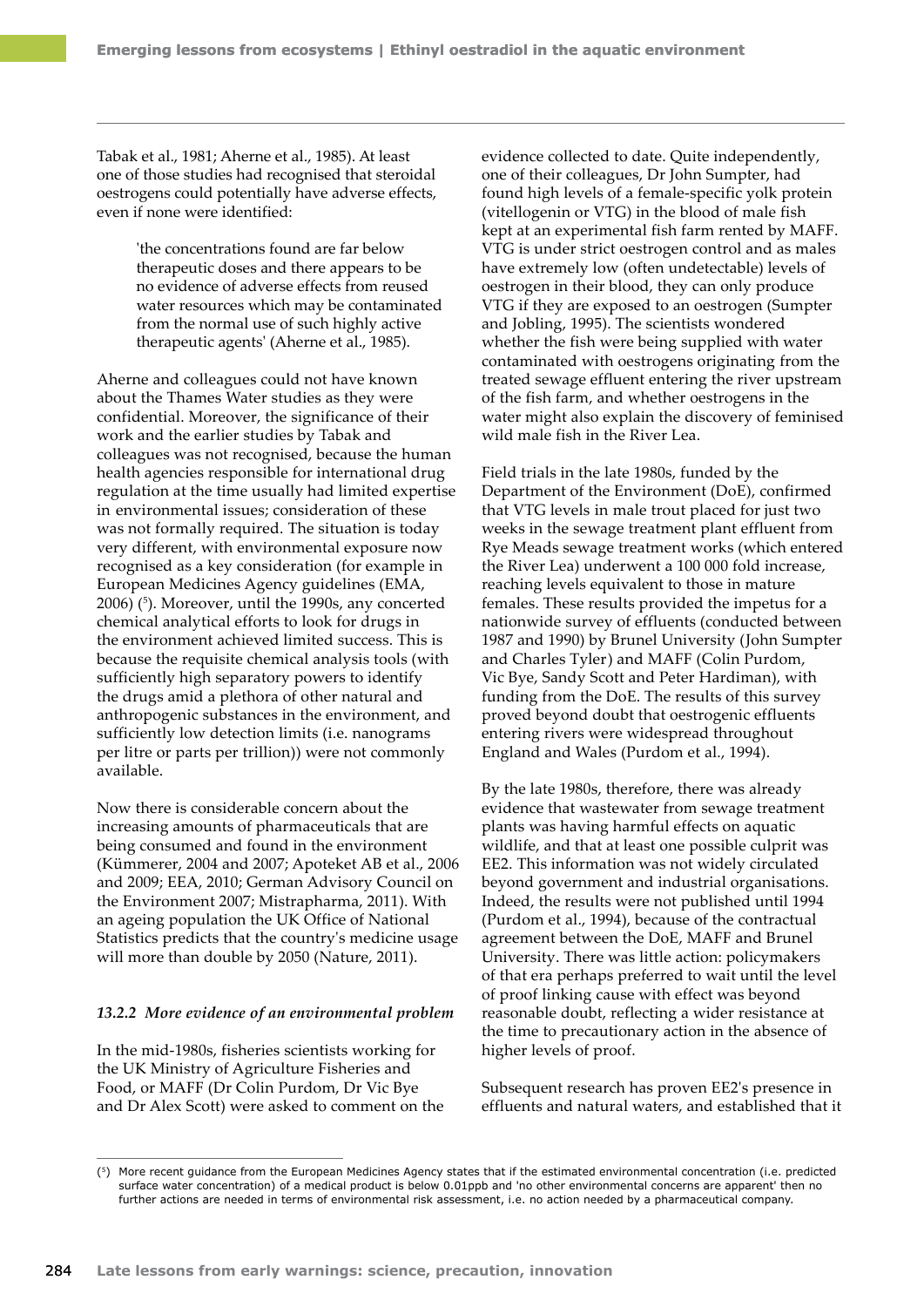Tabak et al., 1981; Aherne et al., 1985). At least one of those studies had recognised that steroidal oestrogens could potentially have adverse effects, even if none were identified:

> 'the concentrations found are far below therapeutic doses and there appears to be no evidence of adverse effects from reused water resources which may be contaminated from the normal use of such highly active therapeutic agents' (Aherne et al., 1985).

Aherne and colleagues could not have known about the Thames Water studies as they were confidential. Moreover, the significance of their work and the earlier studies by Tabak and colleagues was not recognised, because the human health agencies responsible for international drug regulation at the time usually had limited expertise in environmental issues; consideration of these was not formally required. The situation is today very different, with environmental exposure now recognised as a key consideration (for example in European Medicines Agency guidelines (EMA, 2006) (5 ). Moreover, until the 1990s, any concerted chemical analytical efforts to look for drugs in the environment achieved limited success. This is because the requisite chemical analysis tools (with sufficiently high separatory powers to identify the drugs amid a plethora of other natural and anthropogenic substances in the environment, and sufficiently low detection limits (i.e. nanograms per litre or parts per trillion)) were not commonly available.

Now there is considerable concern about the increasing amounts of pharmaceuticals that are being consumed and found in the environment (Kümmerer, 2004 and 2007; Apoteket AB et al., 2006 and 2009; EEA, 2010; German Advisory Council on the Environment 2007; Mistrapharma, 2011). With an ageing population the UK Office of National Statistics predicts that the country's medicine usage will more than double by 2050 (Nature, 2011).

#### *13.2.2 More evidence of an environmental problem*

In the mid-1980s, fisheries scientists working for the UK Ministry of Agriculture Fisheries and Food, or MAFF (Dr Colin Purdom, Dr Vic Bye and Dr Alex Scott) were asked to comment on the evidence collected to date. Quite independently, one of their colleagues, Dr John Sumpter, had found high levels of a female-specific yolk protein (vitellogenin or VTG) in the blood of male fish kept at an experimental fish farm rented by MAFF. VTG is under strict oestrogen control and as males have extremely low (often undetectable) levels of oestrogen in their blood, they can only produce VTG if they are exposed to an oestrogen (Sumpter and Jobling, 1995). The scientists wondered whether the fish were being supplied with water contaminated with oestrogens originating from the treated sewage effluent entering the river upstream of the fish farm, and whether oestrogens in the water might also explain the discovery of feminised wild male fish in the River Lea.

Field trials in the late 1980s, funded by the Department of the Environment (DoE), confirmed that VTG levels in male trout placed for just two weeks in the sewage treatment plant effluent from Rye Meads sewage treatment works (which entered the River Lea) underwent a 100 000 fold increase, reaching levels equivalent to those in mature females. These results provided the impetus for a nationwide survey of effluents (conducted between 1987 and 1990) by Brunel University (John Sumpter and Charles Tyler) and MAFF (Colin Purdom, Vic Bye, Sandy Scott and Peter Hardiman), with funding from the DoE. The results of this survey proved beyond doubt that oestrogenic effluents entering rivers were widespread throughout England and Wales (Purdom et al., 1994).

By the late 1980s, therefore, there was already evidence that wastewater from sewage treatment plants was having harmful effects on aquatic wildlife, and that at least one possible culprit was EE2. This information was not widely circulated beyond government and industrial organisations. Indeed, the results were not published until 1994 (Purdom et al., 1994), because of the contractual agreement between the DoE, MAFF and Brunel University. There was little action: policymakers of that era perhaps preferred to wait until the level of proof linking cause with effect was beyond reasonable doubt, reflecting a wider resistance at the time to precautionary action in the absence of higher levels of proof.

Subsequent research has proven EE2's presence in effluents and natural waters, and established that it

<sup>(5)</sup> More recent guidance from the European Medicines Agency states that if the estimated environmental concentration (i.e. predicted surface water concentration) of a medical product is below 0.01ppb and 'no other environmental concerns are apparent' then no further actions are needed in terms of environmental risk assessment, i.e. no action needed by a pharmaceutical company.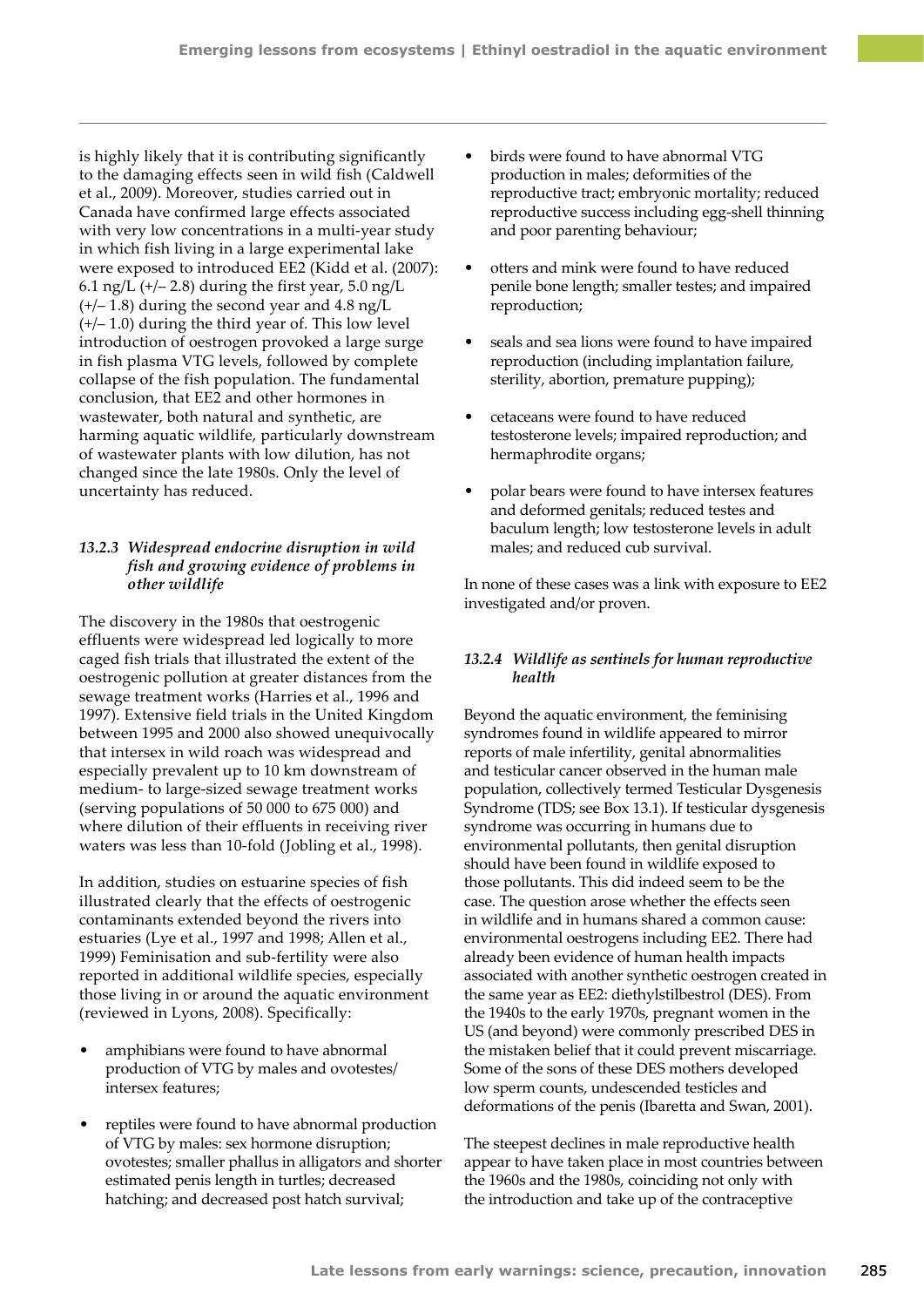is highly likely that it is contributing significantly to the damaging effects seen in wild fish (Caldwell et al., 2009). Moreover, studies carried out in Canada have confirmed large effects associated with very low concentrations in a multi-year study in which fish living in a large experimental lake were exposed to introduced EE2 (Kidd et al. (2007): 6.1 ng/L  $(+/- 2.8)$  during the first year, 5.0 ng/L  $(+/- 1.8)$  during the second year and 4.8 ng/L (+/– 1.0) during the third year of. This low level introduction of oestrogen provoked a large surge in fish plasma VTG levels, followed by complete collapse of the fish population. The fundamental conclusion, that EE2 and other hormones in wastewater, both natural and synthetic, are harming aquatic wildlife, particularly downstream of wastewater plants with low dilution, has not changed since the late 1980s. Only the level of uncertainty has reduced.

# *13.2.3 Widespread endocrine disruption in wild fish and growing evidence of problems in other wildlife*

The discovery in the 1980s that oestrogenic effluents were widespread led logically to more caged fish trials that illustrated the extent of the oestrogenic pollution at greater distances from the sewage treatment works (Harries et al., 1996 and 1997). Extensive field trials in the United Kingdom between 1995 and 2000 also showed unequivocally that intersex in wild roach was widespread and especially prevalent up to 10 km downstream of medium- to large-sized sewage treatment works (serving populations of 50 000 to 675 000) and where dilution of their effluents in receiving river waters was less than 10-fold (Jobling et al., 1998).

In addition, studies on estuarine species of fish illustrated clearly that the effects of oestrogenic contaminants extended beyond the rivers into estuaries (Lye et al., 1997 and 1998; Allen et al., 1999) Feminisation and sub-fertility were also reported in additional wildlife species, especially those living in or around the aquatic environment (reviewed in Lyons, 2008). Specifically:

- amphibians were found to have abnormal production of VTG by males and ovotestes/ intersex features;
- reptiles were found to have abnormal production of VTG by males: sex hormone disruption; ovotestes; smaller phallus in alligators and shorter estimated penis length in turtles; decreased hatching; and decreased post hatch survival;
- birds were found to have abnormal VTG production in males; deformities of the reproductive tract; embryonic mortality; reduced reproductive success including egg-shell thinning and poor parenting behaviour;
- otters and mink were found to have reduced penile bone length; smaller testes; and impaired reproduction;
- seals and sea lions were found to have impaired reproduction (including implantation failure, sterility, abortion, premature pupping);
- cetaceans were found to have reduced testosterone levels; impaired reproduction; and hermaphrodite organs;
- polar bears were found to have intersex features and deformed genitals; reduced testes and baculum length; low testosterone levels in adult males; and reduced cub survival.

In none of these cases was a link with exposure to EE2 investigated and/or proven.

# *13.2.4 Wildlife as sentinels for human reproductive health*

Beyond the aquatic environment, the feminising syndromes found in wildlife appeared to mirror reports of male infertility, genital abnormalities and testicular cancer observed in the human male population, collectively termed Testicular Dysgenesis Syndrome (TDS; see Box 13.1). If testicular dysgenesis syndrome was occurring in humans due to environmental pollutants, then genital disruption should have been found in wildlife exposed to those pollutants. This did indeed seem to be the case. The question arose whether the effects seen in wildlife and in humans shared a common cause: environmental oestrogens including EE2. There had already been evidence of human health impacts associated with another synthetic oestrogen created in the same year as EE2: diethylstilbestrol (DES). From the 1940s to the early 1970s, pregnant women in the US (and beyond) were commonly prescribed DES in the mistaken belief that it could prevent miscarriage. Some of the sons of these DES mothers developed low sperm counts, undescended testicles and deformations of the penis (Ibaretta and Swan, 2001).

The steepest declines in male reproductive health appear to have taken place in most countries between the 1960s and the 1980s, coinciding not only with the introduction and take up of the contraceptive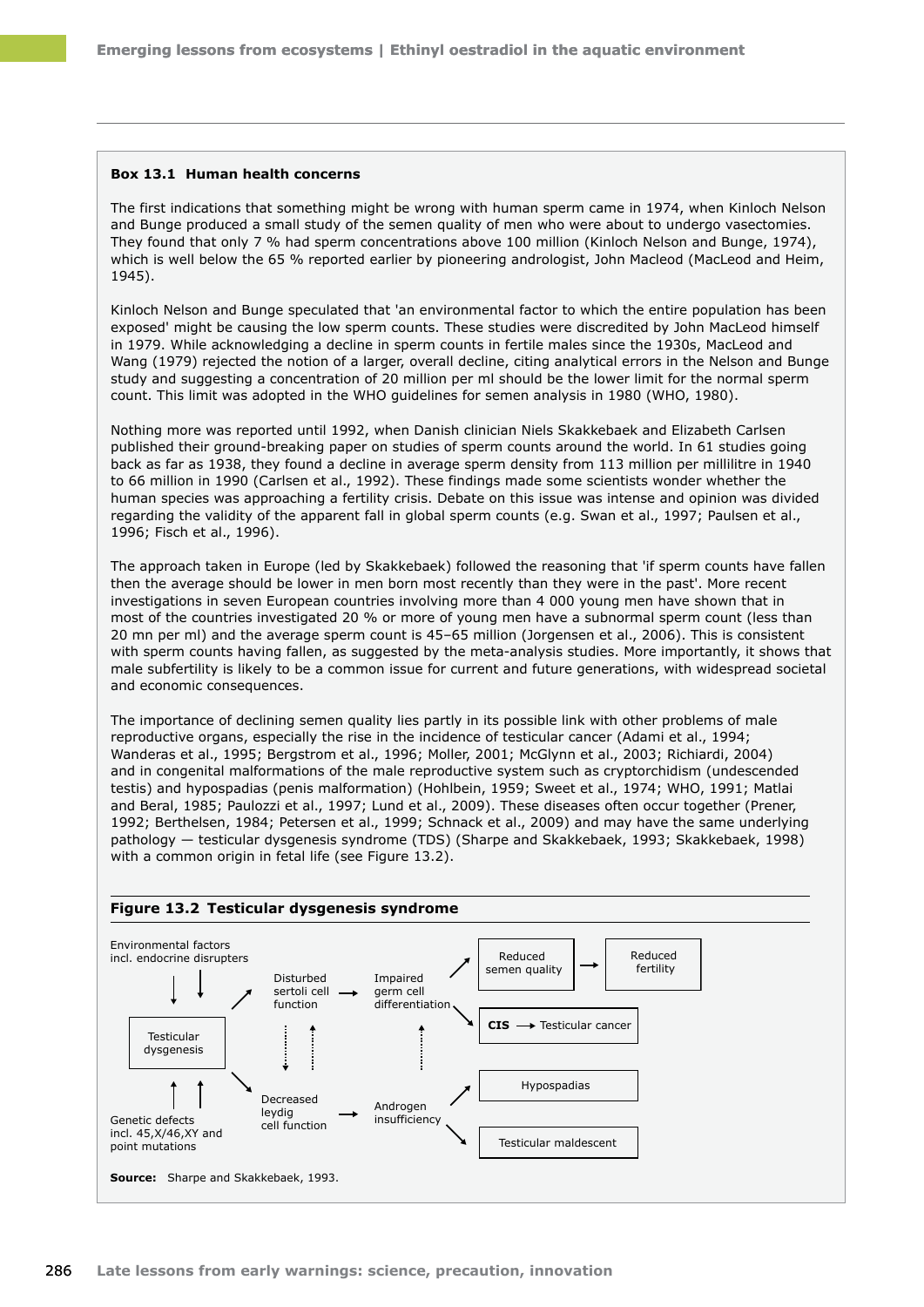#### **Box 13.1 Human health concerns**

The first indications that something might be wrong with human sperm came in 1974, when Kinloch Nelson and Bunge produced a small study of the semen quality of men who were about to undergo vasectomies. They found that only 7 % had sperm concentrations above 100 million (Kinloch Nelson and Bunge, 1974), which is well below the 65 % reported earlier by pioneering andrologist, John Macleod (MacLeod and Heim, 1945).

Kinloch Nelson and Bunge speculated that 'an environmental factor to which the entire population has been exposed' might be causing the low sperm counts. These studies were discredited by John MacLeod himself in 1979. While acknowledging a decline in sperm counts in fertile males since the 1930s, MacLeod and Wang (1979) rejected the notion of a larger, overall decline, citing analytical errors in the Nelson and Bunge study and suggesting a concentration of 20 million per ml should be the lower limit for the normal sperm count. This limit was adopted in the WHO guidelines for semen analysis in 1980 (WHO, 1980).

Nothing more was reported until 1992, when Danish clinician Niels Skakkebaek and Elizabeth Carlsen published their ground-breaking paper on studies of sperm counts around the world. In 61 studies going back as far as 1938, they found a decline in average sperm density from 113 million per millilitre in 1940 to 66 million in 1990 (Carlsen et al., 1992). These findings made some scientists wonder whether the human species was approaching a fertility crisis. Debate on this issue was intense and opinion was divided regarding the validity of the apparent fall in global sperm counts (e.g. Swan et al., 1997; Paulsen et al., 1996; Fisch et al., 1996).

The approach taken in Europe (led by Skakkebaek) followed the reasoning that 'if sperm counts have fallen then the average should be lower in men born most recently than they were in the past'. More recent investigations in seven European countries involving more than 4 000 young men have shown that in most of the countries investigated 20 % or more of young men have a subnormal sperm count (less than 20 mn per ml) and the average sperm count is 45–65 million (Jorgensen et al., 2006). This is consistent with sperm counts having fallen, as suggested by the meta-analysis studies. More importantly, it shows that male subfertility is likely to be a common issue for current and future generations, with widespread societal and economic consequences.

The importance of declining semen quality lies partly in its possible link with other problems of male reproductive organs, especially the rise in the incidence of testicular cancer (Adami et al., 1994; Wanderas et al., 1995; Bergstrom et al., 1996; Moller, 2001; McGlynn et al., 2003; Richiardi, 2004) and in congenital malformations of the male reproductive system such as cryptorchidism (undescended testis) and hypospadias (penis malformation) (Hohlbein, 1959; Sweet et al., 1974; WHO, 1991; Matlai and Beral, 1985; Paulozzi et al., 1997; Lund et al., 2009). These diseases often occur together (Prener, 1992; Berthelsen, 1984; Petersen et al., 1999; Schnack et al., 2009) and may have the same underlying pathology — testicular dysgenesis syndrome (TDS) (Sharpe and Skakkebaek, 1993; Skakkebaek, 1998) with a common origin in fetal life (see Figure 13.2).

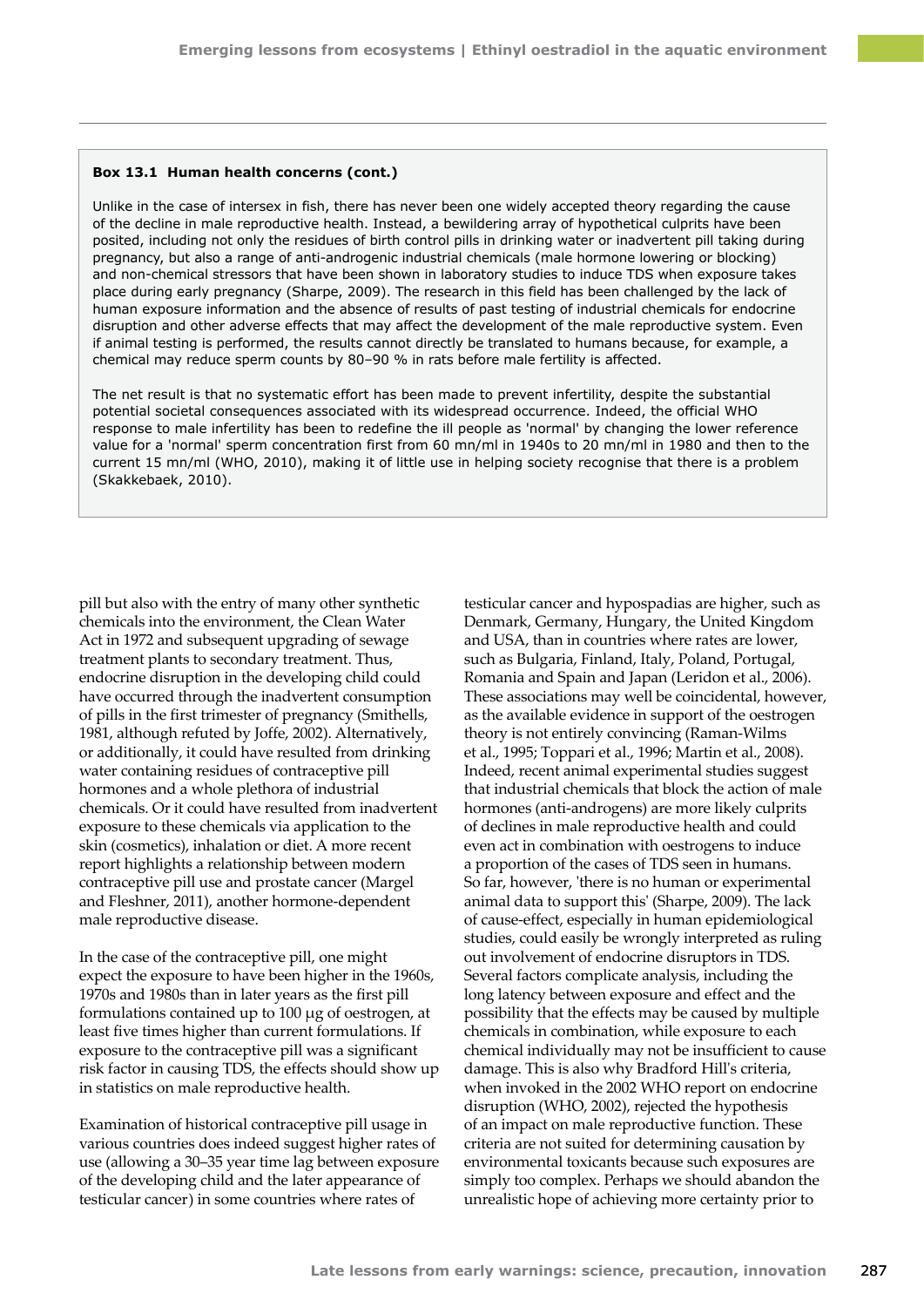#### **Box 13.1 Human health concerns (cont.)**

Unlike in the case of intersex in fish, there has never been one widely accepted theory regarding the cause of the decline in male reproductive health. Instead, a bewildering array of hypothetical culprits have been posited, including not only the residues of birth control pills in drinking water or inadvertent pill taking during pregnancy, but also a range of anti-androgenic industrial chemicals (male hormone lowering or blocking) and non-chemical stressors that have been shown in laboratory studies to induce TDS when exposure takes place during early pregnancy (Sharpe, 2009). The research in this field has been challenged by the lack of human exposure information and the absence of results of past testing of industrial chemicals for endocrine disruption and other adverse effects that may affect the development of the male reproductive system. Even if animal testing is performed, the results cannot directly be translated to humans because, for example, a chemical may reduce sperm counts by 80–90 % in rats before male fertility is affected.

The net result is that no systematic effort has been made to prevent infertility, despite the substantial potential societal consequences associated with its widespread occurrence. Indeed, the official WHO response to male infertility has been to redefine the ill people as 'normal' by changing the lower reference value for a 'normal' sperm concentration first from 60 mn/ml in 1940s to 20 mn/ml in 1980 and then to the current 15 mn/ml (WHO, 2010), making it of little use in helping society recognise that there is a problem (Skakkebaek, 2010).

pill but also with the entry of many other synthetic chemicals into the environment, the Clean Water Act in 1972 and subsequent upgrading of sewage treatment plants to secondary treatment. Thus, endocrine disruption in the developing child could have occurred through the inadvertent consumption of pills in the first trimester of pregnancy (Smithells, 1981, although refuted by Joffe, 2002). Alternatively, or additionally, it could have resulted from drinking water containing residues of contraceptive pill hormones and a whole plethora of industrial chemicals. Or it could have resulted from inadvertent exposure to these chemicals via application to the skin (cosmetics), inhalation or diet. A more recent report highlights a relationship between modern contraceptive pill use and prostate cancer (Margel and Fleshner, 2011), another hormone-dependent male reproductive disease.

In the case of the contraceptive pill, one might expect the exposure to have been higher in the 1960s, 1970s and 1980s than in later years as the first pill formulations contained up to 100 μg of oestrogen, at least five times higher than current formulations. If exposure to the contraceptive pill was a significant risk factor in causing TDS, the effects should show up in statistics on male reproductive health.

Examination of historical contraceptive pill usage in various countries does indeed suggest higher rates of use (allowing a 30–35 year time lag between exposure of the developing child and the later appearance of testicular cancer) in some countries where rates of

testicular cancer and hypospadias are higher, such as Denmark, Germany, Hungary, the United Kingdom and USA, than in countries where rates are lower, such as Bulgaria, Finland, Italy, Poland, Portugal, Romania and Spain and Japan (Leridon et al., 2006). These associations may well be coincidental, however, as the available evidence in support of the oestrogen theory is not entirely convincing (Raman‑Wilms et al., 1995; Toppari et al., 1996; Martin et al., 2008). Indeed, recent animal experimental studies suggest that industrial chemicals that block the action of male hormones (anti-androgens) are more likely culprits of declines in male reproductive health and could even act in combination with oestrogens to induce a proportion of the cases of TDS seen in humans. So far, however, 'there is no human or experimental animal data to support this' (Sharpe, 2009). The lack of cause-effect, especially in human epidemiological studies, could easily be wrongly interpreted as ruling out involvement of endocrine disruptors in TDS. Several factors complicate analysis, including the long latency between exposure and effect and the possibility that the effects may be caused by multiple chemicals in combination, while exposure to each chemical individually may not be insufficient to cause damage. This is also why Bradford Hill's criteria, when invoked in the 2002 WHO report on endocrine disruption (WHO, 2002), rejected the hypothesis of an impact on male reproductive function. These criteria are not suited for determining causation by environmental toxicants because such exposures are simply too complex. Perhaps we should abandon the unrealistic hope of achieving more certainty prior to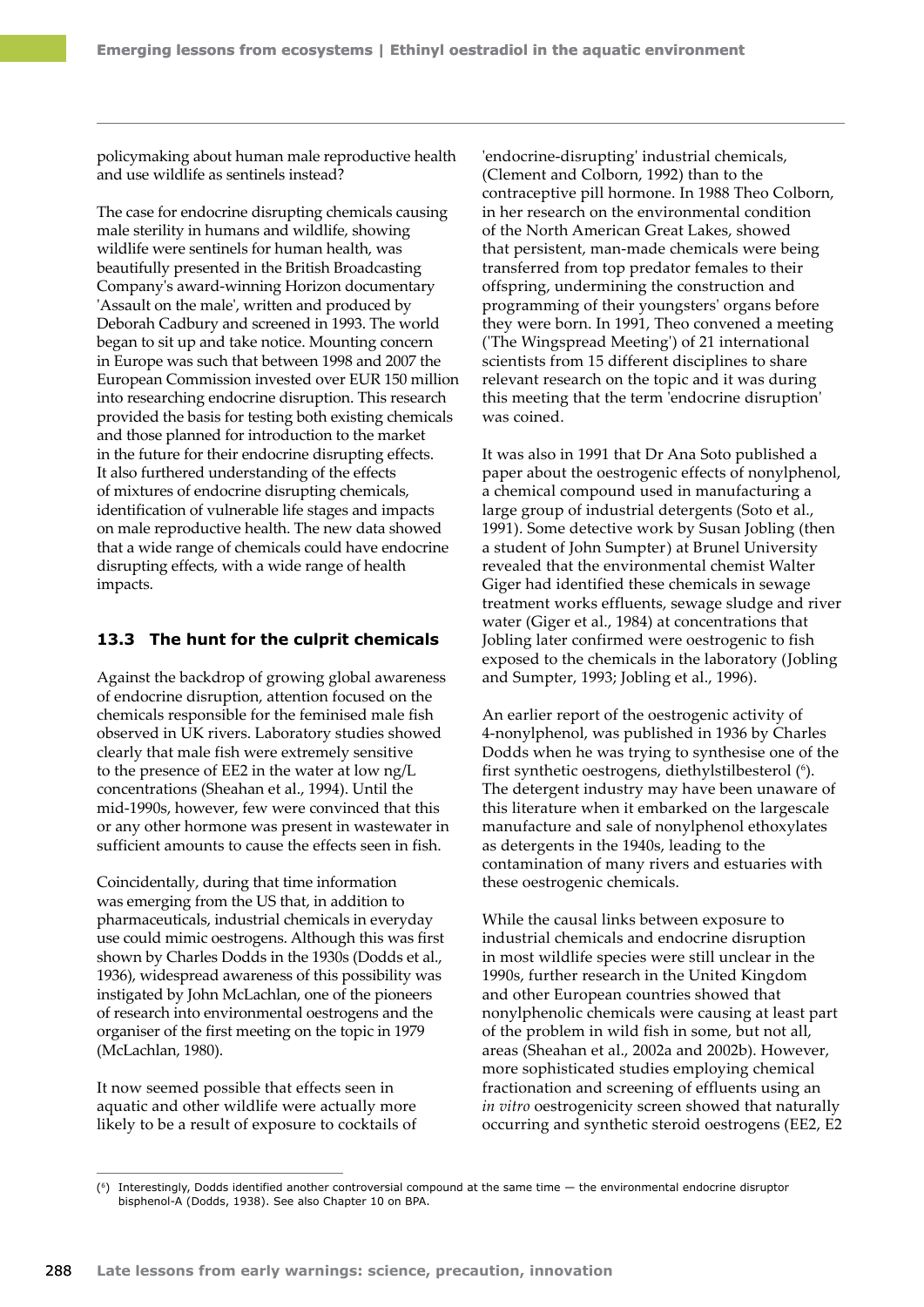policymaking about human male reproductive health and use wildlife as sentinels instead?

The case for endocrine disrupting chemicals causing male sterility in humans and wildlife, showing wildlife were sentinels for human health, was beautifully presented in the British Broadcasting Company's award-winning Horizon documentary 'Assault on the male', written and produced by Deborah Cadbury and screened in 1993. The world began to sit up and take notice. Mounting concern in Europe was such that between 1998 and 2007 the European Commission invested over EUR 150 million into researching endocrine disruption. This research provided the basis for testing both existing chemicals and those planned for introduction to the market in the future for their endocrine disrupting effects. It also furthered understanding of the effects of mixtures of endocrine disrupting chemicals, identification of vulnerable life stages and impacts on male reproductive health. The new data showed that a wide range of chemicals could have endocrine disrupting effects, with a wide range of health impacts.

# **13.3 The hunt for the culprit chemicals**

Against the backdrop of growing global awareness of endocrine disruption, attention focused on the chemicals responsible for the feminised male fish observed in UK rivers. Laboratory studies showed clearly that male fish were extremely sensitive to the presence of EE2 in the water at low ng/L concentrations (Sheahan et al., 1994). Until the mid‑1990s, however, few were convinced that this or any other hormone was present in wastewater in sufficient amounts to cause the effects seen in fish.

Coincidentally, during that time information was emerging from the US that, in addition to pharmaceuticals, industrial chemicals in everyday use could mimic oestrogens. Although this was first shown by Charles Dodds in the 1930s (Dodds et al., 1936), widespread awareness of this possibility was instigated by John McLachlan, one of the pioneers of research into environmental oestrogens and the organiser of the first meeting on the topic in 1979 (McLachlan, 1980).

It now seemed possible that effects seen in aquatic and other wildlife were actually more likely to be a result of exposure to cocktails of

'endocrine‑disrupting' industrial chemicals, (Clement and Colborn, 1992) than to the contraceptive pill hormone. In 1988 Theo Colborn, in her research on the environmental condition of the North American [Great Lakes](http://en.wikipedia.org/wiki/Great_Lakes), showed that [persistent, man‑made chemicals](http://en.wikipedia.org/wiki/Persistent_organic_pollutants) were being transferred from [top predator](http://en.wikipedia.org/wiki/Food_chain) females to their offspring, undermining the construction and programming of their youngsters' organs before they were born. In 1991, Theo convened a meeting ('The Wingspread Meeting') of 21 international scientists from 15 different disciplines to share relevant research on the topic and it was during this meeting that the term '[endocrine disruption](http://en.wikipedia.org/wiki/Endocrine_disruption)' was coined.

It was also in 1991 that Dr Ana Soto published a paper about the oestrogenic effects of nonylphenol, a chemical compound used in manufacturing a large group of industrial detergents (Soto et al., 1991). Some detective work by Susan Jobling (then a student of John Sumpter) at Brunel University revealed that the environmental chemist Walter Giger had identified these chemicals in sewage treatment works effluents, sewage sludge and river water (Giger et al., 1984) at concentrations that Jobling later confirmed were oestrogenic to fish exposed to the chemicals in the laboratory (Jobling and Sumpter, 1993; Jobling et al., 1996).

An earlier report of the oestrogenic activity of 4-nonylphenol, was published in 1936 by Charles Dodds when he was trying to synthesise one of the first synthetic oestrogens, diethylstilbesterol (6). The detergent industry may have been unaware of this literature when it embarked on the largescale manufacture and sale of nonylphenol ethoxylates as detergents in the 1940s, leading to the contamination of many rivers and estuaries with these oestrogenic chemicals.

While the causal links between exposure to industrial chemicals and endocrine disruption in most wildlife species were still unclear in the 1990s, further research in the United Kingdom and other European countries showed that nonylphenolic chemicals were causing at least part of the problem in wild fish in some, but not all, areas (Sheahan et al., 2002a and 2002b). However, more sophisticated studies employing chemical fractionation and screening of effluents using an *in vitro* oestrogenicity screen showed that naturally occurring and synthetic steroid oestrogens (EE2, E2

<sup>(6)</sup> Interestingly, Dodds identified another controversial compound at the same time — the environmental endocrine disruptor bisphenol-A (Dodds, 1938). See also Chapter 10 on BPA.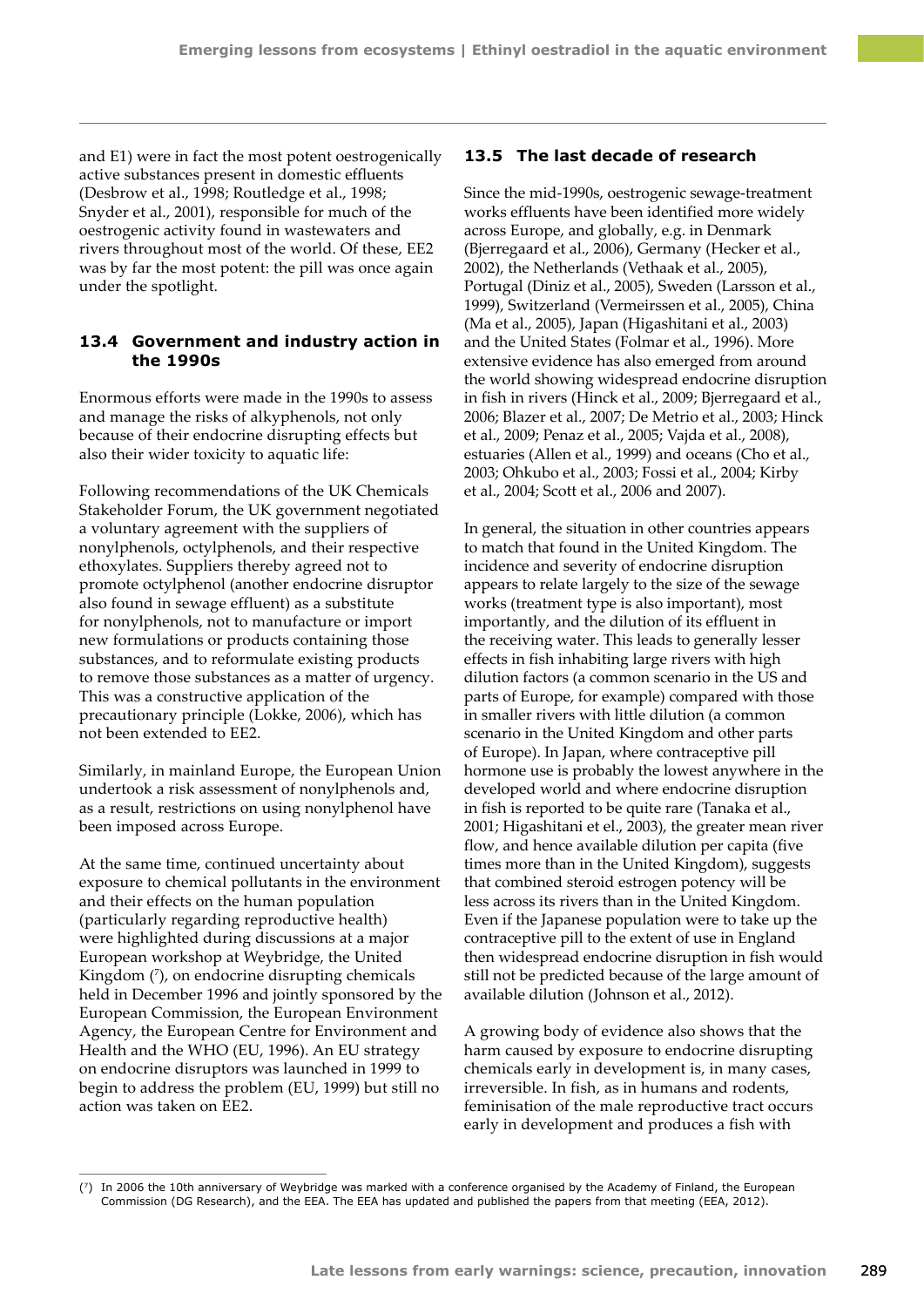and E1) were in fact the most potent oestrogenically active substances present in domestic effluents (Desbrow et al., 1998; Routledge et al., 1998; Snyder et al., 2001), responsible for much of the oestrogenic activity found in wastewaters and rivers throughout most of the world. Of these, EE2 was by far the most potent: the pill was once again under the spotlight.

# **13.4 Government and industry action in the 1990s**

Enormous efforts were made in the 1990s to assess and manage the risks of alkyphenols, not only because of their endocrine disrupting effects but also their wider toxicity to aquatic life:

Following recommendations of the UK Chemicals Stakeholder Forum, the UK government negotiated a voluntary agreement with the suppliers of nonylphenols, octylphenols, and their respective ethoxylates. Suppliers thereby agreed not to promote octylphenol (another endocrine disruptor also found in sewage effluent) as a substitute for nonylphenols, not to manufacture or import new formulations or products containing those substances, and to reformulate existing products to remove those substances as a matter of urgency. This was a constructive application of the precautionary principle (Lokke, 2006), which has not been extended to EE2.

Similarly, in mainland Europe, the European Union undertook a risk assessment of nonylphenols and, as a result, restrictions on using nonylphenol have been imposed across Europe.

At the same time, continued uncertainty about exposure to chemical pollutants in the environment and their effects on the human population (particularly regarding reproductive health) were highlighted during discussions at a major European workshop at Weybridge, the United Kingdom (7 ), on endocrine disrupting chemicals held in December 1996 and jointly sponsored by the European Commission, the European Environment Agency, the European Centre for Environment and Health and the WHO (EU, 1996). An EU strategy on endocrine disruptors was launched in 1999 to begin to address the problem (EU, 1999) but still no action was taken on EE2.

# **13.5 The last decade of research**

Since the mid-1990s, oestrogenic sewage-treatment works effluents have been identified more widely across Europe, and globally, e.g. in Denmark (Bjerregaard et al., 2006), Germany (Hecker et al., 2002), the Netherlands (Vethaak et al., 2005), Portugal (Diniz et al., 2005), Sweden (Larsson et al., 1999), Switzerland (Vermeirssen et al., 2005), China (Ma et al., 2005), Japan (Higashitani et al., 2003) and the United States (Folmar et al., 1996). More extensive evidence has also emerged from around the world showing widespread endocrine disruption in fish in rivers (Hinck et al., 2009; Bjerregaard et al., 2006; Blazer et al., 2007; De Metrio et al., 2003; Hinck et al., 2009; Penaz et al., 2005; Vajda et al., 2008), estuaries (Allen et al., 1999) and oceans (Cho et al., 2003; Ohkubo et al., 2003; Fossi et al., 2004; Kirby et al., 2004; Scott et al., 2006 and 2007).

In general, the situation in other countries appears to match that found in the United Kingdom. The incidence and severity of endocrine disruption appears to relate largely to the size of the sewage works (treatment type is also important), most importantly, and the dilution of its effluent in the receiving water. This leads to generally lesser effects in fish inhabiting large rivers with high dilution factors (a common scenario in the US and parts of Europe, for example) compared with those in smaller rivers with little dilution (a common scenario in the United Kingdom and other parts of Europe). In Japan, where contraceptive pill hormone use is probably the lowest anywhere in the developed world and where endocrine disruption in fish is reported to be quite rare (Tanaka et al., 2001; Higashitani et el., 2003), the greater mean river flow, and hence available dilution per capita (five times more than in the United Kingdom), suggests that combined steroid estrogen potency will be less across its rivers than in the United Kingdom. Even if the Japanese population were to take up the contraceptive pill to the extent of use in England then widespread endocrine disruption in fish would still not be predicted because of the large amount of available dilution (Johnson et al., 2012).

A growing body of evidence also shows that the harm caused by exposure to endocrine disrupting chemicals early in development is, in many cases, irreversible. In fish, as in humans and rodents, feminisation of the male reproductive tract occurs early in development and produces a fish with

<sup>(7)</sup> In 2006 the 10th anniversary of Weybridge was marked with a conference organised by the Academy of Finland, the European Commission (DG Research), and the EEA. The EEA has updated and published the papers from that meeting (EEA, 2012).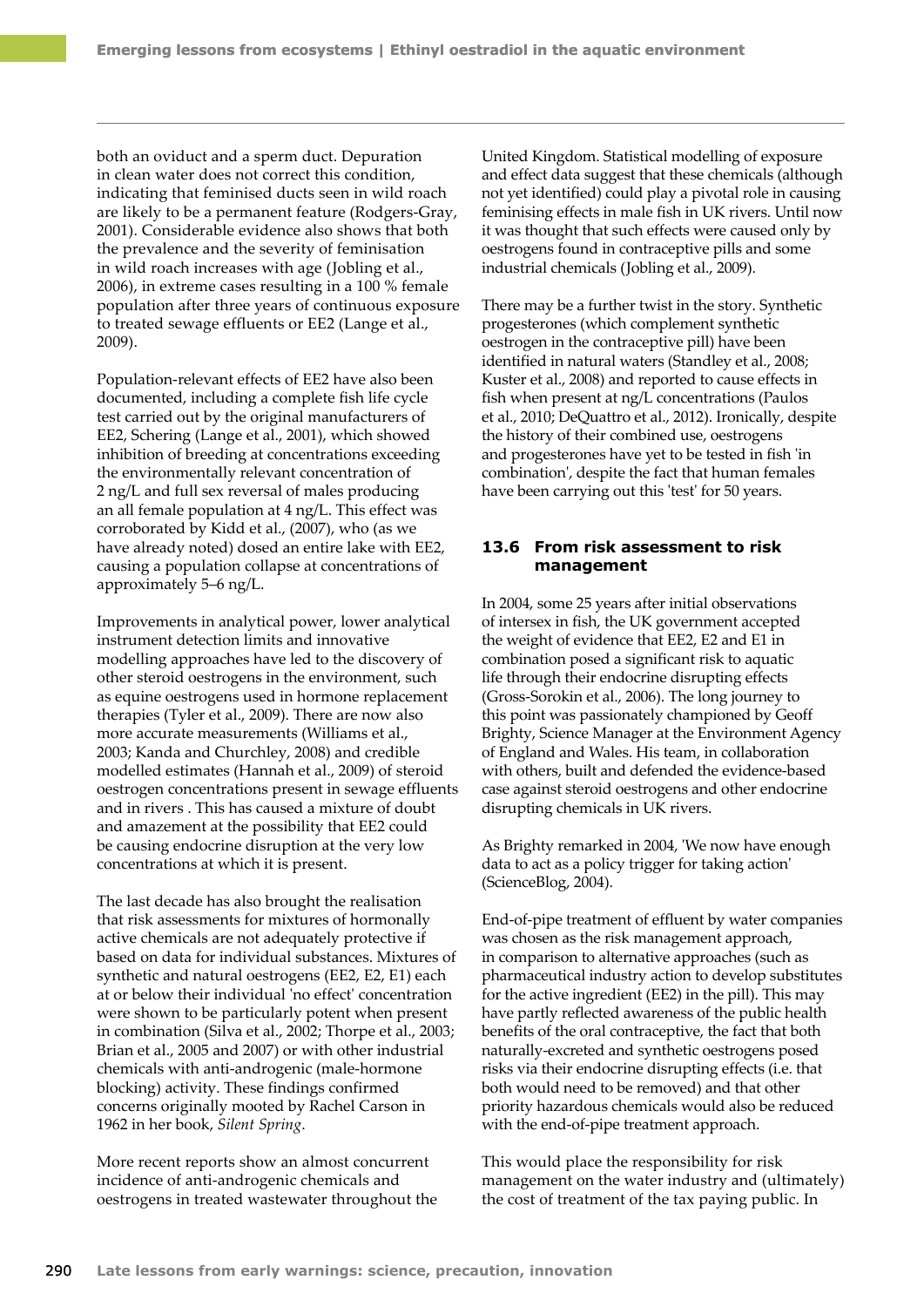both an oviduct and a sperm duct. Depuration in clean water does not correct this condition, indicating that feminised ducts seen in wild roach are likely to be a permanent feature (Rodgers-Gray, 2001). Considerable evidence also shows that both the prevalence and the severity of feminisation in wild roach increases with age (Jobling et al., 2006), in extreme cases resulting in a 100 % female population after three years of continuous exposure to treated sewage effluents or EE2 (Lange et al., 2009).

Population-relevant effects of EE2 have also been documented, including a complete fish life cycle test carried out by the original manufacturers of EE2, Schering (Lange et al., 2001), which showed inhibition of breeding at concentrations exceeding the environmentally relevant concentration of 2 ng/L and full sex reversal of males producing an all female population at 4 ng/L. This effect was corroborated by Kidd et al., (2007), who (as we have already noted) dosed an entire lake with EE2, causing a population collapse at concentrations of approximately 5–6 ng/L.

Improvements in analytical power, lower analytical instrument detection limits and innovative modelling approaches have led to the discovery of other steroid oestrogens in the environment, such as equine oestrogens used in hormone replacement therapies (Tyler et al., 2009). There are now also more accurate measurements (Williams et al., 2003; Kanda and Churchley, 2008) and credible modelled estimates (Hannah et al., 2009) of steroid oestrogen concentrations present in sewage effluents and in rivers . This has caused a mixture of doubt and amazement at the possibility that EE2 could be causing endocrine disruption at the very low concentrations at which it is present.

The last decade has also brought the realisation that risk assessments for mixtures of hormonally active chemicals are not adequately protective if based on data for individual substances. Mixtures of synthetic and natural oestrogens (EE2, E2, E1) each at or below their individual 'no effect' concentration were shown to be particularly potent when present in combination (Silva et al., 2002; Thorpe et al., 2003; Brian et al., 2005 and 2007) or with other industrial chemicals with anti-androgenic (male-hormone blocking) activity. These findings confirmed concerns originally mooted by Rachel Carson in 1962 in her book, *Silent Spring*.

More recent reports show an almost concurrent incidence of anti-androgenic chemicals and oestrogens in treated wastewater throughout the United Kingdom. Statistical modelling of exposure and effect data suggest that these chemicals (although not yet identified) could play a pivotal role in causing feminising effects in male fish in UK rivers. Until now it was thought that such effects were caused only by oestrogens found in contraceptive pills and some industrial chemicals (Jobling et al., 2009).

There may be a further twist in the story. Synthetic progesterones (which complement synthetic oestrogen in the contraceptive pill) have been identified in natural waters (Standley et al., 2008; Kuster et al., 2008) and reported to cause effects in fish when present at ng/L concentrations (Paulos et al., 2010; DeQuattro et al., 2012). Ironically, despite the history of their combined use, oestrogens and progesterones have yet to be tested in fish 'in combination', despite the fact that human females have been carrying out this 'test' for 50 years.

# **13.6 From risk assessment to risk management**

In 2004, some 25 years after initial observations of intersex in fish, the UK government accepted the weight of evidence that EE2, E2 and E1 in combination posed a significant risk to aquatic life through their endocrine disrupting effects (Gross‑Sorokin et al., 2006). The long journey to this point was passionately championed by Geoff Brighty, Science Manager at the Environment Agency of England and Wales. His team, in collaboration with others, built and defended the evidence-based case against steroid oestrogens and other endocrine disrupting chemicals in UK rivers.

As Brighty remarked in 2004, 'We now have enough data to act as a policy trigger for taking action' (ScienceBlog, 2004).

End-of-pipe treatment of effluent by water companies was chosen as the risk management approach, in comparison to alternative approaches (such as pharmaceutical industry action to develop substitutes for the active ingredient (EE2) in the pill). This may have partly reflected awareness of the public health benefits of the oral contraceptive, the fact that both naturally‑excreted and synthetic oestrogens posed risks via their endocrine disrupting effects (i.e. that both would need to be removed) and that other priority hazardous chemicals would also be reduced with the end-of-pipe treatment approach.

This would place the responsibility for risk management on the water industry and (ultimately) the cost of treatment of the tax paying public. In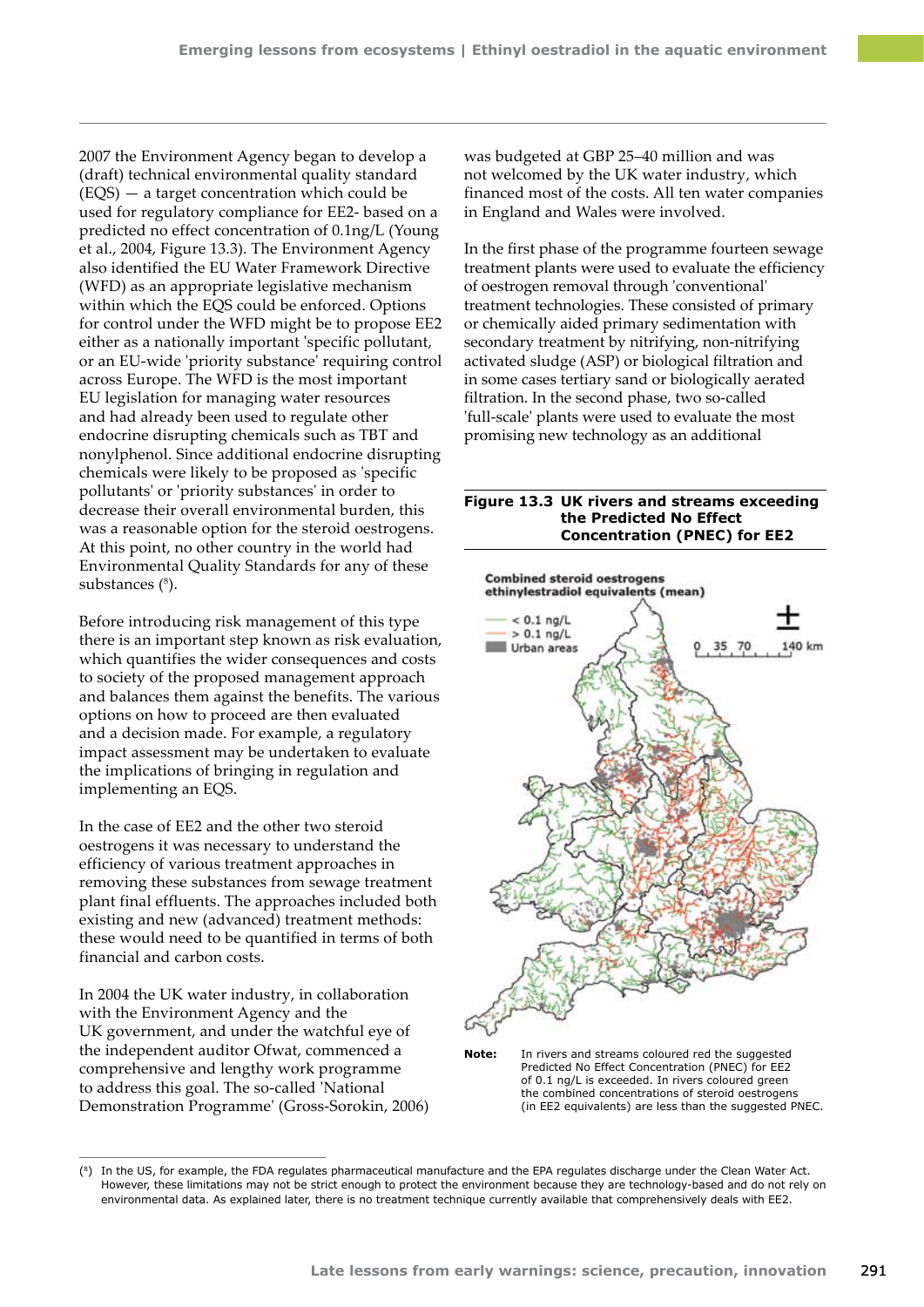2007 the Environment Agency began to develop a (draft) technical environmental quality standard (EQS) — a target concentration which could be used for regulatory compliance for EE2- based on a predicted no effect concentration of 0.1ng/L (Young et al., 2004, Figure 13.3). The Environment Agency also identified the EU Water Framework Directive (WFD) as an appropriate legislative mechanism within which the EQS could be enforced. Options for control under the WFD might be to propose EE2 either as a nationally important 'specific pollutant, or an EU-wide 'priority substance' requiring control across Europe. The WFD is the most important EU legislation for managing water resources and had already been used to regulate other endocrine disrupting chemicals such as TBT and nonylphenol. Since additional endocrine disrupting chemicals were likely to be proposed as 'specific pollutants' or 'priority substances' in order to decrease their overall environmental burden, this was a reasonable option for the steroid oestrogens. At this point, no other country in the world had Environmental Quality Standards for any of these substances (8).

Before introducing risk management of this type there is an important step known as risk evaluation, which quantifies the wider consequences and costs to society of the proposed management approach and balances them against the benefits. The various options on how to proceed are then evaluated and a decision made. For example, a regulatory impact assessment may be undertaken to evaluate the implications of bringing in regulation and implementing an EQS.

In the case of EE2 and the other two steroid oestrogens it was necessary to understand the efficiency of various treatment approaches in removing these substances from sewage treatment plant final effluents. The approaches included both existing and new (advanced) treatment methods: these would need to be quantified in terms of both financial and carbon costs.

In 2004 the UK water industry, in collaboration with the Environment Agency and the UK government, and under the watchful eye of the independent auditor Ofwat, commenced a comprehensive and lengthy work programme to address this goal. The so-called 'National Demonstration Programme' (Gross-Sorokin, 2006)

was budgeted at GBP 25–40 million and was not welcomed by the UK water industry, which financed most of the costs. All ten water companies in England and Wales were involved.

In the first phase of the programme fourteen sewage treatment plants were used to evaluate the efficiency of oestrogen removal through 'conventional' treatment technologies. These consisted of primary or chemically aided primary sedimentation with secondary treatment by nitrifying, non-nitrifying activated sludge (ASP) or biological filtration and in some cases tertiary sand or biologically aerated filtration. In the second phase, two so-called 'full-scale' plants were used to evaluate the most promising new technology as an additional

#### **Figure 13.3 UK rivers and streams exceeding the Predicted No Effect Concentration (PNEC) for EE2**



**Note:** In rivers and streams coloured red the suggested Predicted No Effect Concentration (PNEC) for EE2 of 0.1 ng/L is exceeded. In rivers coloured green the combined concentrations of steroid oestrogens (in EE2 equivalents) are less than the suggested PNEC.

<sup>(8)</sup> In the US, for example, the FDA regulates pharmaceutical manufacture and the EPA regulates discharge under the Clean Water Act. However, these limitations may not be strict enough to protect the environment because they are technology-based and do not rely on environmental data. As explained later, there is no treatment technique currently available that comprehensively deals with EE2.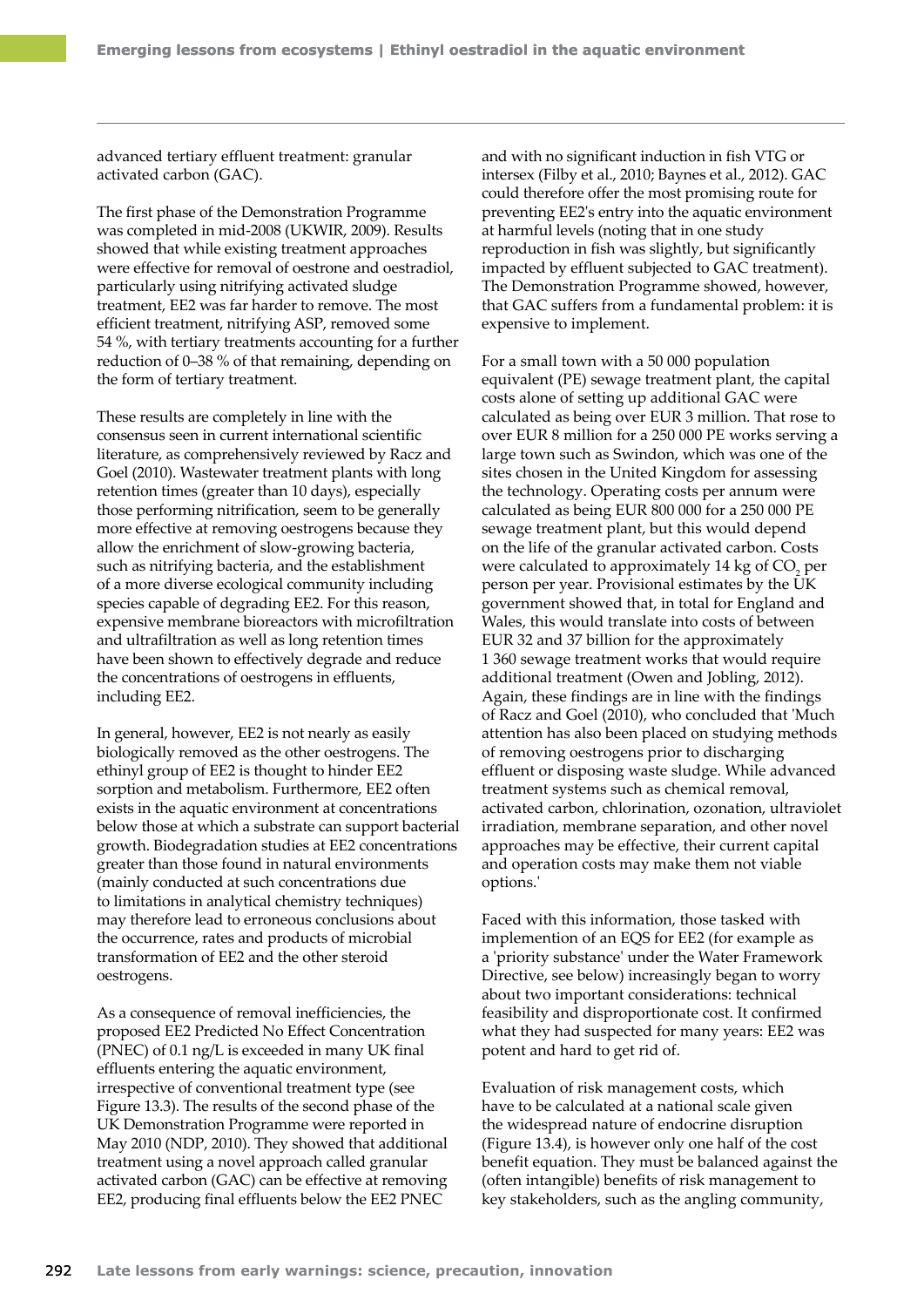advanced tertiary effluent treatment: granular activated carbon (GAC).

The first phase of the Demonstration Programme was completed in mid-2008 (UKWIR, 2009). Results showed that while existing treatment approaches were effective for removal of oestrone and oestradiol, particularly using nitrifying activated sludge treatment, EE2 was far harder to remove. The most efficient treatment, nitrifying ASP, removed some 54 %, with tertiary treatments accounting for a further reduction of 0–38 % of that remaining, depending on the form of tertiary treatment.

These results are completely in line with the consensus seen in current international scientific literature, as comprehensively reviewed by Racz and Goel (2010). Wastewater treatment plants with long retention times (greater than 10 days), especially those performing nitrification, seem to be generally more effective at removing oestrogens because they allow the enrichment of slow-growing bacteria, such as nitrifying bacteria, and the establishment of a more diverse ecological community including species capable of degrading EE2. For this reason, expensive membrane bioreactors with microfiltration and ultrafiltration as well as long retention times have been shown to effectively degrade and reduce the concentrations of oestrogens in effluents, including EE2.

In general, however, EE2 is not nearly as easily biologically removed as the other oestrogens. The ethinyl group of EE2 is thought to hinder EE2 sorption and metabolism. Furthermore, EE2 often exists in the aquatic environment at concentrations below those at which a substrate can support bacterial growth. Biodegradation studies at EE2 concentrations greater than those found in natural environments (mainly conducted at such concentrations due to limitations in analytical chemistry techniques) may therefore lead to erroneous conclusions about the occurrence, rates and products of microbial transformation of EE2 and the other steroid oestrogens.

As a consequence of removal inefficiencies, the proposed EE2 Predicted No Effect Concentration (PNEC) of 0.1 ng/L is exceeded in many UK final effluents entering the aquatic environment, irrespective of conventional treatment type (see Figure 13.3). The results of the second phase of the UK Demonstration Programme were reported in May 2010 (NDP, 2010). They showed that additional treatment using a novel approach called granular activated carbon (GAC) can be effective at removing EE2, producing final effluents below the EE2 PNEC

and with no significant induction in fish VTG or intersex (Filby et al., 2010; Baynes et al., 2012). GAC could therefore offer the most promising route for preventing EE2's entry into the aquatic environment at harmful levels (noting that in one study reproduction in fish was slightly, but significantly impacted by effluent subjected to GAC treatment). The Demonstration Programme showed, however, that GAC suffers from a fundamental problem: it is expensive to implement.

For a small town with a 50 000 population equivalent (PE) sewage treatment plant, the capital costs alone of setting up additional GAC were calculated as being over EUR 3 million. That rose to over EUR 8 million for a 250 000 PE works serving a large town such as Swindon, which was one of the sites chosen in the United Kingdom for assessing the technology. Operating costs per annum were calculated as being EUR 800 000 for a 250 000 PE sewage treatment plant, but this would depend on the life of the granular activated carbon. Costs were calculated to approximately 14 kg of  $CO<sub>2</sub>$  per person per year. Provisional estimates by the UK government showed that, in total for England and Wales, this would translate into costs of between EUR 32 and 37 billion for the approximately 1 360 sewage treatment works that would require additional treatment (Owen and Jobling, 2012). Again, these findings are in line with the findings of Racz and Goel (2010), who concluded that 'Much attention has also been placed on studying methods of removing oestrogens prior to discharging effluent or disposing waste sludge. While advanced treatment systems such as chemical removal, activated carbon, chlorination, ozonation, ultraviolet irradiation, membrane separation, and other novel approaches may be effective, their current capital and operation costs may make them not viable options.'

Faced with this information, those tasked with implemention of an EQS for EE2 (for example as a 'priority substance' under the Water Framework Directive, see below) increasingly began to worry about two important considerations: technical feasibility and disproportionate cost. It confirmed what they had suspected for many years: EE2 was potent and hard to get rid of.

Evaluation of risk management costs, which have to be calculated at a national scale given the widespread nature of endocrine disruption (Figure 13.4), is however only one half of the cost benefit equation. They must be balanced against the (often intangible) benefits of risk management to key stakeholders, such as the angling community,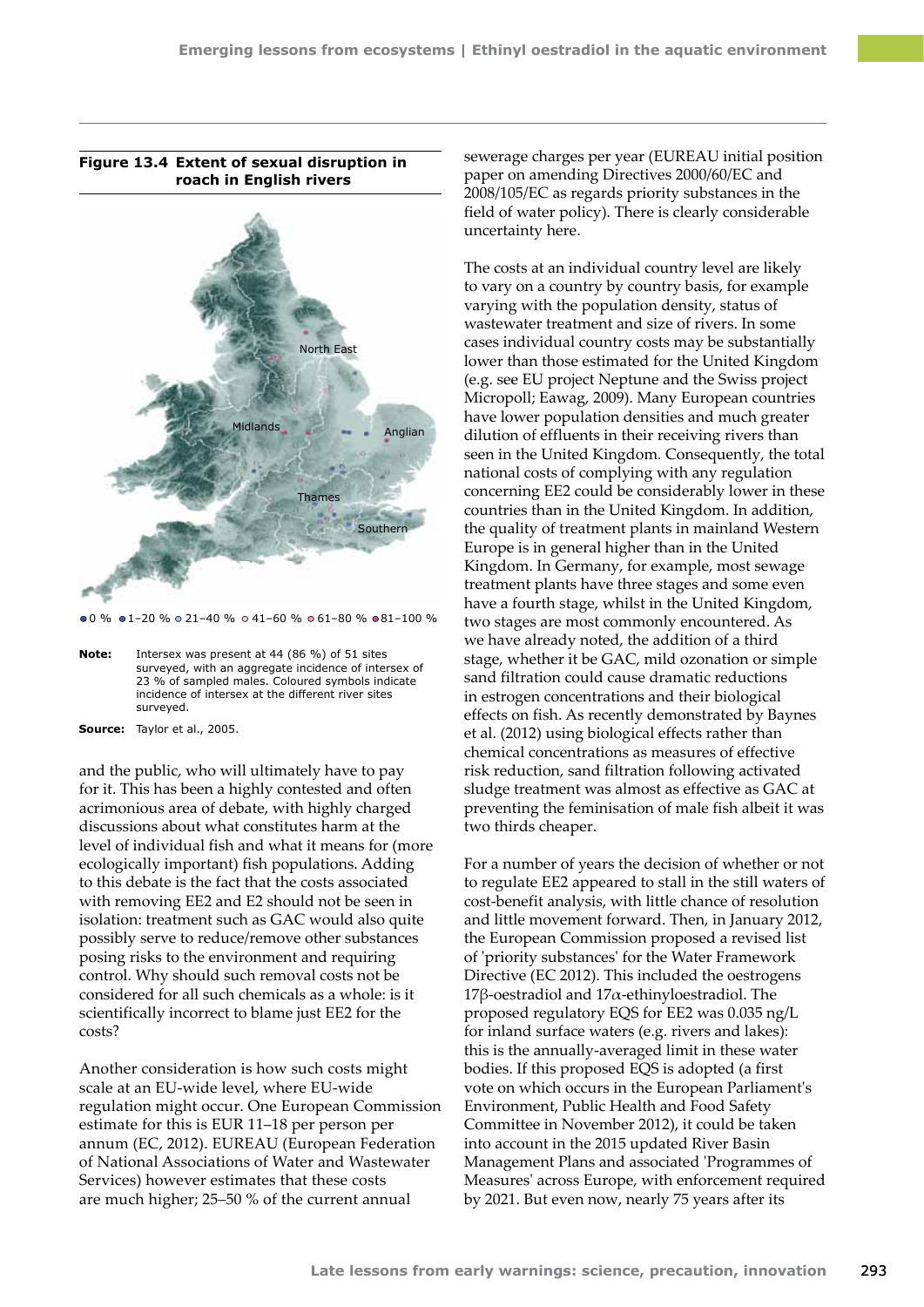**Figure 13.4 Extent of sexual disruption in roach in English rivers**



 $0.0 \%$   $0.1-20 \%$   $0.21-40 \%$   $0.41-60 \%$   $0.61-80 \%$   $0.81-100 \%$ 

**Note:** Intersex was present at 44 (86 %) of 51 sites surveyed, with an aggregate incidence of intersex of 23 % of sampled males. Coloured symbols indicate incidence of intersex at the different river sites surveyed.

**Source:** Taylor et al., 2005.

and the public, who will ultimately have to pay for it. This has been a highly contested and often acrimonious area of debate, with highly charged discussions about what constitutes harm at the level of individual fish and what it means for (more ecologically important) fish populations. Adding to this debate is the fact that the costs associated with removing EE2 and E2 should not be seen in isolation: treatment such as GAC would also quite possibly serve to reduce/remove other substances posing risks to the environment and requiring control. Why should such removal costs not be considered for all such chemicals as a whole: is it scientifically incorrect to blame just EE2 for the costs?

Another consideration is how such costs might scale at an EU-wide level, where EU-wide regulation might occur. One European Commission estimate for this is EUR 11–18 per person per annum (EC, 2012). EUREAU (European Federation of National Associations of Water and Wastewater Services) however estimates that these costs are much higher; 25–50 % of the current annual

sewerage charges per year (EUREAU initial position paper on amending Directives 2000/60/EC and 2008/105/EC as regards priority substances in the field of water policy). There is clearly considerable uncertainty here.

The costs at an individual country level are likely to vary on a country by country basis, for example varying with the population density, status of wastewater treatment and size of rivers. In some cases individual country costs may be substantially lower than those estimated for the United Kingdom (e.g. see EU project Neptune and the Swiss project Micropoll; Eawag, 2009). Many European countries have lower population densities and much greater dilution of effluents in their receiving rivers than seen in the United Kingdom. Consequently, the total national costs of complying with any regulation concerning EE2 could be considerably lower in these countries than in the United Kingdom. In addition, the quality of treatment plants in mainland Western Europe is in general higher than in the United Kingdom. In Germany, for example, most sewage treatment plants have three stages and some even have a fourth stage, whilst in the United Kingdom, two stages are most commonly encountered. As we have already noted, the addition of a third stage, whether it be GAC, mild ozonation or simple sand filtration could cause dramatic reductions in estrogen concentrations and their biological effects on fish. As recently demonstrated by Baynes et al. (2012) using biological effects rather than chemical concentrations as measures of effective risk reduction, sand filtration following activated sludge treatment was almost as effective as GAC at preventing the feminisation of male fish albeit it was two thirds cheaper.

For a number of years the decision of whether or not to regulate EE2 appeared to stall in the still waters of cost-benefit analysis, with little chance of resolution and little movement forward. Then, in January 2012, the European Commission proposed a revised list of 'priority substances' for the Water Framework Directive (EC 2012). This included the oestrogens 17β-oestradiol and 17α-ethinyloestradiol. The proposed regulatory EQS for EE2 was 0.035 ng/L for inland surface waters (e.g. rivers and lakes): this is the annually‑averaged limit in these water bodies. If this proposed EQS is adopted (a first vote on which occurs in the European Parliament's Environment, Public Health and Food Safety Committee in November 2012), it could be taken into account in the 2015 updated River Basin Management Plans and associated 'Programmes of Measures' across Europe, with enforcement required by 2021. But even now, nearly 75 years after its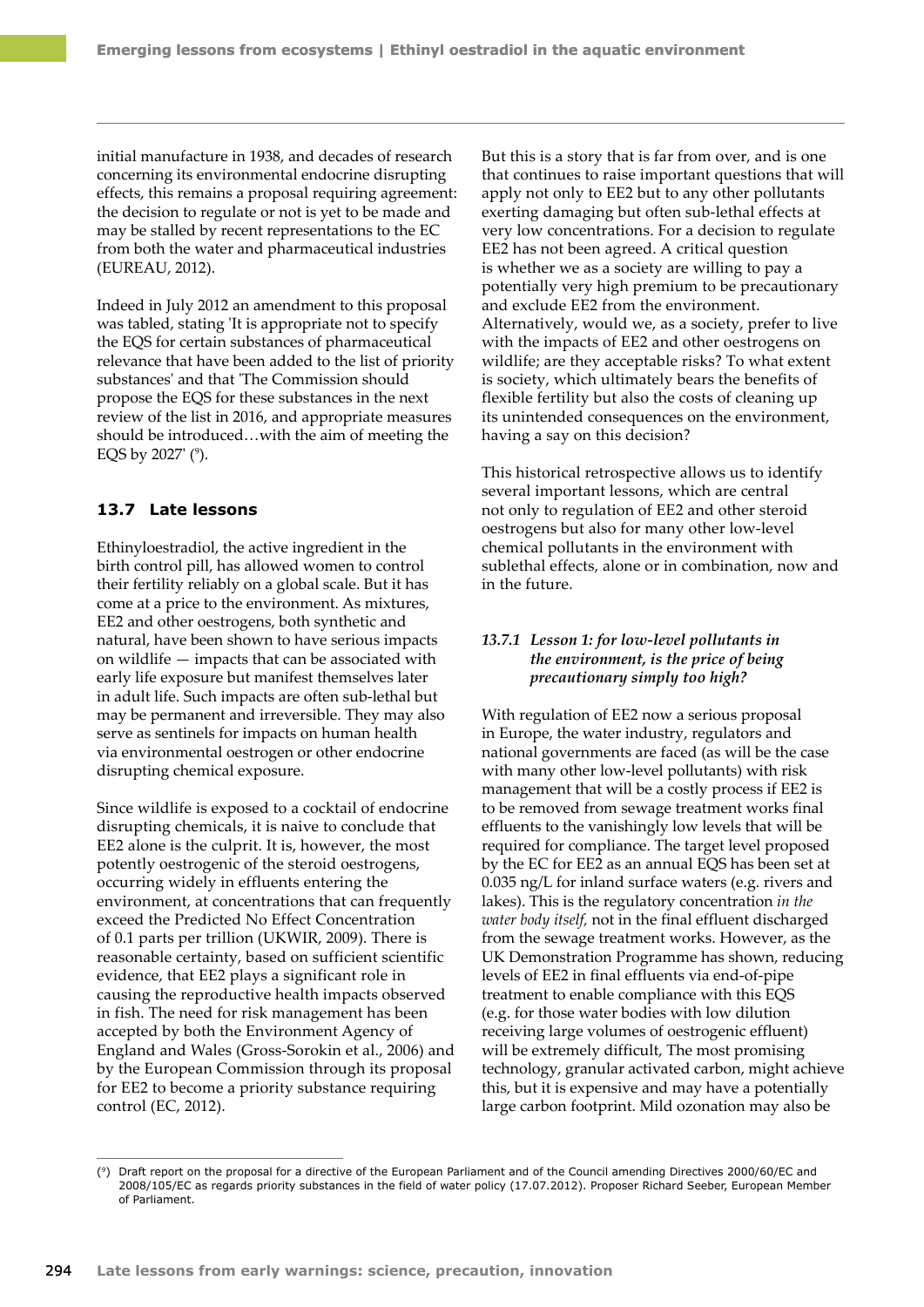initial manufacture in 1938, and decades of research concerning its environmental endocrine disrupting effects, this remains a proposal requiring agreement: the decision to regulate or not is yet to be made and may be stalled by recent representations to the EC from both the water and pharmaceutical industries (EUREAU, 2012).

Indeed in July 2012 an amendment to this proposal was tabled, stating 'It is appropriate not to specify the EQS for certain substances of pharmaceutical relevance that have been added to the list of priority substances' and that 'The Commission should propose the EQS for these substances in the next review of the list in 2016, and appropriate measures should be introduced…with the aim of meeting the EQS by 2027' (°).

### **13.7 Late lessons**

Ethinyloestradiol, the active ingredient in the birth control pill, has allowed women to control their fertility reliably on a global scale. But it has come at a price to the environment. As mixtures, EE2 and other oestrogens, both synthetic and natural, have been shown to have serious impacts on wildlife — impacts that can be associated with early life exposure but manifest themselves later in adult life. Such impacts are often sub-lethal but may be permanent and irreversible. They may also serve as sentinels for impacts on human health via environmental oestrogen or other endocrine disrupting chemical exposure.

Since wildlife is exposed to a cocktail of endocrine disrupting chemicals, it is naive to conclude that EE2 alone is the culprit. It is, however, the most potently oestrogenic of the steroid oestrogens, occurring widely in effluents entering the environment, at concentrations that can frequently exceed the Predicted No Effect Concentration of 0.1 parts per trillion (UKWIR, 2009). There is reasonable certainty, based on sufficient scientific evidence, that EE2 plays a significant role in causing the reproductive health impacts observed in fish. The need for risk management has been accepted by both the Environment Agency of England and Wales (Gross-Sorokin et al., 2006) and by the European Commission through its proposal for EE2 to become a priority substance requiring control (EC, 2012).

But this is a story that is far from over, and is one that continues to raise important questions that will apply not only to EE2 but to any other pollutants exerting damaging but often sub-lethal effects at very low concentrations. For a decision to regulate EE2 has not been agreed. A critical question is whether we as a society are willing to pay a potentially very high premium to be precautionary and exclude EE2 from the environment. Alternatively, would we, as a society, prefer to live with the impacts of EE2 and other oestrogens on wildlife; are they acceptable risks? To what extent is society, which ultimately bears the benefits of flexible fertility but also the costs of cleaning up its unintended consequences on the environment, having a say on this decision?

This historical retrospective allows us to identify several important lessons, which are central not only to regulation of EE2 and other steroid oestrogens but also for many other low-level chemical pollutants in the environment with sublethal effects, alone or in combination, now and in the future.

# *13.7.1 Lesson 1: for low-level pollutants in the environment, is the price of being precautionary simply too high?*

With regulation of EE2 now a serious proposal in Europe, the water industry, regulators and national governments are faced (as will be the case with many other low-level pollutants) with risk management that will be a costly process if EE2 is to be removed from sewage treatment works final effluents to the vanishingly low levels that will be required for compliance. The target level proposed by the EC for EE2 as an annual EQS has been set at 0.035 ng/L for inland surface waters (e.g. rivers and lakes). This is the regulatory concentration *in the water body itself,* not in the final effluent discharged from the sewage treatment works. However, as the UK Demonstration Programme has shown, reducing levels of EE2 in final effluents via end‑of‑pipe treatment to enable compliance with this EQS (e.g. for those water bodies with low dilution receiving large volumes of oestrogenic effluent) will be extremely difficult, The most promising technology, granular activated carbon, might achieve this, but it is expensive and may have a potentially large carbon footprint. Mild ozonation may also be

<sup>(9)</sup> Draft report on the proposal for a directive of the European Parliament and of the Council amending Directives 2000/60/EC and 2008/105/EC as regards priority substances in the field of water policy (17.07.2012). Proposer Richard Seeber, European Member of Parliament.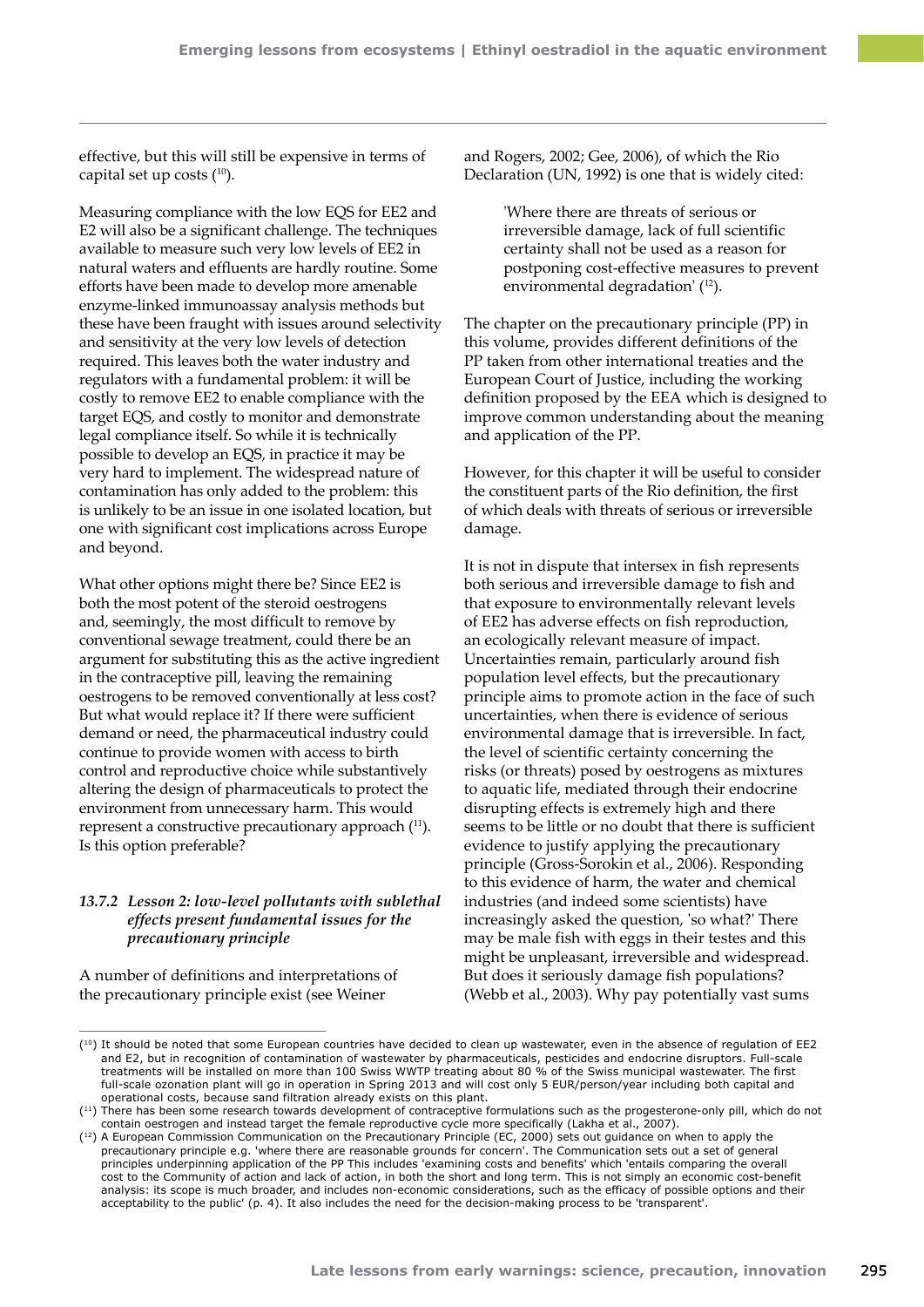effective, but this will still be expensive in terms of capital set up costs  $(10)$ .

Measuring compliance with the low EQS for EE2 and E2 will also be a significant challenge. The techniques available to measure such very low levels of EE2 in natural waters and effluents are hardly routine. Some efforts have been made to develop more amenable enzyme-linked immunoassay analysis methods but these have been fraught with issues around selectivity and sensitivity at the very low levels of detection required. This leaves both the water industry and regulators with a fundamental problem: it will be costly to remove EE2 to enable compliance with the target EQS, and costly to monitor and demonstrate legal compliance itself. So while it is technically possible to develop an EQS, in practice it may be very hard to implement. The widespread nature of contamination has only added to the problem: this is unlikely to be an issue in one isolated location, but one with significant cost implications across Europe and beyond.

What other options might there be? Since EE2 is both the most potent of the steroid oestrogens and, seemingly, the most difficult to remove by conventional sewage treatment, could there be an argument for substituting this as the active ingredient in the contraceptive pill, leaving the remaining oestrogens to be removed conventionally at less cost? But what would replace it? If there were sufficient demand or need, the pharmaceutical industry could continue to provide women with access to birth control and reproductive choice while substantively altering the design of pharmaceuticals to protect the environment from unnecessary harm. This would represent a constructive precautionary approach (<sup>11</sup>). Is this option preferable?

## *13.7.2 Lesson 2: low-level pollutants with sublethal effects present fundamental issues for the precautionary principle*

A number of definitions and interpretations of the precautionary principle exist (see Weiner

and Rogers, 2002; Gee, 2006), of which the Rio Declaration (UN, 1992) is one that is widely cited:

> 'Where there are threats of serious or irreversible damage, lack of full scientific certainty shall not be used as a reason for postponing cost-effective measures to prevent environmental degradation' (<sup>12</sup>).

The chapter on the precautionary principle (PP) in this volume, provides different definitions of the PP taken from other international treaties and the European Court of Justice, including the working definition proposed by the EEA which is designed to improve common understanding about the meaning and application of the PP.

However, for this chapter it will be useful to consider the constituent parts of the Rio definition, the first of which deals with threats of serious or irreversible damage.

It is not in dispute that intersex in fish represents both serious and irreversible damage to fish and that exposure to environmentally relevant levels of EE2 has adverse effects on fish reproduction, an ecologically relevant measure of impact. Uncertainties remain, particularly around fish population level effects, but the precautionary principle aims to promote action in the face of such uncertainties, when there is evidence of serious environmental damage that is irreversible. In fact, the level of scientific certainty concerning the risks (or threats) posed by oestrogens as mixtures to aquatic life, mediated through their endocrine disrupting effects is extremely high and there seems to be little or no doubt that there is sufficient evidence to justify applying the precautionary principle (Gross-Sorokin et al., 2006). Responding to this evidence of harm, the water and chemical industries (and indeed some scientists) have increasingly asked the question, 'so what?' There may be male fish with eggs in their testes and this might be unpleasant, irreversible and widespread. But does it seriously damage fish populations? (Webb et al., 2003). Why pay potentially vast sums

<sup>(10)</sup> It should be noted that some European countries have decided to clean up wastewater, even in the absence of regulation of EE2 and E2, but in recognition of contamination of wastewater by pharmaceuticals, pesticides and endocrine disruptors. Full-scale treatments will be installed on more than 100 Swiss WWTP treating about 80 % of the Swiss municipal wastewater. The first full-scale ozonation plant will go in operation in Spring 2013 and will cost only 5 EUR/person/year including both capital and operational costs, because sand filtration already exists on this plant.

<sup>(11)</sup> There has been some research towards development of contraceptive formulations such as the progesterone-only pill, which do not contain oestrogen and instead target the female reproductive cycle more specifically (Lakha et al., 2007).

<sup>&</sup>lt;sup>(12</sup>) A European Commission Communication on the Precautionary Principle (EC, 2000) sets out guidance on when to apply the precautionary principle e.g. 'where there are reasonable grounds for concern'. The Communication sets out a set of general principles underpinning application of the PP This includes 'examining costs and benefits' which 'entails comparing the overall cost to the Community of action and lack of action, in both the short and long term. This is not simply an economic cost-benefit analysis: its scope is much broader, and includes non-economic considerations, such as the efficacy of possible options and their acceptability to the public' (p. 4). It also includes the need for the decision-making process to be 'transparent'.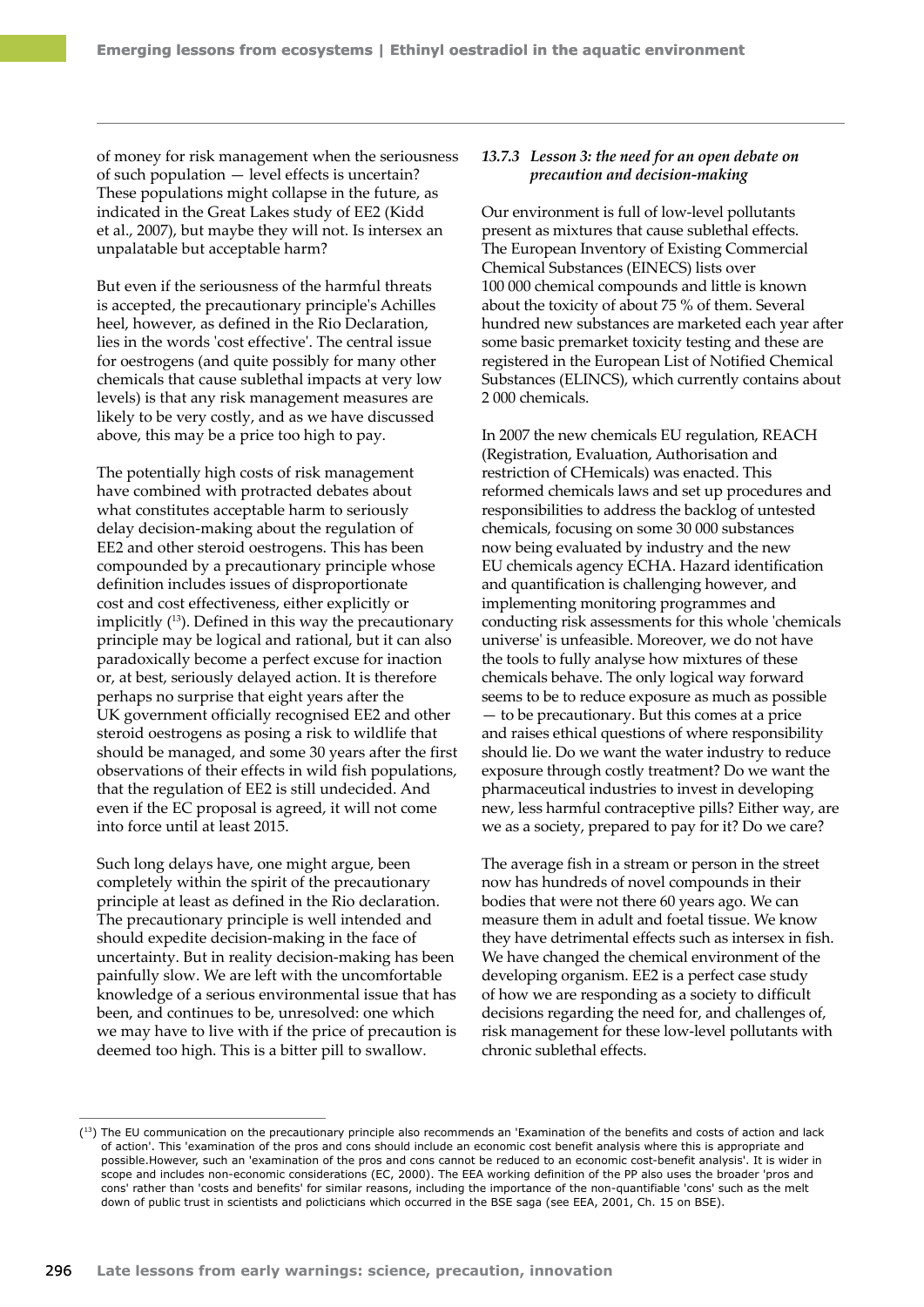of money for risk management when the seriousness of such population — level effects is uncertain? These populations might collapse in the future, as indicated in the Great Lakes study of EE2 (Kidd et al., 2007), but maybe they will not. Is intersex an unpalatable but acceptable harm?

But even if the seriousness of the harmful threats is accepted, the precautionary principle's Achilles heel, however, as defined in the Rio Declaration, lies in the words 'cost effective'. The central issue for oestrogens (and quite possibly for many other chemicals that cause sublethal impacts at very low levels) is that any risk management measures are likely to be very costly, and as we have discussed above, this may be a price too high to pay.

The potentially high costs of risk management have combined with protracted debates about what constitutes acceptable harm to seriously delay decision-making about the regulation of EE2 and other steroid oestrogens. This has been compounded by a precautionary principle whose definition includes issues of disproportionate cost and cost effectiveness, either explicitly or implicitly  $(13)$ . Defined in this way the precautionary principle may be logical and rational, but it can also paradoxically become a perfect excuse for inaction or, at best, seriously delayed action. It is therefore perhaps no surprise that eight years after the UK government officially recognised EE2 and other steroid oestrogens as posing a risk to wildlife that should be managed, and some 30 years after the first observations of their effects in wild fish populations, that the regulation of EE2 is still undecided. And even if the EC proposal is agreed, it will not come into force until at least 2015.

Such long delays have, one might argue, been completely within the spirit of the precautionary principle at least as defined in the Rio declaration. The precautionary principle is well intended and should expedite decision-making in the face of uncertainty. But in reality decision-making has been painfully slow. We are left with the uncomfortable knowledge of a serious environmental issue that has been, and continues to be, unresolved: one which we may have to live with if the price of precaution is deemed too high. This is a bitter pill to swallow.

### *13.7.3 Lesson 3: the need for an open debate on precaution and decision-making*

Our environment is full of low-level pollutants present as mixtures that cause sublethal effects. The European Inventory of Existing Commercial Chemical Substances (EINECS) lists over 100 000 chemical compounds and little is known about the toxicity of about 75 % of them. Several hundred new substances are marketed each year after some basic premarket toxicity testing and these are registered in the European List of Notified Chemical Substances (ELINCS), which currently contains about 2 000 chemicals.

In 2007 the new chemicals EU regulation, REACH (Registration, Evaluation, Authorisation and restriction of CHemicals) was enacted. This reformed chemicals laws and set up procedures and responsibilities to address the backlog of untested chemicals, focusing on some 30 000 substances now being evaluated by industry and the new EU chemicals agency ECHA. Hazard identification and quantification is challenging however, and implementing monitoring programmes and conducting risk assessments for this whole 'chemicals universe' is unfeasible. Moreover, we do not have the tools to fully analyse how mixtures of these chemicals behave. The only logical way forward seems to be to reduce exposure as much as possible — to be precautionary. But this comes at a price and raises ethical questions of where responsibility should lie. Do we want the water industry to reduce exposure through costly treatment? Do we want the pharmaceutical industries to invest in developing new, less harmful contraceptive pills? Either way, are we as a society, prepared to pay for it? Do we care?

The average fish in a stream or person in the street now has hundreds of novel compounds in their bodies that were not there 60 years ago. We can measure them in adult and foetal tissue. We know they have detrimental effects such as intersex in fish. We have changed the chemical environment of the developing organism. EE2 is a perfect case study of how we are responding as a society to difficult decisions regarding the need for, and challenges of, risk management for these low-level pollutants with chronic sublethal effects.

<sup>&</sup>lt;sup>(13)</sup> The EU communication on the precautionary principle also recommends an 'Examination of the benefits and costs of action and lack of action'. This 'examination of the pros and cons should include an economic cost benefit analysis where this is appropriate and possible.However, such an 'examination of the pros and cons cannot be reduced to an economic cost-benefit analysis'. It is wider in scope and includes non-economic considerations (EC, 2000). The EEA working definition of the PP also uses the broader 'pros and cons' rather than 'costs and benefits' for similar reasons, including the importance of the non-quantifiable 'cons' such as the melt down of public trust in scientists and policticians which occurred in the BSE saga (see EEA, 2001, Ch. 15 on BSE).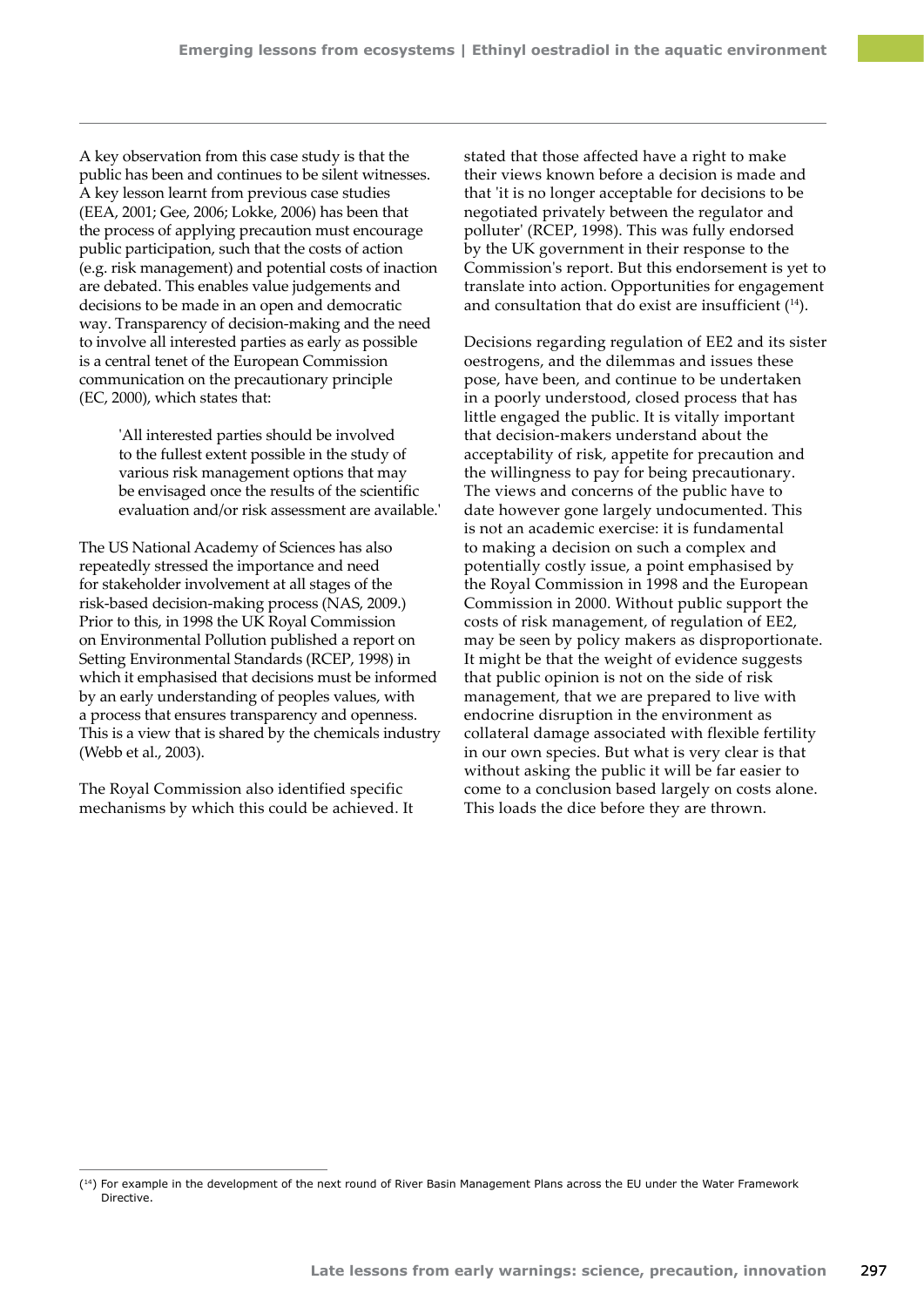A key observation from this case study is that the public has been and continues to be silent witnesses. A key lesson learnt from previous case studies (EEA, 2001; Gee, 2006; Lokke, 2006) has been that the process of applying precaution must encourage public participation, such that the costs of action (e.g. risk management) and potential costs of inaction are debated. This enables value judgements and decisions to be made in an open and democratic way. Transparency of decision‑making and the need to involve all interested parties as early as possible is a central tenet of the European Commission communication on the precautionary principle (EC, 2000), which states that:

> 'All interested parties should be involved to the fullest extent possible in the study of various risk management options that may be envisaged once the results of the scientific evaluation and/or risk assessment are available.'

The US National Academy of Sciences has also repeatedly stressed the importance and need for stakeholder involvement at all stages of the risk‑based decision-making process (NAS, 2009.) Prior to this, in 1998 the UK Royal Commission on Environmental Pollution published a report on Setting Environmental Standards (RCEP, 1998) in which it emphasised that decisions must be informed by an early understanding of peoples values, with a process that ensures transparency and openness. This is a view that is shared by the chemicals industry (Webb et al., 2003).

The Royal Commission also identified specific mechanisms by which this could be achieved. It stated that those affected have a right to make their views known before a decision is made and that 'it is no longer acceptable for decisions to be negotiated privately between the regulator and polluter' (RCEP, 1998). This was fully endorsed by the UK government in their response to the Commission's report. But this endorsement is yet to translate into action. Opportunities for engagement and consultation that do exist are insufficient  $(14)$ .

Decisions regarding regulation of EE2 and its sister oestrogens, and the dilemmas and issues these pose, have been, and continue to be undertaken in a poorly understood, closed process that has little engaged the public. It is vitally important that decision-makers understand about the acceptability of risk, appetite for precaution and the willingness to pay for being precautionary. The views and concerns of the public have to date however gone largely undocumented. This is not an academic exercise: it is fundamental to making a decision on such a complex and potentially costly issue, a point emphasised by the Royal Commission in 1998 and the European Commission in 2000. Without public support the costs of risk management, of regulation of EE2, may be seen by policy makers as disproportionate. It might be that the weight of evidence suggests that public opinion is not on the side of risk management, that we are prepared to live with endocrine disruption in the environment as collateral damage associated with flexible fertility in our own species. But what is very clear is that without asking the public it will be far easier to come to a conclusion based largely on costs alone. This loads the dice before they are thrown.

<sup>(14)</sup> For example in the development of the next round of River Basin Management Plans across the EU under the Water Framework Directive.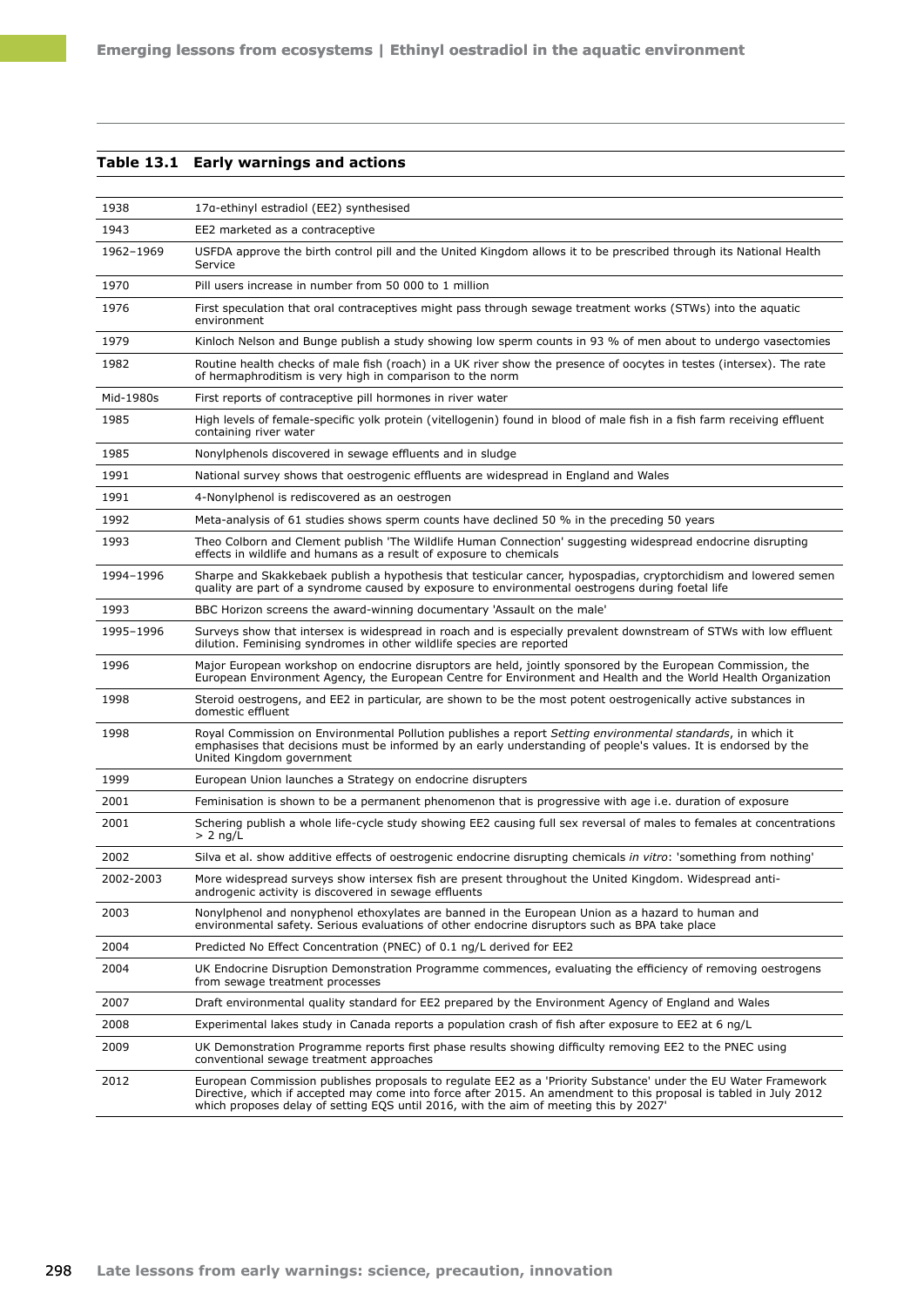## **Table 13.1 Early warnings and actions**

| 1938      | 17a-ethinyl estradiol (EE2) synthesised                                                                                                                                                                                                                                                                                      |
|-----------|------------------------------------------------------------------------------------------------------------------------------------------------------------------------------------------------------------------------------------------------------------------------------------------------------------------------------|
| 1943      | EE2 marketed as a contraceptive                                                                                                                                                                                                                                                                                              |
| 1962-1969 | USFDA approve the birth control pill and the United Kingdom allows it to be prescribed through its National Health<br>Service                                                                                                                                                                                                |
| 1970      | Pill users increase in number from 50 000 to 1 million                                                                                                                                                                                                                                                                       |
| 1976      | First speculation that oral contraceptives might pass through sewage treatment works (STWs) into the aguatic<br>environment                                                                                                                                                                                                  |
| 1979      | Kinloch Nelson and Bunge publish a study showing low sperm counts in 93 % of men about to undergo vasectomies                                                                                                                                                                                                                |
| 1982      | Routine health checks of male fish (roach) in a UK river show the presence of oocytes in testes (intersex). The rate<br>of hermaphroditism is very high in comparison to the norm                                                                                                                                            |
| Mid-1980s | First reports of contraceptive pill hormones in river water                                                                                                                                                                                                                                                                  |
| 1985      | High levels of female-specific yolk protein (vitellogenin) found in blood of male fish in a fish farm receiving effluent<br>containing river water                                                                                                                                                                           |
| 1985      | Nonylphenols discovered in sewage effluents and in sludge                                                                                                                                                                                                                                                                    |
| 1991      | National survey shows that oestrogenic effluents are widespread in England and Wales                                                                                                                                                                                                                                         |
| 1991      | 4-Nonylphenol is rediscovered as an oestrogen                                                                                                                                                                                                                                                                                |
| 1992      | Meta-analysis of 61 studies shows sperm counts have declined 50 % in the preceding 50 years                                                                                                                                                                                                                                  |
| 1993      | Theo Colborn and Clement publish 'The Wildlife Human Connection' suggesting widespread endocrine disrupting<br>effects in wildlife and humans as a result of exposure to chemicals                                                                                                                                           |
| 1994-1996 | Sharpe and Skakkebaek publish a hypothesis that testicular cancer, hypospadias, cryptorchidism and lowered semen<br>quality are part of a syndrome caused by exposure to environmental oestrogens during foetal life                                                                                                         |
| 1993      | BBC Horizon screens the award-winning documentary 'Assault on the male'                                                                                                                                                                                                                                                      |
| 1995-1996 | Surveys show that intersex is widespread in roach and is especially prevalent downstream of STWs with low effluent<br>dilution. Feminising syndromes in other wildlife species are reported                                                                                                                                  |
| 1996      | Major European workshop on endocrine disruptors are held, jointly sponsored by the European Commission, the<br>European Environment Agency, the European Centre for Environment and Health and the World Health Organization                                                                                                 |
| 1998      | Steroid oestrogens, and EE2 in particular, are shown to be the most potent oestrogenically active substances in<br>domestic effluent                                                                                                                                                                                         |
| 1998      | Royal Commission on Environmental Pollution publishes a report Setting environmental standards, in which it<br>emphasises that decisions must be informed by an early understanding of people's values. It is endorsed by the<br>United Kingdom government                                                                   |
| 1999      | European Union launches a Strategy on endocrine disrupters                                                                                                                                                                                                                                                                   |
| 2001      | Feminisation is shown to be a permanent phenomenon that is progressive with age i.e. duration of exposure                                                                                                                                                                                                                    |
| 2001      | Schering publish a whole life-cycle study showing EE2 causing full sex reversal of males to females at concentrations<br>$> 2$ ng/L                                                                                                                                                                                          |
| 2002      | Silva et al. show additive effects of oestrogenic endocrine disrupting chemicals in vitro: 'something from nothing'                                                                                                                                                                                                          |
| 2002-2003 | More widespread surveys show intersex fish are present throughout the United Kingdom. Widespread anti-<br>androgenic activity is discovered in sewage effluents                                                                                                                                                              |
| 2003      | Nonylphenol and nonyphenol ethoxylates are banned in the European Union as a hazard to human and<br>environmental safety. Serious evaluations of other endocrine disruptors such as BPA take place                                                                                                                           |
| 2004      | Predicted No Effect Concentration (PNEC) of 0.1 ng/L derived for EE2                                                                                                                                                                                                                                                         |
| 2004      | UK Endocrine Disruption Demonstration Programme commences, evaluating the efficiency of removing oestrogens<br>from sewage treatment processes                                                                                                                                                                               |
| 2007      | Draft environmental quality standard for EE2 prepared by the Environment Agency of England and Wales                                                                                                                                                                                                                         |
| 2008      | Experimental lakes study in Canada reports a population crash of fish after exposure to EE2 at 6 ng/L                                                                                                                                                                                                                        |
| 2009      | UK Demonstration Programme reports first phase results showing difficulty removing EE2 to the PNEC using<br>conventional sewage treatment approaches                                                                                                                                                                         |
| 2012      | European Commission publishes proposals to regulate EE2 as a 'Priority Substance' under the EU Water Framework<br>Directive, which if accepted may come into force after 2015. An amendment to this proposal is tabled in July 2012<br>which proposes delay of setting EQS until 2016, with the aim of meeting this by 2027' |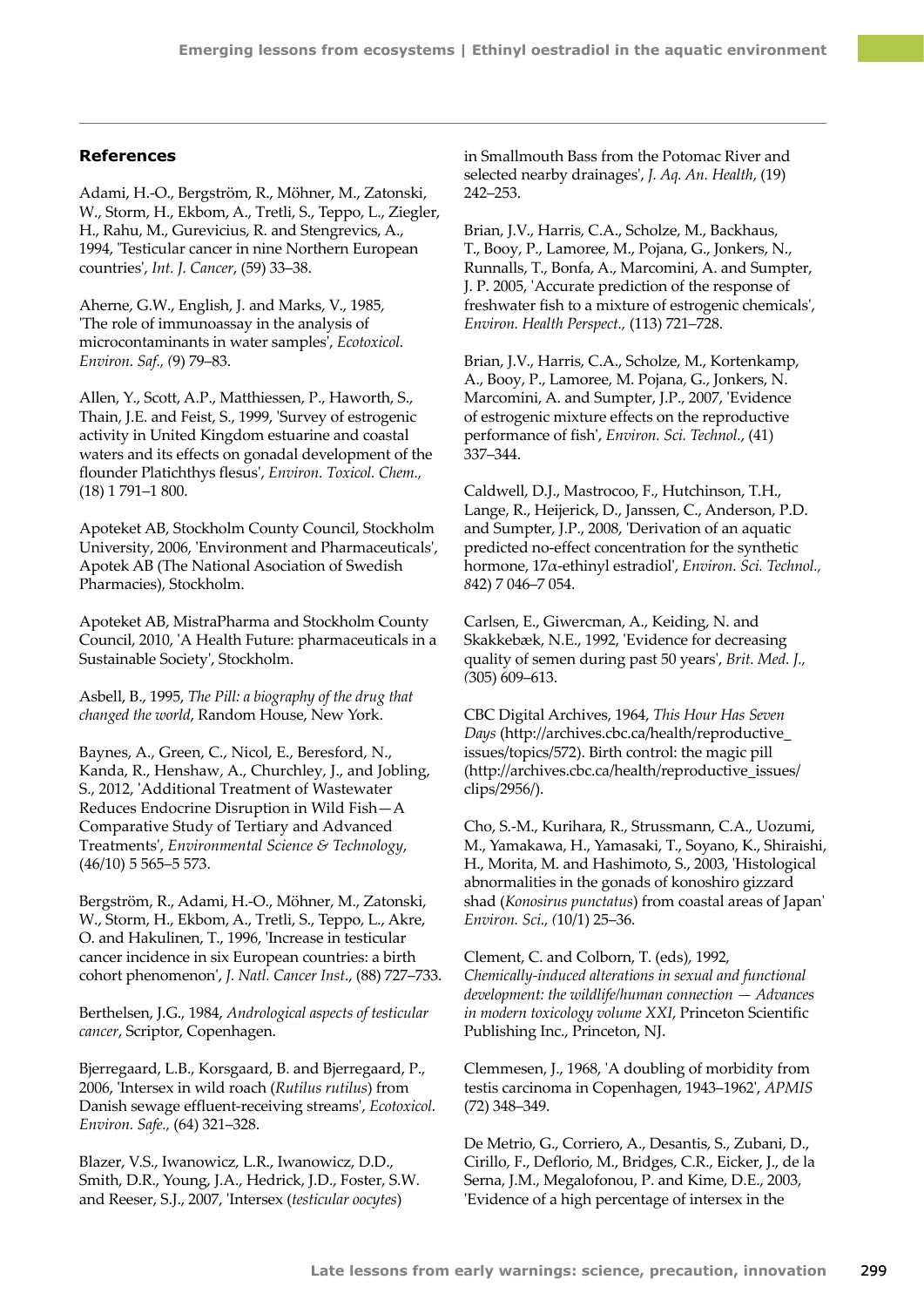## **References**

Adami, H.-O., Bergström, R., Möhner, M., Zatonski, W., Storm, H., Ekbom, A., Tretli, S., Teppo, L., Ziegler, H., Rahu, M., Gurevicius, R. and Stengrevics, A., 1994, 'Testicular cancer in nine Northern European countries', *Int. J. Cancer*, (59) 33–38.

Aherne, G.W., English, J. and Marks, V., 1985, 'The role of immunoassay in the analysis of microcontaminants in water samples', *Ecotoxicol. Environ. Saf., (*9) 79–83.

Allen, Y., Scott, A.P., Matthiessen, P., Haworth, S., Thain, J.E. and Feist, S., 1999, 'Survey of estrogenic activity in United Kingdom estuarine and coastal waters and its effects on gonadal development of the flounder Platichthys flesus', *Environ. Toxicol. Chem.,*  (18) 1 791–1 800.

Apoteket AB, Stockholm County Council, Stockholm University, 2006, 'Environment and Pharmaceuticals', Apotek AB (The National Asociation of Swedish Pharmacies), Stockholm.

Apoteket AB, MistraPharma and Stockholm County Council, 2010, 'A Health Future: pharmaceuticals in a Sustainable Society', Stockholm.

Asbell, B., 1995, *The Pill: a biography of the drug that changed the world*, Random House, New York.

Baynes, A., Green, C., Nicol, E., Beresford, N., Kanda, R., Henshaw, A., Churchley, J., and Jobling, S., 2012, 'Additional Treatment of Wastewater Reduces Endocrine Disruption in Wild Fish—A Comparative Study of Tertiary and Advanced Treatments', *Environmental Science & Technology*, (46/10) 5 565–5 573.

Bergström, R., Adami, H.-O., Möhner, M., Zatonski, W., Storm, H., Ekbom, A., Tretli, S., Teppo, L., Akre, O. and Hakulinen, T., 1996, 'Increase in testicular cancer incidence in six European countries: a birth cohort phenomenon', *J. Natl. Cancer Inst*., (88) 727–733.

Berthelsen, J.G., 1984, *Andrological aspects of testicular cancer*, Scriptor, Copenhagen.

Bjerregaard, L.B., Korsgaard, B. and Bjerregaard, P., 2006, 'Intersex in wild roach (*Rutilus rutilus*) from Danish sewage effluent-receiving streams', *Ecotoxicol. Environ. Safe.,* (64) 321–328.

Blazer, V.S., Iwanowicz, L.R., Iwanowicz, D.D., Smith, D.R., Young, J.A., Hedrick, J.D., Foster, S.W. and Reeser, S.J., 2007, 'Intersex (*testicular oocytes*)

in Smallmouth Bass from the Potomac River and selected nearby drainages', *J. Aq. An. Health*, (19) 242–253.

Brian, J.V., Harris, C.A., Scholze, M., Backhaus, T., Booy, P., Lamoree, M., Pojana, G., Jonkers, N., Runnalls, T., Bonfa, A., Marcomini, A. and Sumpter, J. P. 2005, 'Accurate prediction of the response of freshwater fish to a mixture of estrogenic chemicals', *Environ. Health Perspect.,* (113) 721–728.

Brian, J.V., Harris, C.A., Scholze, M., Kortenkamp, A., Booy, P., Lamoree, M. Pojana, G., Jonkers, N. Marcomini, A. and Sumpter, J.P., 2007, 'Evidence of estrogenic mixture effects on the reproductive performance of fish', *Environ. Sci. Technol.*, (41) 337–344.

Caldwell, D.J., Mastrocoo, F., Hutchinson, T.H., Lange, R., Heijerick, D., Janssen, C., Anderson, P.D. and Sumpter, J.P., 2008, 'Derivation of an aquatic predicted no-effect concentration for the synthetic hormone, 17α-ethinyl estradiol', *Environ. Sci. Technol., 8*42) 7 046–7 054.

Carlsen, E., Giwercman, A., Keiding, N. and Skakkebæk, N.E., 1992, 'Evidence for decreasing quality of semen during past 50 years', *Brit. Med. J., (*305) 609–613.

CBC Digital Archives, 1964, *This Hour Has Seven Days* [\(http://archives.cbc.ca/health/reproductive\\_](http://archives.cbc.ca/health/reproductive_issues/topics/572) [issues/topics/572\)](http://archives.cbc.ca/health/reproductive_issues/topics/572). Birth control: the magic pill [\(http://archives.cbc.ca/health/reproductive\\_issues/](http://archives.cbc.ca/health/reproductive_issues/clips/2956/) [clips/2956/\)](http://archives.cbc.ca/health/reproductive_issues/clips/2956/).

Cho, S.-M., Kurihara, R., Strussmann, C.A., Uozumi, M., Yamakawa, H., Yamasaki, T., Soyano, K., Shiraishi, H., Morita, M. and Hashimoto, S., 2003, 'Histological abnormalities in the gonads of konoshiro gizzard shad (*Konosirus punctatus*) from coastal areas of Japan' *Environ. Sci., (*10/1) 25–36.

Clement, C. and Colborn, T. (eds), 1992, *Chemically-induced alterations in sexual and functional development: the wildlife/human connection — Advances in modern toxicology volume XXI*, Princeton Scientific Publishing Inc., Princeton, NJ.

Clemmesen, J., 1968, 'A doubling of morbidity from testis carcinoma in Copenhagen, 1943–1962', *APMIS* (72) 348–349.

De Metrio, G., Corriero, A., Desantis, S., Zubani, D., Cirillo, F., Deflorio, M., Bridges, C.R., Eicker, J., de la Serna, J.M., Megalofonou, P. and Kime, D.E., 2003, 'Evidence of a high percentage of intersex in the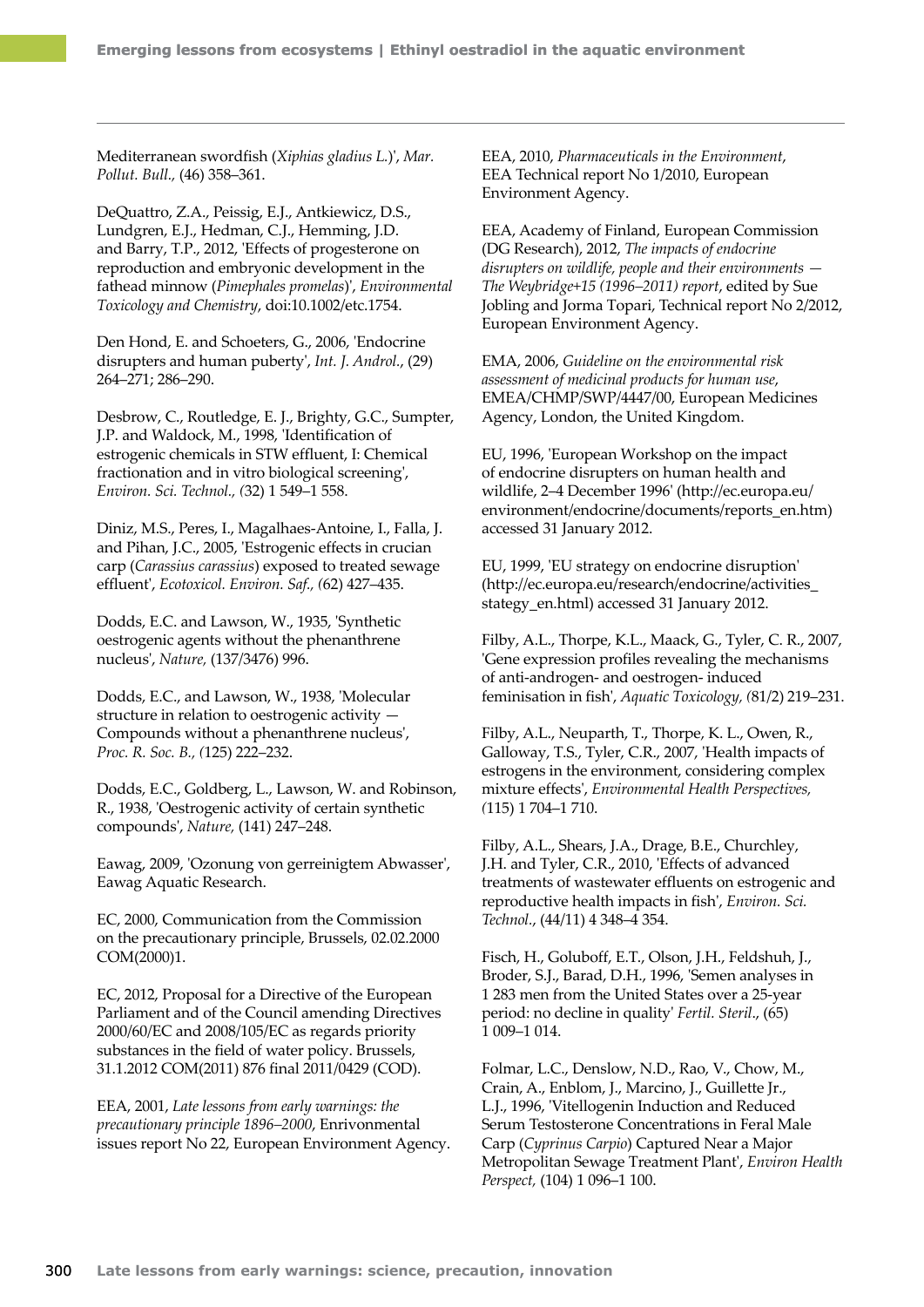Mediterranean swordfish (*Xiphias gladius L.*)', *Mar. Pollut. Bull.,* (46) 358–361.

DeQuattro, Z.A., Peissig, E.J., Antkiewicz, D.S., Lundgren, E.J., Hedman, C.J., Hemming, J.D. and Barry, T.P., 2012, 'Effects of progesterone on reproduction and embryonic development in the fathead minnow (*Pimephales promelas*)', *Environmental Toxicology and Chemistry*, doi:10.1002/etc.1754.

[Den Hond, E.](http://www.ncbi.nlm.nih.gov/pubmed?term=%22Den%20Hond%20E%22%5BAuthor%5D&itool=EntrezSystem2.PEntrez.Pubmed.Pubmed_ResultsPanel.Pubmed_RVAbstract) and [Schoeters, G](http://www.ncbi.nlm.nih.gov/pubmed?term=%22Schoeters%20G%22%5BAuthor%5D&itool=EntrezSystem2.PEntrez.Pubmed.Pubmed_ResultsPanel.Pubmed_RVAbstract)., 2006, 'Endocrine disrupters and human puberty', *[Int. J. Androl.](file:///K:/Final%20Documents/EEA%20reports/Late%20lessons/13%20The%20pill/javascript:AL_get(this,%20)*, (29) 264–271; 286–290.

Desbrow, C., Routledge, E. J., Brighty, G.C., Sumpter, J.P. and Waldock, M., 1998, 'Identification of estrogenic chemicals in STW effluent, I: Chemical fractionation and in vitro biological screening', *Environ. Sci. Technol., (*32) 1 549–1 558.

Diniz, M.S., Peres, I., Magalhaes-Antoine, I., Falla, J. and Pihan, J.C., 2005, 'Estrogenic effects in crucian carp (*Carassius carassius*) exposed to treated sewage effluent', *Ecotoxicol. Environ. Saf., (*62) 427–435.

Dodds, E.C. and Lawson, W., 1935, 'Synthetic oestrogenic agents without the phenanthrene nucleus', *Nature,* (137/3476) 996.

Dodds, E.C., and Lawson, W., 1938, 'Molecular structure in relation to oestrogenic activity — Compounds without a phenanthrene nucleus', *Proc. R. Soc. B., (*125) 222–232.

Dodds, E.C., Goldberg, L., Lawson, W. and Robinson, R., 1938, 'Oestrogenic activity of certain synthetic compounds', *Nature,* (141) 247–248.

Eawag, 2009, 'Ozonung von gerreinigtem Abwasser', Eawag Aquatic Research.

EC, 2000, Communication from the Commission on the precautionary principle, Brussels, 02.02.2000 COM(2000)1.

EC, 2012, Proposal for a Directive of the European Parliament and of the Council amending Directives 2000/60/EC and 2008/105/EC as regards priority substances in the field of water policy. Brussels, 31.1.2012 COM(2011) 876 final 2011/0429 (COD).

EEA, 2001, *Late lessons from early warnings: the precautionary principle 1896–2000*, Enrivonmental issues report No 22, European Environment Agency. EEA, 2010, *Pharmaceuticals in the Environment*, EEA Technical report No 1/2010, European Environment Agency.

EEA, Academy of Finland, European Commission (DG Research), 2012, *The impacts of endocrine disrupters on wildlife, people and their environments — The Weybridge+15 (1996–2011) report*, edited by Sue Jobling and Jorma Topari, Technical report No 2/2012, European Environment Agency.

EMA, 2006, *Guideline on the environmental risk assessment of medicinal products for human use*, EMEA/CHMP/SWP/4447/00, European Medicines Agency, London, the United Kingdom.

EU, 1996, 'European Workshop on the impact of endocrine disrupters on human health and wildlife, 2–4 December 1996' [\(http://ec.europa.eu/](http://ec.europa.eu/environment/endocrine/documents/reports_en.htm) [environment/endocrine/documents/reports\\_en.htm](http://ec.europa.eu/environment/endocrine/documents/reports_en.htm)) accessed 31 January 2012.

EU, 1999, 'EU strategy on endocrine disruption' ([http://ec.europa.eu/research/endocrine/activities\\_](http://ec.europa.eu/research/endocrine/activities_stategy_en.html) [stategy\\_en.html](http://ec.europa.eu/research/endocrine/activities_stategy_en.html)) accessed 31 January 2012.

Filby, A.L., Thorpe, K.L., Maack, G., Tyler, C. R., 2007, 'Gene expression profiles revealing the mechanisms of anti-androgen- and oestrogen- induced feminisation in fish', *Aquatic Toxicology, (*81/2) 219–231.

Filby, A.L., Neuparth, T., Thorpe, K. L., Owen, R., Galloway, T.S., Tyler, C.R., 2007, 'Health impacts of estrogens in the environment, considering complex mixture effects', *Environmental Health Perspectives, (*115) 1 704–1 710.

Filby, A.L., Shears, J.A., Drage, B.E., Churchley, J.H. and Tyler, C.R., 2010, 'Effects of advanced treatments of wastewater effluents on estrogenic and reproductive health impacts in fish', *Environ. Sci. Technol.*, (44/11) 4 348–4 354.

Fisch, H., Goluboff, E.T., Olson, J.H., Feldshuh, J., Broder, S.J., Barad, D.H., 1996, 'Semen analyses in 1 283 men from the United States over a 25-year period: no decline in quality' *Fertil. Steril*., (65) 1 009–1 014.

Folmar, L.C., Denslow, N.D., Rao, V., Chow, M., Crain, A., Enblom, J., Marcino, J., Guillette Jr., L.J., 1996, 'Vitellogenin Induction and Reduced Serum Testosterone Concentrations in Feral Male Carp (*Cyprinus Carpio*) Captured Near a Major Metropolitan Sewage Treatment Plant', *Environ Health Perspect,* (104) 1 096–1 100.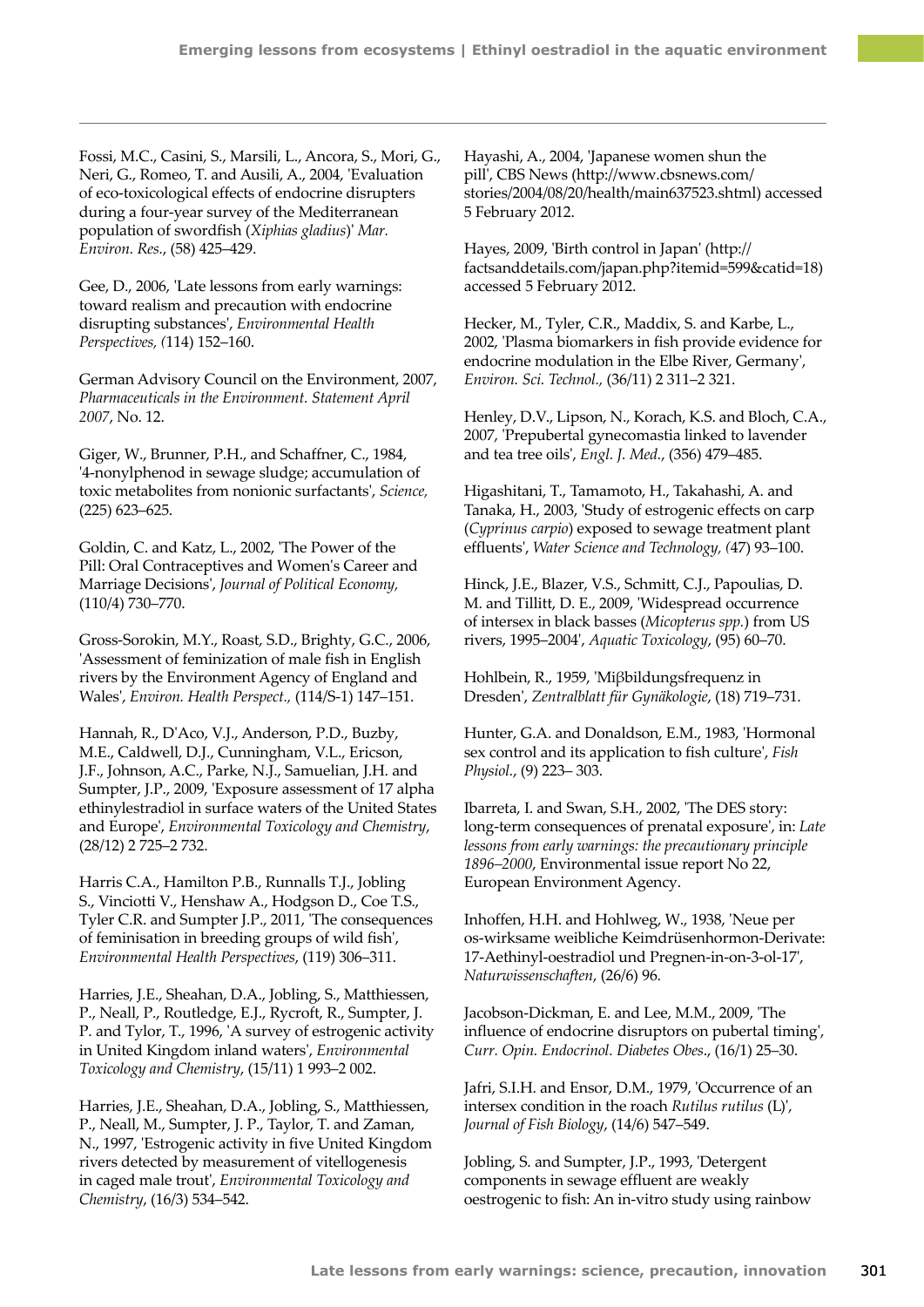Fossi, M.C., Casini, S., Marsili, L., Ancora, S., Mori, G., Neri, G., Romeo, T. and Ausili, A., 2004, 'Evaluation of eco-toxicological effects of endocrine disrupters during a four-year survey of the Mediterranean population of swordfish (*Xiphias gladius*)' *Mar. Environ. Res.*, (58) 425–429.

Gee, D., 2006, 'Late lessons from early warnings: toward realism and precaution with endocrine disrupting substances', *Environmental Health Perspectives, (*114) 152–160.

German Advisory Council on the Environment, 2007, *Pharmaceuticals in the Environment. Statement April 2007*, No. 12.

Giger, W., Brunner, P.H., and Schaffner, C., 1984, '4-nonylphenod in sewage sludge; accumulation of toxic metabolites from nonionic surfactants', *Science,* (225) 623–625.

Goldin, C. and Katz, L., 2002, 'The Power of the Pill: Oral Contraceptives and Women's Career and Marriage Decisions', *Journal of Political Economy,* (110/4) 730–770.

Gross-Sorokin, M.Y., Roast, S.D., Brighty, G.C., 2006, 'Assessment of feminization of male fish in English rivers by the Environment Agency of England and Wales', *Environ. Health Perspect.,* (114/S-1) 147–151.

Hannah, R., D'Aco, V.J., Anderson, P.D., Buzby, M.E., Caldwell, D.J., Cunningham, V.L., Ericson, J.F., Johnson, A.C., Parke, N.J., Samuelian, J.H. and Sumpter, J.P., 2009, 'Exposure assessment of 17 alpha ethinylestradiol in surface waters of the United States and Europe', *Environmental Toxicology and Chemistry*, (28/12) 2 725–2 732.

Harris C.A., Hamilton P.B., Runnalls T.J., Jobling S., Vinciotti V., Henshaw A., Hodgson D., Coe T.S., Tyler C.R. and Sumpter J.P., 2011, 'The consequences of feminisation in breeding groups of wild fish', *Environmental Health Perspectives*, (119) 306–311.

Harries, J.E., Sheahan, D.A., Jobling, S., Matthiessen, P., Neall, P., Routledge, E.J., Rycroft, R., Sumpter, J. P. and Tylor, T., 1996, 'A survey of estrogenic activity in United Kingdom inland waters', *Environmental Toxicology and Chemistry*, (15/11) 1 993–2 002.

Harries, J.E., Sheahan, D.A., Jobling, S., Matthiessen, P., Neall, M., Sumpter, J. P., Taylor, T. and Zaman, N., 1997, 'Estrogenic activity in five United Kingdom rivers detected by measurement of vitellogenesis in caged male trout', *Environmental Toxicology and Chemistry*, (16/3) 534–542.

Hayashi, A., 2004, 'Japanese women shun the pill', CBS News ([http://www.cbsnews.com/](http://www.cbsnews.com/stories/2004/08/20/health/main637523.shtml) [stories/2004/08/20/health/main637523.shtml](http://www.cbsnews.com/stories/2004/08/20/health/main637523.shtml)) accessed 5 February 2012.

Hayes, 2009, 'Birth control in Japan' ([http://](http://factsanddetails.com/japan.php?itemid=599&catid=18) [factsanddetails.com/japan.php?itemid=599&catid=18](http://factsanddetails.com/japan.php?itemid=599&catid=18)) accessed 5 February 2012.

Hecker, M., Tyler, C.R., Maddix, S. and Karbe, L., 2002, 'Plasma biomarkers in fish provide evidence for endocrine modulation in the Elbe River, Germany', *Environ. Sci. Technol.,* (36/11) 2 311–2 321.

Henley, D.V., Lipson, N., Korach, K.S. and Bloch, C.A., 2007, 'Prepubertal gynecomastia linked to lavender and tea tree oils', *Engl. J. Med.*, (356) 479–485.

Higashitani, T., Tamamoto, H., Takahashi, A. and Tanaka, H., 2003, 'Study of estrogenic effects on carp (*Cyprinus carpio*) exposed to sewage treatment plant effluents', *Water Science and Technology, (*47) 93–100.

Hinck, J.E., Blazer, V.S., Schmitt, C.J., Papoulias, D. M. and Tillitt, D. E., 2009, 'Widespread occurrence of intersex in black basses (*Micopterus spp.*) from US rivers, 1995–2004', *Aquatic Toxicology*, (95) 60–70.

Hohlbein, R., 1959, 'Miβbildungsfrequenz in Dresden', *Zentralblatt für Gynäkologie*, (18) 719–731.

Hunter, G.A. and Donaldson, E.M., 1983, 'Hormonal sex control and its application to fish culture', *Fish Physiol.*, (9) 223– 303.

Ibarreta, I. and Swan, S.H., 2002, 'The DES story: long-term consequences of prenatal exposure', in: *Late lessons from early warnings: the precautionary principle 1896–2000*, Environmental issue report No 22, European Environment Agency.

Inhoffen, H.H. and Hohlweg, W., 1938, '[Neue per](http://www.springerlink.com/content/h016u5tg61l00022/?p=6ced2951d3f04b188a3c302670b43768&pi=5)  [os‑wirksame weibliche Keimdrüsenhormon-Derivate:](http://www.springerlink.com/content/h016u5tg61l00022/?p=6ced2951d3f04b188a3c302670b43768&pi=5)  [17‑Aethinyl-oestradiol und Pregnen-in-on-3-ol-17'](http://www.springerlink.com/content/h016u5tg61l00022/?p=6ced2951d3f04b188a3c302670b43768&pi=5), *[Naturwissenschaften](http://en.wikipedia.org/wiki/Die_Naturwissenschaften)*, (26/6) 96.

[Jacobson-Dickman, E](http://www.ncbi.nlm.nih.gov/pubmed?term=%22Jacobson-Dickman%20E%22%5BAuthor%5D&itool=EntrezSystem2.PEntrez.Pubmed.Pubmed_ResultsPanel.Pubmed_RVAbstract). and [Lee, M.M](http://www.ncbi.nlm.nih.gov/pubmed?term=%22Lee%20MM%22%5BAuthor%5D&itool=EntrezSystem2.PEntrez.Pubmed.Pubmed_ResultsPanel.Pubmed_RVAbstract)., 2009, 'The influence of endocrine disruptors on pubertal timing', *Curr. Opin. Endocrinol. Diabetes Obes*., (16/1) 25–30.

Jafri, S.I.H. and Ensor, D.M., 1979, 'Occurrence of an intersex condition in the roach *Rutilus rutilus* (L)', *Journal of Fish Biology*, (14/6) 547–549.

Jobling, S. and Sumpter, J.P., 1993, 'Detergent components in sewage effluent are weakly oestrogenic to fish: An in-vitro study using rainbow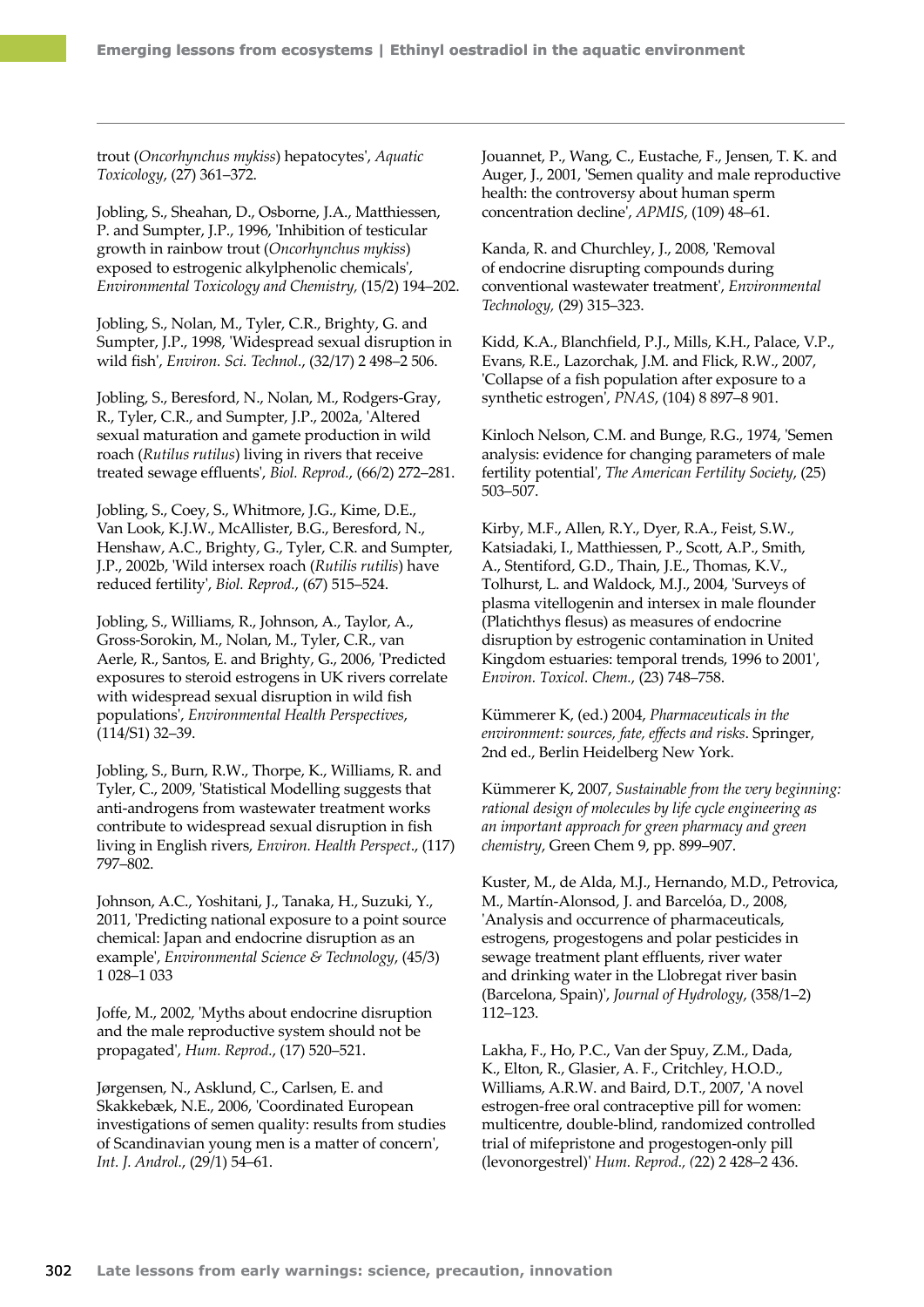trout (*Oncorhynchus mykiss*) hepatocytes', *Aquatic Toxicology*, (27) 361–372.

Jobling, S., Sheahan, D., Osborne, J.A., Matthiessen, P. and Sumpter, J.P., 1996, 'Inhibition of testicular growth in rainbow trout (*Oncorhynchus mykiss*) exposed to estrogenic alkylphenolic chemicals', *Environmental Toxicology and Chemistry,* (15/2) 194–202.

Jobling, S., Nolan, M., Tyler, C.R., Brighty, G. and Sumpter, J.P., 1998, 'Widespread sexual disruption in wild fish', *Environ. Sci. Technol.*, (32/17) 2 498–2 506.

Jobling, S., Beresford, N., Nolan, M., Rodgers-Gray, R., Tyler, C.R., and Sumpter, J.P., 2002a, 'Altered sexual maturation and gamete production in wild roach (*Rutilus rutilus*) living in rivers that receive treated sewage effluents', *Biol. Reprod.*, (66/2) 272–281.

Jobling, S., Coey, S., Whitmore, J.G., Kime, D.E., Van Look, K.J.W., McAllister, B.G., Beresford, N., Henshaw, A.C., Brighty, G., Tyler, C.R. and Sumpter, J.P., 2002b, 'Wild intersex roach (*Rutilis rutilis*) have reduced fertility', *Biol. Reprod.*, (67) 515–524.

Jobling, S., [Williams, R](http://apps.isiknowledge.com/OneClickSearch.do?product=UA&search_mode=OneClickSearch&db_id=&SID=R2JEE899GONd9eIlF73&field=AU&value=Williams%20R&ut=000245475500006&pos=2)., [Johnson, A.](http://apps.isiknowledge.com/OneClickSearch.do?product=UA&search_mode=OneClickSearch&db_id=&SID=R2JEE899GONd9eIlF73&field=AU&value=Johnson%20A&ut=000245475500006&pos=3), [Taylor, A.](http://apps.isiknowledge.com/OneClickSearch.do?product=UA&search_mode=OneClickSearch&db_id=&SID=R2JEE899GONd9eIlF73&field=AU&value=Taylor%20A&ut=000245475500006&pos=4), [Gross-Sorokin, M](http://apps.isiknowledge.com/OneClickSearch.do?product=UA&search_mode=OneClickSearch&db_id=&SID=R2JEE899GONd9eIlF73&field=AU&value=Gross-Sorokin%20M&ut=000245475500006&pos=5&cacheurlFromRightClick=no)., [Nolan, M.](http://apps.isiknowledge.com/OneClickSearch.do?product=UA&search_mode=OneClickSearch&db_id=&SID=R2JEE899GONd9eIlF73&field=AU&value=Nolan%20M&ut=000245475500006&pos=6), [Tyler, C.R](http://apps.isiknowledge.com/OneClickSearch.do?product=UA&search_mode=OneClickSearch&db_id=&SID=R2JEE899GONd9eIlF73&field=AU&value=Tyler%20CR&ut=000245475500006&pos=7)., [van](http://apps.isiknowledge.com/OneClickSearch.do?product=UA&search_mode=OneClickSearch&db_id=&SID=R2JEE899GONd9eIlF73&field=AU&value=van%20Aerle%20R&ut=000245475500006&pos=8)  [Aerle, R](http://apps.isiknowledge.com/OneClickSearch.do?product=UA&search_mode=OneClickSearch&db_id=&SID=R2JEE899GONd9eIlF73&field=AU&value=van%20Aerle%20R&ut=000245475500006&pos=8)., [Santos, E.](http://apps.isiknowledge.com/OneClickSearch.do?product=UA&search_mode=OneClickSearch&db_id=&SID=R2JEE899GONd9eIlF73&field=AU&value=Santos%20E&ut=000245475500006&pos=9) and [Brighty, G.](http://apps.isiknowledge.com/OneClickSearch.do?product=UA&search_mode=OneClickSearch&db_id=&SID=R2JEE899GONd9eIlF73&field=AU&value=Brighty%20G&ut=000245475500006&pos=10), 2006, 'Predicted exposures to steroid estrogens in UK rivers correlate with widespread sexual disruption in wild fish populations', *Environmental Health Perspectives*, (114/S1) 32–39.

Jobling, S., Burn, R.W., Thorpe, K., Williams, R. and Tyler, C., 2009, 'Statistical Modelling suggests that anti-androgens from wastewater treatment works contribute to widespread sexual disruption in fish living in English rivers, *Environ. Health Perspect*., (117) 797–802.

Johnson, A.C., Yoshitani, J., Tanaka, H., Suzuki, Y., 2011, 'Predicting national exposure to a point source chemical: Japan and endocrine disruption as an example', *Environmental Science & Technology*, (45/3) 1 028–1 033

Joffe, M., 2002, 'Myths about endocrine disruption and the male reproductive system should not be propagated', *Hum. Reprod.*, (17) 520–521.

Jørgensen, N., Asklund, C., Carlsen, E. and Skakkebæk, N.E., 2006, 'Coordinated European investigations of semen quality: results from studies of Scandinavian young men is a matter of concern', *Int. J. Androl.*, (29/1) 54–61.

Jouannet, P., Wang, C., Eustache, F., Jensen, T. K. and Auger, J., 2001, 'Semen quality and male reproductive health: the controversy about human sperm concentration decline', *APMIS*, (109) 48–61.

Kanda, R. and Churchley, J., 2008, 'Removal of endocrine disrupting compounds during conventional wastewater treatment', *Environmental Technology,* (29) 315–323.

Kidd, K.A., Blanchfield, P.J., Mills, K.H., Palace, V.P., Evans, R.E., Lazorchak, J.M. and Flick, R.W., 2007, 'Collapse of a fish population after exposure to a synthetic estrogen', *PNAS*, (104) 8 897–8 901.

Kinloch Nelson, C.M. and Bunge, R.G., 1974, 'Semen analysis: evidence for changing parameters of male fertility potential', *The American Fertility Society*, (25) 503–507.

Kirby, M.F., Allen, R.Y., Dyer, R.A., Feist, S.W., Katsiadaki, I., Matthiessen, P., Scott, A.P., Smith, A., Stentiford, G.D., Thain, J.E., Thomas, K.V., Tolhurst, L. and Waldock, M.J., 2004, 'Surveys of plasma vitellogenin and intersex in male flounder (Platichthys flesus) as measures of endocrine disruption by estrogenic contamination in United Kingdom estuaries: temporal trends, 1996 to 2001', *Environ. Toxicol. Chem.*, (23) 748–758.

Kümmerer K, (ed.) 2004, *Pharmaceuticals in the environment: sources, fate, effects and risks*. Springer, 2nd ed., Berlin Heidelberg New York.

Kümmerer K, 2007, *Sustainable from the very beginning: rational design of molecules by life cycle engineering as an important approach for green pharmacy and green chemistry*, Green Chem 9, pp. 899–907.

Kuster, M., de Alda, M.J., Hernando, M.D., Petrovica, M., Martín-Alonsod, J. and Barcelóa, D., 2008, 'Analysis and occurrence of pharmaceuticals, estrogens, progestogens and polar pesticides in sewage treatment plant effluents, river water and drinking water in the Llobregat river basin (Barcelona, Spain)', *Journal of Hydrology*, (358/1–2) 112–123.

Lakha, F., Ho, P.C., Van der Spuy, Z.M., Dada, K., Elton, R., Glasier, A. F., Critchley, H.O.D., Williams, A.R.W. and Baird, D.T., 2007, 'A novel estrogen-free oral contraceptive pill for women: multicentre, double-blind, randomized controlled trial of mifepristone and progestogen-only pill (levonorgestrel)' *Hum. Reprod., (*22) 2 428–2 436.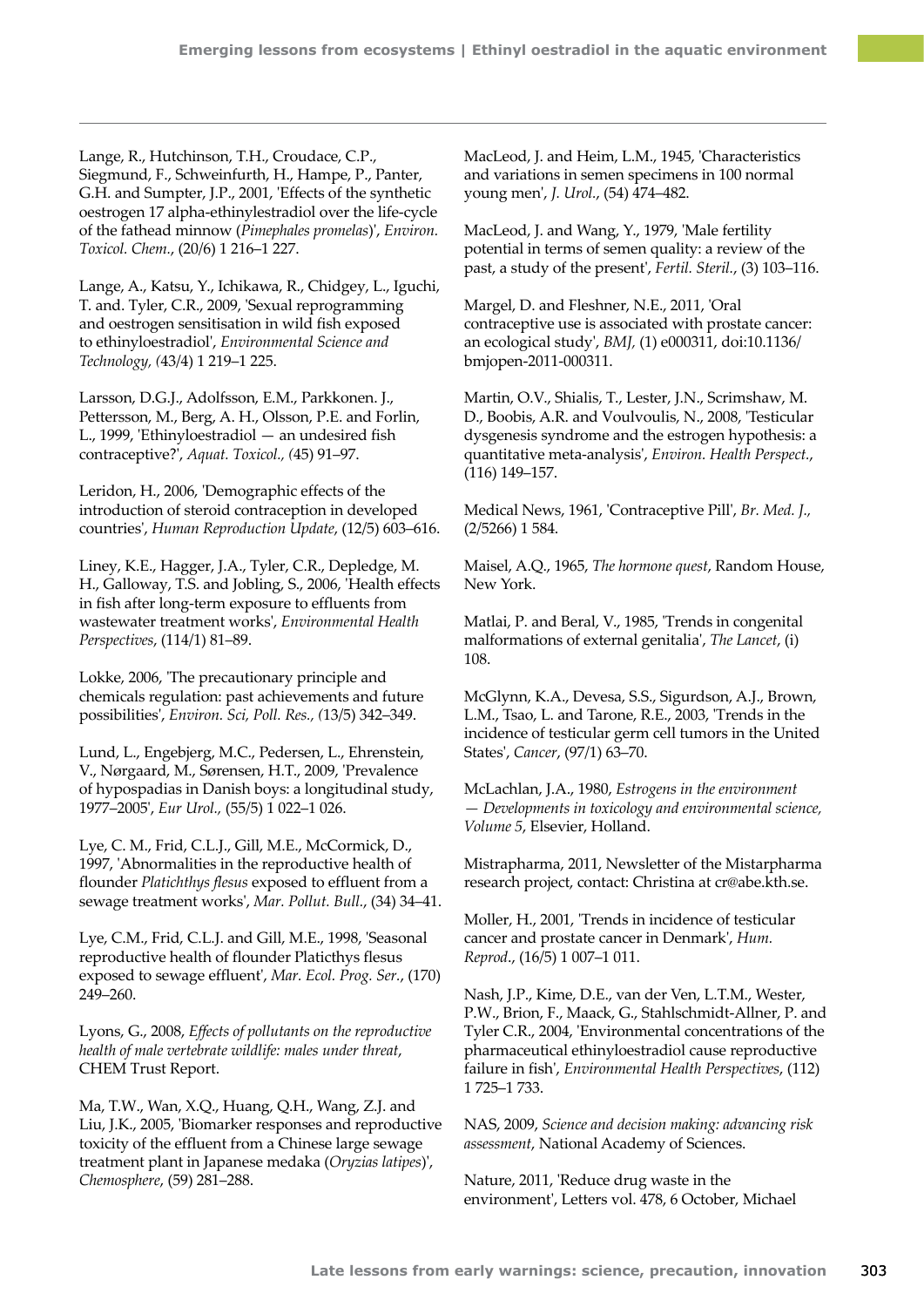Lange, R., Hutchinson, T.H., Croudace, C.P., Siegmund, F., Schweinfurth, H., Hampe, P., Panter, G.H. and Sumpter, J.P., 2001, 'Effects of the synthetic oestrogen 17 alpha-ethinylestradiol over the life‑cycle of the fathead minnow (*Pimephales promelas*)', *Environ. Toxicol. Chem.*, (20/6) 1 216–1 227.

Lange, A., Katsu, Y., Ichikawa, R., Chidgey, L., Iguchi, T. and. Tyler, C.R., 2009, 'Sexual reprogramming and oestrogen sensitisation in wild fish exposed to ethinyloestradiol', *Environmental Science and Technology, (*43/4) 1 219–1 225.

Larsson, D.G.J., Adolfsson, E.M., Parkkonen. J., Pettersson, M., Berg, A. H., Olsson, P.E. and Forlin, L., 1999, 'Ethinyloestradiol — an undesired fish contraceptive?', *Aquat. Toxicol., (*45) 91–97.

Leridon, H., 2006, 'Demographic effects of the introduction of steroid contraception in developed countries', *Human Reproduction Update*, (12/5) 603–616.

Liney, K.E., Hagger, J.A., Tyler, C.R., Depledge, M. H., Galloway, T.S. and Jobling, S., 2006, 'Health effects in fish after long-term exposure to effluents from wastewater treatment works', *Environmental Health Perspectives*, (114/1) 81–89.

Lokke, 2006, 'The precautionary principle and chemicals regulation: past achievements and future possibilities', *Environ. Sci, Poll. Res., (*13/5) 342–349.

Lund, L., Engebjerg, M.C., Pedersen, L., Ehrenstein, V., Nørgaard, M., Sørensen, H.T., 2009, 'Prevalence of hypospadias in Danish boys: a longitudinal study, 1977–2005', *Eur Urol.,* (55/5) 1 022–1 026.

Lye, C. M., Frid, C.L.J., Gill, M.E., McCormick, D., 1997, 'Abnormalities in the reproductive health of flounder *Platichthys flesus* exposed to effluent from a sewage treatment works', *Mar. Pollut. Bull.*, (34) 34–41.

Lye, C.M., Frid, C.L.J. and Gill, M.E., 1998, 'Seasonal reproductive health of flounder Platicthys flesus exposed to sewage effluent', *Mar. Ecol. Prog. Ser.*, (170) 249–260.

Lyons, G., 2008, *Effects of pollutants on the reproductive health of male vertebrate wildlife: males under threat*, CHEM Trust Report.

Ma, T.W., Wan, X.Q., Huang, Q.H., Wang, Z.J. and Liu, J.K., 2005, 'Biomarker responses and reproductive toxicity of the effluent from a Chinese large sewage treatment plant in Japanese medaka (*Oryzias latipes*)', *Chemosphere*, (59) 281–288.

MacLeod, J. and Heim, L.M., 1945, 'Characteristics and variations in semen specimens in 100 normal young men', *J. Urol.*, (54) 474–482.

MacLeod, J. and Wang, Y., 1979, 'Male fertility potential in terms of semen quality: a review of the past, a study of the present', *Fertil. Steril.*, (3) 103–116.

Margel, D. and Fleshner, N.E., 2011, 'Oral contraceptive use is associated with prostate cancer: an ecological study', *BMJ,* (1) e000311, doi:10.1136/ bmjopen-2011-000311.

Martin, O.V., Shialis, T., Lester, J.N., Scrimshaw, M. D., Boobis, A.R. and Voulvoulis, N., 2008, 'Testicular dysgenesis syndrome and the estrogen hypothesis: a quantitative meta-analysis', *Environ. Health Perspect.*, (116) 149–157.

[Medical News, 1961, 'Contraceptive Pill](http://www.pubmedcentral.nih.gov/picrender.fcgi?artid=1970619&blobtype=pdf)', *[Br. Med. J](http://en.wikipedia.org/wiki/British_Medical_Journal).,* (2/5266) 1 584.

Maisel, A.Q., 1965, *The hormone quest*, Random House, New York.

Matlai, P. and Beral, V., 1985, 'Trends in congenital malformations of external genitalia', *The Lancet*, (i) 108.

McGlynn, K.A., Devesa, S.S., Sigurdson, A.J., Brown, L.M., Tsao, L. and Tarone, R.E., 2003, 'Trends in the incidence of testicular germ cell tumors in the United States', *Cancer*, (97/1) 63–70.

McLachlan, J.A., 1980, *Estrogens in the environment — Developments in toxicology and environmental science, Volume 5*, Elsevier, Holland.

Mistrapharma, 2011, Newsletter of the Mistarpharma research project, contact: Christina at cr@abe.kth.se.

Moller, H., 2001, 'Trends in incidence of testicular cancer and prostate cancer in Denmark', *Hum. Reprod*., (16/5) 1 007–1 011.

Nash, J.P., Kime, D.E., van der Ven, L.T.M., Wester, P.W., Brion, F., Maack, G., Stahlschmidt-Allner, P. and Tyler C.R., 2004, 'Environmental concentrations of the pharmaceutical ethinyloestradiol cause reproductive failure in fish', *Environmental Health Perspectives*, (112) 1 725–1 733.

NAS, 2009, *Science and decision making: advancing risk assessment*, National Academy of Sciences.

Nature, 2011, 'Reduce drug waste in the environment', Letters vol. 478, 6 October, Michael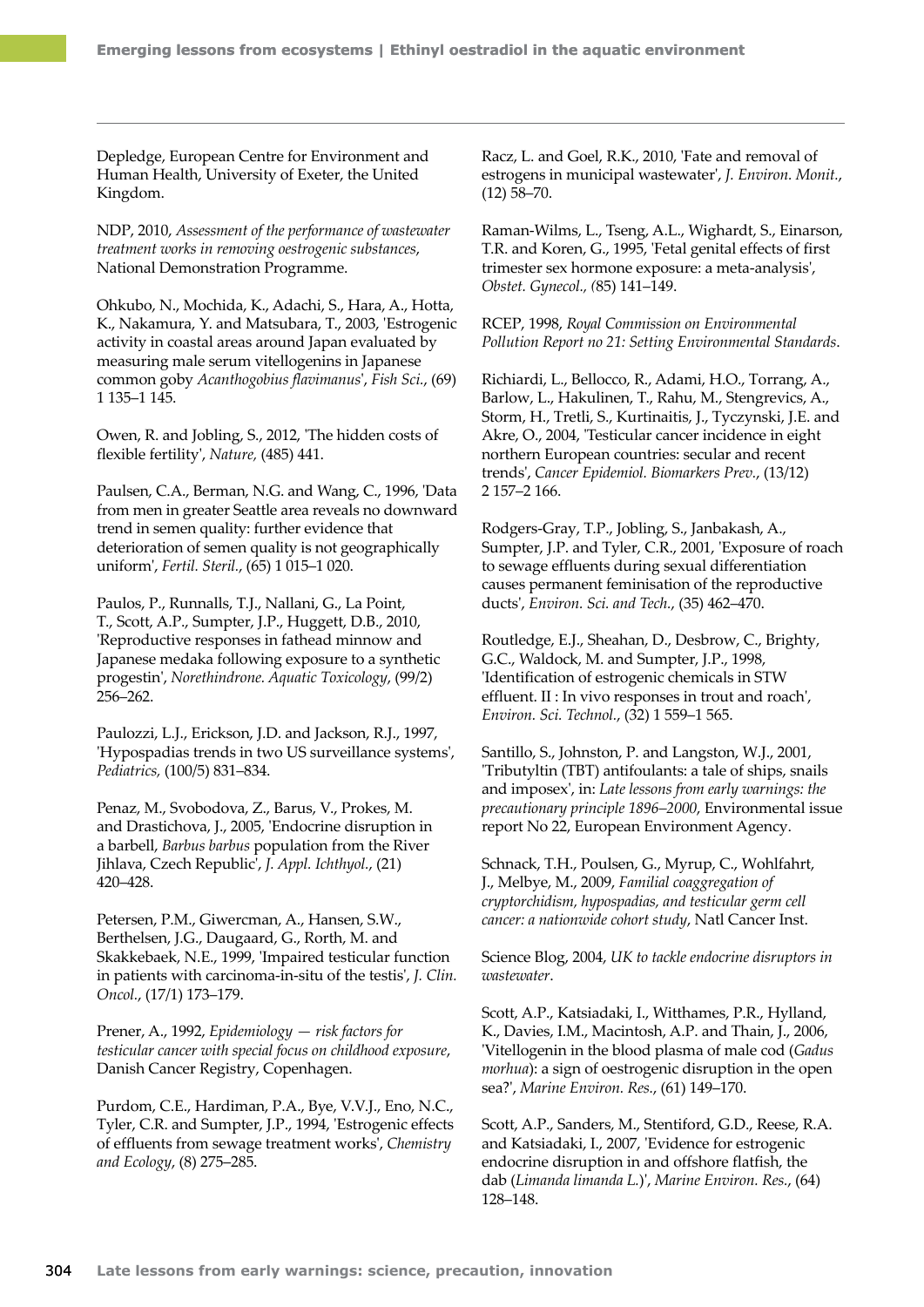Depledge, European Centre for Environment and Human Health, University of Exeter, the United Kingdom.

NDP, 2010, *Assessment of the performance of wastewater treatment works in removing oestrogenic substances*, National Demonstration Programme.

Ohkubo, N., Mochida, K., Adachi, S., Hara, A., Hotta, K., Nakamura, Y. and Matsubara, T., 2003, 'Estrogenic activity in coastal areas around Japan evaluated by measuring male serum vitellogenins in Japanese common goby *Acanthogobius flavimanus*', *Fish Sci.*, (69) 1 135–1 145.

Owen, R. and Jobling, S., 2012, 'The hidden costs of flexible fertility', *Nature,* (485) 441.

Paulsen, C.A., Berman, N.G. and Wang, C., 1996, 'Data from men in greater Seattle area reveals no downward trend in semen quality: further evidence that deterioration of semen quality is not geographically uniform', *Fertil. Steril.*, (65) 1 015–1 020.

[Paulos,](http://journals.ohiolink.edu/ejc/search.cgi?q=authorExact:%22Paulos%2C%20P.%22) P., [Runnalls, T.J.](http://journals.ohiolink.edu/ejc/search.cgi?q=authorExact:%22Runnalls%2C%20T.J.%22), [Nallani, G.,](http://journals.ohiolink.edu/ejc/search.cgi?q=authorExact:%22Nallani%2C%20G.%22) [La Point,](http://journals.ohiolink.edu/ejc/search.cgi?q=authorExact:%22La%20Point%2C%20T.%22)  [T.](http://journals.ohiolink.edu/ejc/search.cgi?q=authorExact:%22La%20Point%2C%20T.%22), [Scott, A.P.](http://journals.ohiolink.edu/ejc/search.cgi?q=authorExact:%22Scott%2C%20A.P.%22), [Sumpter,](http://journals.ohiolink.edu/ejc/search.cgi?q=authorExact:%22Sumpter%2C%20J.P.%22) J.P., [Huggett, D.B.](http://journals.ohiolink.edu/ejc/search.cgi?q=authorExact:%22Huggett%2C%20D.B.%22), 2010, 'Reproductive responses in fathead minnow and Japanese medaka following exposure to a synthetic progestin', *Norethindrone. Aquatic Toxicology*, (99/2) 256–262.

Paulozzi, L.J., Erickson, J.D. and Jackson, R.J., 1997, 'Hypospadias trends in two US surveillance systems', *Pediatrics,* (100/5) 831–834.

Penaz, M., Svobodova, Z., Barus, V., Prokes, M. and Drastichova, J., 2005, 'Endocrine disruption in a barbell, *Barbus barbus* population from the River Jihlava, Czech Republic', *J. Appl. Ichthyol.*, (21) 420–428.

Petersen, P.M., Giwercman, A., Hansen, S.W., Berthelsen, J.G., Daugaard, G., Rorth, M. and Skakkebaek, N.E., 1999, 'Impaired testicular function in patients with carcinoma-in-situ of the testis', *J. Clin. Oncol.*, (17/1) 173–179.

Prener, A., 1992, *Epidemiology — risk factors for testicular cancer with special focus on childhood exposure*, Danish Cancer Registry, Copenhagen.

Purdom, C.E., Hardiman, P.A., Bye, V.V.J., Eno, N.C., Tyler, C.R. and Sumpter, J.P., 1994, 'Estrogenic effects of effluents from sewage treatment works', *Chemistry and Ecology*, (8) 275–285.

Racz, L. and Goel, R.K., 2010, 'Fate and removal of estrogens in municipal wastewater', *J. Environ. Monit.*, (12) 58–70.

Raman-Wilms, L., Tseng, A.L., Wighardt, S., Einarson, T.R. and Koren, G., 1995, 'Fetal genital effects of first trimester sex hormone exposure: a meta-analysis', *Obstet. Gynecol., (*85) 141–149.

RCEP, 1998, *Royal Commission on Environmental Pollution Report no 21: Setting Environmental Standards*.

Richiardi, L., Bellocco, R., Adami, H.O., Torrang, A., Barlow, L., Hakulinen, T., Rahu, M., Stengrevics, A., Storm, H., Tretli, S., Kurtinaitis, J., Tyczynski, J.E. and Akre, O., 2004, 'Testicular cancer incidence in eight northern European countries: secular and recent trends', *Cancer Epidemiol. Biomarkers Prev.*, (13/12) 2 157–2 166.

Rodgers-Gray, T.P., Jobling, S., Janbakash, A., Sumpter, J.P. and Tyler, C.R., 2001, 'Exposure of roach to sewage effluents during sexual differentiation causes permanent feminisation of the reproductive ducts', *Environ. Sci. and Tech.*, (35) 462–470.

Routledge, E.J., Sheahan, D., Desbrow, C., Brighty, G.C., Waldock, M. and Sumpter, J.P., 1998, 'Identification of estrogenic chemicals in STW effluent. II : In vivo responses in trout and roach', *Environ. Sci. Technol.*, (32) 1 559–1 565.

Santillo, S., Johnston, P. and Langston, W.J., 2001, 'Tributyltin (TBT) antifoulants: a tale of ships, snails and imposex', in: *Late lessons from early warnings: the precautionary principle 1896–2000*, Environmental issue report No 22, European Environment Agency.

Schnack, T.H., Poulsen, G., Myrup, C., Wohlfahrt, J., Melbye, M., 2009, *Familial coaggregation of cryptorchidism, hypospadias, and testicular germ cell cancer: a nationwide cohort study*, Natl Cancer Inst.

Science Blog, 2004, *UK to tackle endocrine disruptors in wastewater*.

Scott, A.P., Katsiadaki, I., Witthames, P.R., Hylland, K., Davies, I.M., Macintosh, A.P. and Thain, J., 2006, 'Vitellogenin in the blood plasma of male cod (*Gadus morhua*): a sign of oestrogenic disruption in the open sea?', *Marine Environ. Res.*, (61) 149–170.

Scott, A.P., Sanders, M., Stentiford, G.D., Reese, R.A. and Katsiadaki, I., 2007, 'Evidence for estrogenic endocrine disruption in and offshore flatfish, the dab (*Limanda limanda L.*)', *Marine Environ. Res.*, (64) 128–148.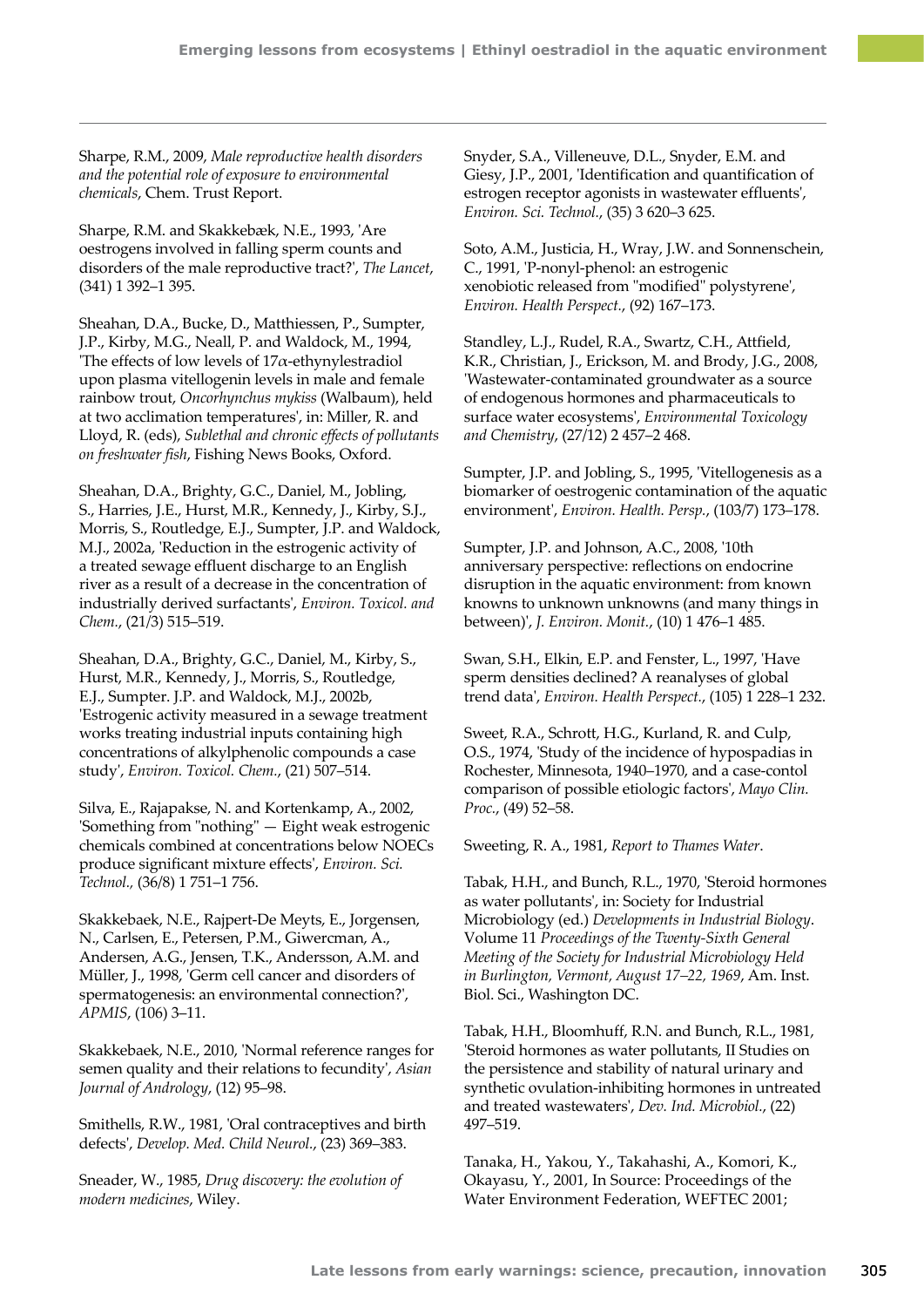Sharpe, R.M., 2009, *Male reproductive health disorders and the potential role of exposure to environmental chemicals*, Chem. Trust Report.

Sharpe, R.M. and Skakkebæk, N.E., 1993, 'Are oestrogens involved in falling sperm counts and disorders of the male reproductive tract?', *The Lancet*, (341) 1 392–1 395.

Sheahan, D.A., Bucke, D., Matthiessen, P., Sumpter, J.P., Kirby, M.G., Neall, P. and Waldock, M., 1994, 'The effects of low levels of 17α-ethynylestradiol upon plasma vitellogenin levels in male and female rainbow trout, *Oncorhynchus mykiss* (Walbaum), held at two acclimation temperatures', in: Miller, R. and Lloyd, R. (eds), *Sublethal and chronic effects of pollutants on freshwater fish*, Fishing News Books, Oxford.

Sheahan, D.A., Brighty, G.C., Daniel, M., Jobling, S., Harries, J.E., Hurst, M.R., Kennedy, J., Kirby, S.J., Morris, S., Routledge, E.J., Sumpter, J.P. and Waldock, M.J., 2002a, 'Reduction in the estrogenic activity of a treated sewage effluent discharge to an English river as a result of a decrease in the concentration of industrially derived surfactants', *Environ. Toxicol. and Chem.*, (21/3) 515–519.

Sheahan, D.A., Brighty, G.C., Daniel, M., Kirby, S., Hurst, M.R., Kennedy, J., Morris, S., Routledge, E.J., Sumpter. J.P. and Waldock, M.J., 2002b, 'Estrogenic activity measured in a sewage treatment works treating industrial inputs containing high concentrations of alkylphenolic compounds a case study', *Environ. Toxicol. Chem.*, (21) 507–514.

Silva, E., Rajapakse, N. and Kortenkamp, A., 2002, 'Something from "nothing" — Eight weak estrogenic chemicals combined at concentrations below NOECs produce significant mixture effects', *Environ. Sci. Technol.,* (36/8) 1 751–1 756.

Skakkebaek, N.E., Rajpert-De Meyts, E., Jorgensen, N., Carlsen, E., Petersen, P.M., Giwercman, A., Andersen, A.G., Jensen, T.K., Andersson, A.M. and Müller, J., 1998, 'Germ cell cancer and disorders of spermatogenesis: an environmental connection?', *APMIS*, (106) 3–11.

Skakkebaek, N.E., 2010, 'Normal reference ranges for semen quality and their relations to fecundity', *Asian Journal of Andrology*, (12) 95–98.

Smithells, R.W., 1981, 'Oral contraceptives and birth defects', *Develop. Med. Child Neurol.*, (23) 369–383.

Sneader, W., 1985, *Drug discovery: the evolution of modern medicines*, Wiley.

Snyder, S.A., Villeneuve, D.L., Snyder, E.M. and Giesy, J.P., 2001, 'Identification and quantification of estrogen receptor agonists in wastewater effluents', *Environ. Sci. Technol.*, (35) 3 620–3 625.

Soto, A.M., Justicia, H., Wray, J.W. and Sonnenschein, C., 1991, 'P-nonyl-phenol: an estrogenic xenobiotic released from "modified" polystyrene', *Environ. Health Perspect.*, (92) 167–173.

Standley, L.J., Rudel, R.A., Swartz, C.H., Attfield, K.R., Christian, J., Erickson, M. and Brody, J.G., 2008, 'Wastewater-contaminated groundwater as a source of endogenous hormones and pharmaceuticals to surface water ecosystems', *Environmental Toxicology and Chemistry*, (27/12) 2 457–2 468.

Sumpter, J.P. and Jobling, S., 1995, 'Vitellogenesis as a biomarker of oestrogenic contamination of the aquatic environment', *Environ. Health. Persp.*, (103/7) 173–178.

Sumpter, J.P. and Johnson, A.C., 2008, '10th anniversary perspective: reflections on endocrine disruption in the aquatic environment: from known knowns to unknown unknowns (and many things in between)', *J. Environ. Monit.*, (10) 1 476–1 485.

Swan, S.H., Elkin, E.P. and Fenster, L., 1997, 'Have sperm densities declined? A reanalyses of global trend data', *Environ. Health Perspect.*, (105) 1 228–1 232.

Sweet, R.A., Schrott, H.G., Kurland, R. and Culp, O.S., 1974, 'Study of the incidence of hypospadias in Rochester, Minnesota, 1940–1970, and a case-contol comparison of possible etiologic factors', *Mayo Clin. Proc.*, (49) 52–58.

Sweeting, R. A., 1981, *Report to Thames Water*.

Tabak, H.H., and Bunch, R.L., 1970, 'Steroid hormones as water pollutants', in: Society for Industrial Microbiology (ed.) *Developments in Industrial Biology*. Volume 11 *Proceedings of the Twenty-Sixth General Meeting of the Society for Industrial Microbiology Held in Burlington, Vermont, August 17–22, 1969*, Am. Inst. Biol. Sci., Washington DC.

Tabak, H.H., Bloomhuff, R.N. and Bunch, R.L., 1981, 'Steroid hormones as water pollutants, II Studies on the persistence and stability of natural urinary and synthetic ovulation-inhibiting hormones in untreated and treated wastewaters', *Dev. Ind. Microbiol.*, (22) 497–519.

Tanaka, H., Yakou, Y., Takahashi, A., Komori, K., Okayasu, Y., 2001, In Source: Proceedings of the Water Environment Federation, WEFTEC 2001;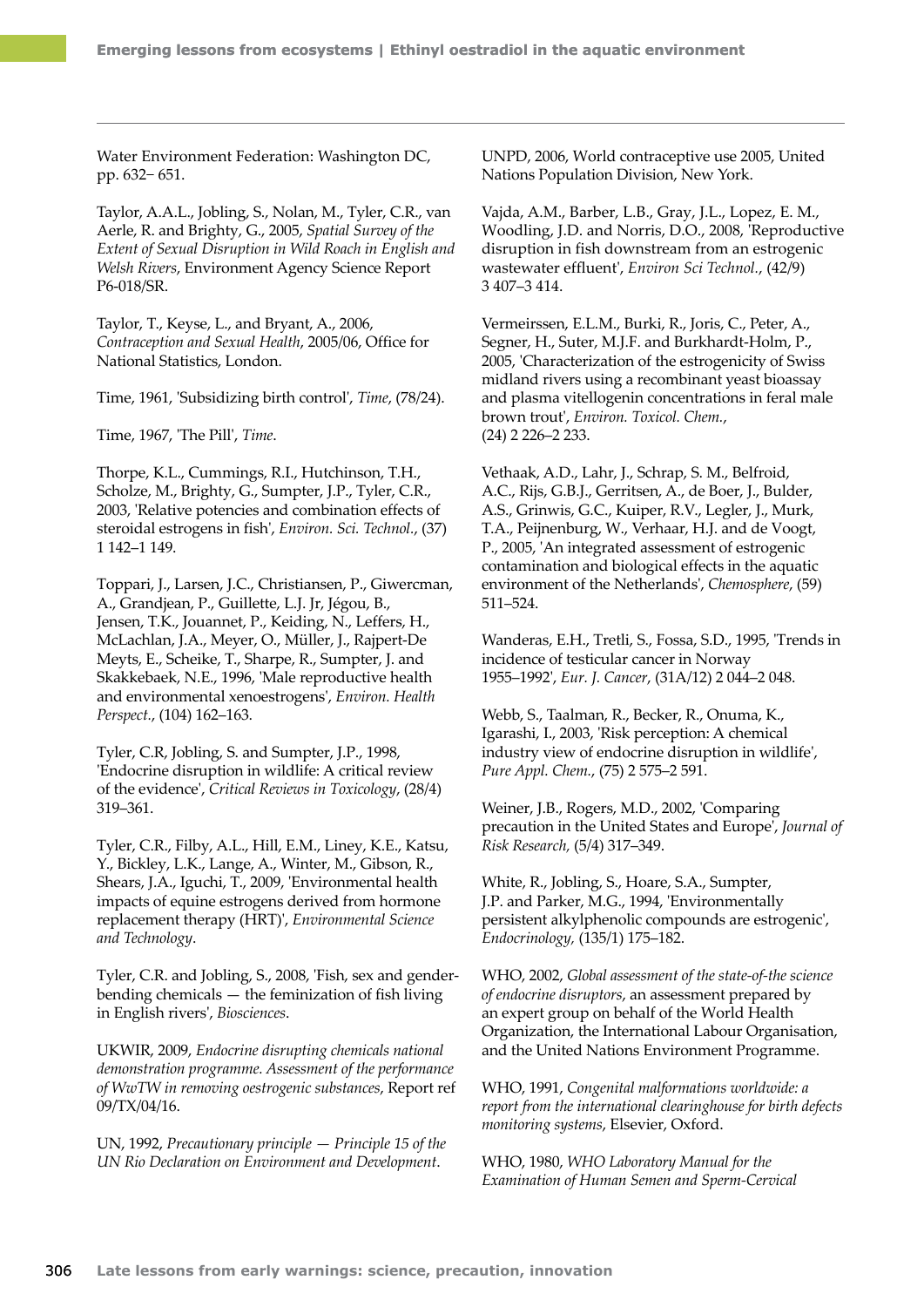Water Environment Federation: Washington DC, pp. 632− 651.

Taylor, A.A.L., Jobling, S., Nolan, M., Tyler, C.R., van Aerle, R. and Brighty, G., 2005, *Spatial Survey of the Extent of Sexual Disruption in Wild Roach in English and Welsh Rivers*, Environment Agency Science Report P6‑018/SR.

Taylor, T., Keyse, L., and Bryant, A., 2006, *[Contraception and Sexual Health](http://www.statistics.gov.uk/downloads/theme_health/contraception2005-06.pdf)*, 2005/06, Office for National Statistics, London.

Time, 1961, '[Subsidizing birth control](http://www.time.com/time/magazine/article/0,9171,827091,00.html)', *Time*, (78/24).

Time, 1967, 'The Pill', *Time*.

Thorpe, K.L., Cummings, R.I., Hutchinson, T.H., Scholze, M., Brighty, G., Sumpter, J.P., Tyler, C.R., 2003, 'Relative potencies and combination effects of steroidal estrogens in fish', *Environ. Sci. Technol.*, (37) 1 142–1 149.

Toppari, J., Larsen, J.C., Christiansen, P., Giwercman, A., Grandjean, P., Guillette, L.J. Jr, Jégou, B., Jensen, T.K., Jouannet, P., Keiding, N., Leffers, H., McLachlan, J.A., Meyer, O., Müller, J., Rajpert-De Meyts, E., Scheike, T., Sharpe, R., Sumpter, J. and Skakkebaek, N.E., 1996, 'Male reproductive health and environmental xenoestrogens', *Environ. Health Perspect.*, (104) 162–163.

Tyler, C.R, Jobling, S. and Sumpter, J.P., 1998, 'Endocrine disruption in wildlife: A critical review of the evidence', *Critical Reviews in Toxicology*, (28/4) 319–361.

Tyler, C.R., Filby, A.L., Hill, E.M., Liney, K.E., Katsu, Y., Bickley, L.K., Lange, A., Winter, M., Gibson, R., Shears, J.A., Iguchi, T., 2009, 'Environmental health impacts of equine estrogens derived from hormone replacement therapy (HRT)', *Environmental Science and Technology*.

Tyler, C.R. and Jobling, S., 2008, 'Fish, sex and genderbending chemicals — the feminization of fish living in English rivers', *Biosciences*.

UKWIR, 2009, *Endocrine disrupting chemicals national demonstration programme. Assessment of the performance of WwTW in removing oestrogenic substances*, Report ref 09/TX/04/16.

UN, 1992, *Precautionary principle — Principle 15 of the UN Rio Declaration on Environment and Development*.

UNPD, 2006, [World contraceptive use 2005,](http://www.un.org/esa/population/publications/contraceptive2005/2005_World_Contraceptive_files/WallChart_WCU2005.pdf) United Nations Population Division, New York.

[Vajda, A.M.](http://www.ncbi.nlm.nih.gov/pubmed?term=%22Vajda%20AM%22%5BAuthor%5D), Barber, L.B., [Gray, J.L.](http://www.ncbi.nlm.nih.gov/pubmed?term=%22Gray%20JL%22%5BAuthor%5D), [Lopez, E. M](http://www.ncbi.nlm.nih.gov/pubmed?term=%22Lopez%20EM%22%5BAuthor%5D)., [Woodling, J.D](http://www.ncbi.nlm.nih.gov/pubmed?term=%22Woodling%20JD%22%5BAuthor%5D). and [Norris, D.O.](http://www.ncbi.nlm.nih.gov/pubmed?term=%22Norris%20DO%22%5BAuthor%5D), 2008, 'Reproductive disruption in fish downstream from an estrogenic wastewater effluent', *[Environ Sci Technol.](file:///K:/Final%20Documents/EEA%20reports/Late%20lessons/13%20The%20pill/javascript:AL_get(this,%20)*, (42/9) 3 407–3 414.

Vermeirssen, E.L.M., Burki, R., Joris, C., Peter, A., Segner, H., Suter, M.J.F. and Burkhardt-Holm, P., 2005, 'Characterization of the estrogenicity of Swiss midland rivers using a recombinant yeast bioassay and plasma vitellogenin concentrations in feral male brown trout', *Environ. Toxicol. Chem.*, (24) 2 226–2 233.

Vethaak, A.D., Lahr, J., Schrap, S. M., Belfroid, A.C., Rijs, G.B.J., Gerritsen, A., de Boer, J., Bulder, A.S., Grinwis, G.C., Kuiper, R.V., Legler, J., Murk, T.A., Peijnenburg, W., Verhaar, H.J. and de Voogt, P., 2005, 'An integrated assessment of estrogenic contamination and biological effects in the aquatic environment of the Netherlands', *Chemosphere*, (59) 511–524.

Wanderas, E.H., Tretli, S., Fossa, S.D., 1995, 'Trends in incidence of testicular cancer in Norway 1955–1992', *Eur. J. Cancer*, (31A/12) 2 044–2 048.

Webb, S., Taalman, R., Becker, R., Onuma, K., Igarashi, I., 2003, 'Risk perception: A chemical industry view of endocrine disruption in wildlife', *Pure Appl. Chem.*, (75) 2 575–2 591.

Weiner, J.B., Rogers, M.D., 2002, 'Comparing precaution in the United States and Europe', *Journal of Risk Research,* (5/4) 317–349.

White, R., Jobling, S., Hoare, S.A., Sumpter, J.P. and Parker, M.G., 1994, 'Environmentally persistent alkylphenolic compounds are estrogenic', *Endocrinology,* (135/1) 175–182.

WHO, 2002, *Global assessment of the state-of-the science of endocrine disruptors*, an assessment prepared by an expert group on behalf of the World Health Organization, the International Labour Organisation, and the United Nations Environment Programme.

WHO, 1991, *Congenital malformations worldwide: a report from the international clearinghouse for birth defects monitoring systems*, Elsevier, Oxford.

WHO, 1980, *WHO Laboratory Manual for the Examination of Human Semen and Sperm-Cervical*